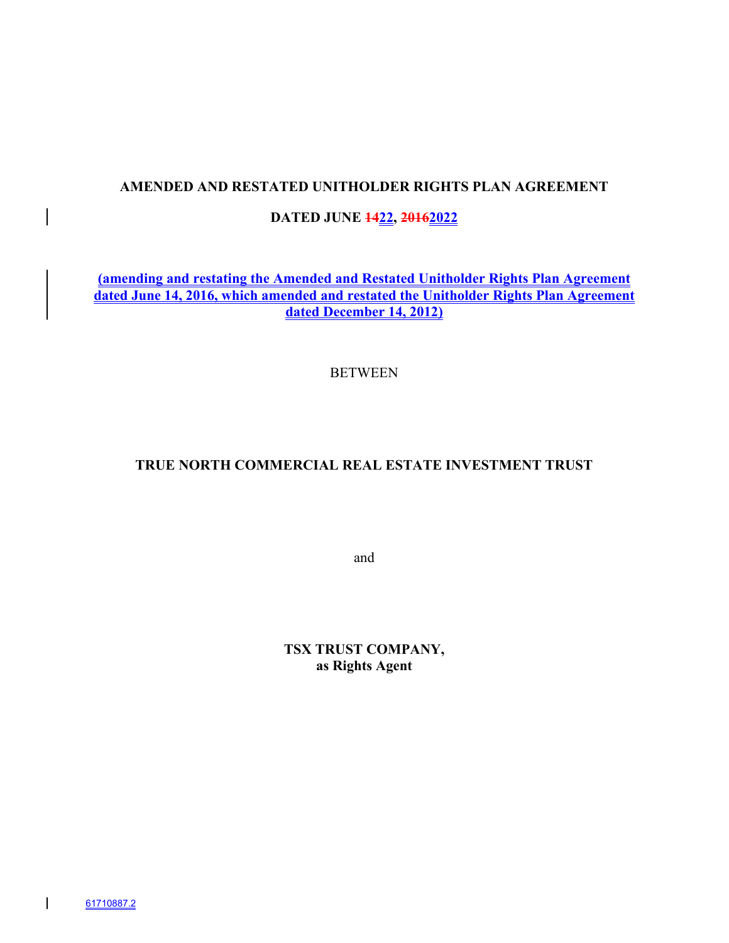# **AMENDED AND RESTATED UNITHOLDER RIGHTS PLAN AGREEMENT**

# **DATED JUNE 1422, 20162022**

**(amending and restating the Amended and Restated Unitholder Rights Plan Agreement dated June 14, 2016, which amended and restated the Unitholder Rights Plan Agreement dated December 14, 2012)**

#### BETWEEN

# **TRUE NORTH COMMERCIAL REAL ESTATE INVESTMENT TRUST**

and

**TSX TRUST COMPANY, as Rights Agent**

 $\overline{\phantom{a}}$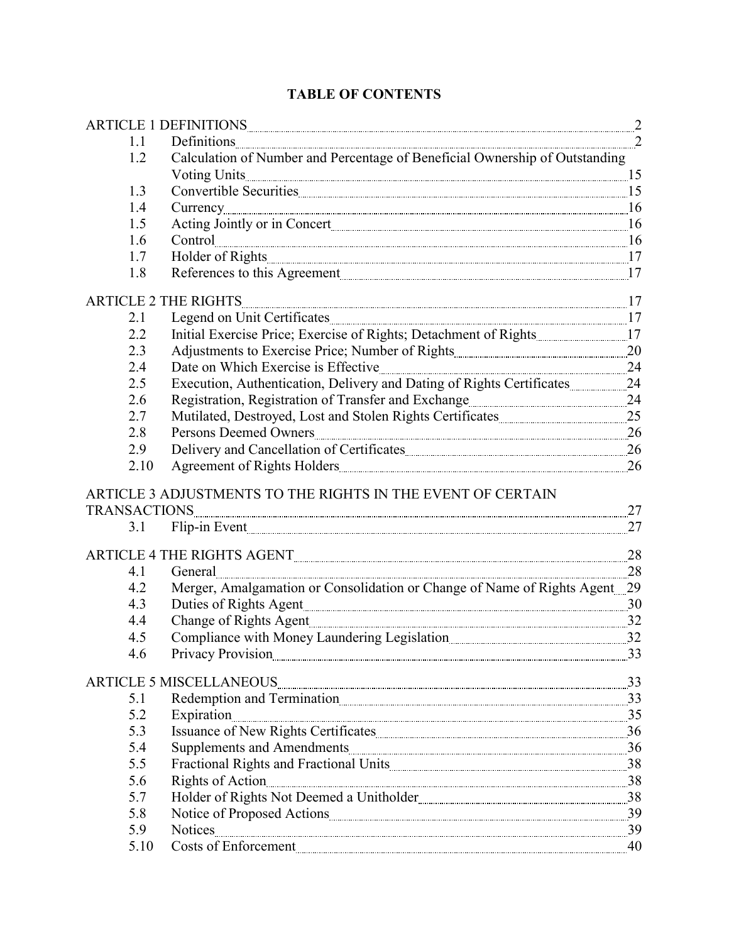| 1.1<br>Definitions<br>Calculation of Number and Percentage of Beneficial Ownership of Outstanding<br>1.2<br>Voting Units 15<br>1.3<br>Currency 26 16<br>1.4<br>1.5<br>$\textbf{Control} \text{_________1} \text{_________2} \text{_________3} \text{_________4} \text{_________5} \text{_________5} \text{_________6} \text{_________6} \text{_________7} \text{_________7} \text{_________7} \text{_________8} \text{_________7} \text{_________8} \text{_________9} \text{_________9} \text{_________9} \text{_________9} \text{_________9} \text{_________9} \text{_________9} \text{_________9} \text{_________9} \text{_________9} \text{_________9} \text{_________9} \text{_________9} \text{_________9} \text{_________9} \text{_________9} \text{________$<br>1.6<br>Holder of Rights 17<br>1.7<br>References to this Agreement<br>1.8<br>$\frac{1}{2}$<br><b>ARTICLE 2 THE RIGHTS</b><br>2.1<br>2.2<br>2.3<br>2.4<br>2.5<br>2.6<br>2.7<br>2.8<br>2.9<br>Agreement of Rights Holders<br>2.10<br>ARTICLE 3 ADJUSTMENTS TO THE RIGHTS IN THE EVENT OF CERTAIN<br>27<br><b>TRANSACTIONS</b><br>27<br>Flip-in Event<br>3.1<br>28<br>ARTICLE 4 THE RIGHTS AGENT <b>Example 2018</b> 19 and 20 and 20 and 30 and 30 and 30 and 30 and 30 and 30 and 30 and 30 and 30 and 30 and 30 and 30 and 30 and 30 and 30 and 30 and 30 and 30 and 30 and 30 and 30 and 30 and 30 an<br>$\overline{\phantom{a}28}$<br>4.1<br>General<br>Merger, Amalgamation or Consolidation or Change of Name of Rights Agent 29<br>4.2<br>4.3<br>Duties of Rights Agent 30<br>Change of Rights Agent 232<br>4.4<br>Compliance with Money Laundering Legislation 22<br>4.5<br>Privacy Provision<br>33<br>4.6<br><b>ARTICLE 5 MISCELLANEOUS</b><br>33<br>Redemption and Termination<br>5.1<br>5.2<br>Expiration<br>5.3<br>5.4<br>5.5<br>Fractional Rights and Fractional Units <b>Example 2018</b> 38<br>Rights of Action 28<br>5.6<br>5.7<br>5.8<br>5.9<br>Costs of Enforcement<br>5.10<br>40 |  | ARTICLE 1 DEFINITIONS RESERVED TO A RESERVED TO BE A 2 |  |
|-------------------------------------------------------------------------------------------------------------------------------------------------------------------------------------------------------------------------------------------------------------------------------------------------------------------------------------------------------------------------------------------------------------------------------------------------------------------------------------------------------------------------------------------------------------------------------------------------------------------------------------------------------------------------------------------------------------------------------------------------------------------------------------------------------------------------------------------------------------------------------------------------------------------------------------------------------------------------------------------------------------------------------------------------------------------------------------------------------------------------------------------------------------------------------------------------------------------------------------------------------------------------------------------------------------------------------------------------------------------------------------------------------------------------------------------------------------------------------------------------------------------------------------------------------------------------------------------------------------------------------------------------------------------------------------------------------------------------------------------------------------------------------------------------------------------------------------------------------------------------------------------------------------------------------------------------------------------------|--|--------------------------------------------------------|--|
|                                                                                                                                                                                                                                                                                                                                                                                                                                                                                                                                                                                                                                                                                                                                                                                                                                                                                                                                                                                                                                                                                                                                                                                                                                                                                                                                                                                                                                                                                                                                                                                                                                                                                                                                                                                                                                                                                                                                                                         |  |                                                        |  |
|                                                                                                                                                                                                                                                                                                                                                                                                                                                                                                                                                                                                                                                                                                                                                                                                                                                                                                                                                                                                                                                                                                                                                                                                                                                                                                                                                                                                                                                                                                                                                                                                                                                                                                                                                                                                                                                                                                                                                                         |  |                                                        |  |
|                                                                                                                                                                                                                                                                                                                                                                                                                                                                                                                                                                                                                                                                                                                                                                                                                                                                                                                                                                                                                                                                                                                                                                                                                                                                                                                                                                                                                                                                                                                                                                                                                                                                                                                                                                                                                                                                                                                                                                         |  |                                                        |  |
|                                                                                                                                                                                                                                                                                                                                                                                                                                                                                                                                                                                                                                                                                                                                                                                                                                                                                                                                                                                                                                                                                                                                                                                                                                                                                                                                                                                                                                                                                                                                                                                                                                                                                                                                                                                                                                                                                                                                                                         |  |                                                        |  |
|                                                                                                                                                                                                                                                                                                                                                                                                                                                                                                                                                                                                                                                                                                                                                                                                                                                                                                                                                                                                                                                                                                                                                                                                                                                                                                                                                                                                                                                                                                                                                                                                                                                                                                                                                                                                                                                                                                                                                                         |  |                                                        |  |
|                                                                                                                                                                                                                                                                                                                                                                                                                                                                                                                                                                                                                                                                                                                                                                                                                                                                                                                                                                                                                                                                                                                                                                                                                                                                                                                                                                                                                                                                                                                                                                                                                                                                                                                                                                                                                                                                                                                                                                         |  |                                                        |  |
|                                                                                                                                                                                                                                                                                                                                                                                                                                                                                                                                                                                                                                                                                                                                                                                                                                                                                                                                                                                                                                                                                                                                                                                                                                                                                                                                                                                                                                                                                                                                                                                                                                                                                                                                                                                                                                                                                                                                                                         |  |                                                        |  |
|                                                                                                                                                                                                                                                                                                                                                                                                                                                                                                                                                                                                                                                                                                                                                                                                                                                                                                                                                                                                                                                                                                                                                                                                                                                                                                                                                                                                                                                                                                                                                                                                                                                                                                                                                                                                                                                                                                                                                                         |  |                                                        |  |
|                                                                                                                                                                                                                                                                                                                                                                                                                                                                                                                                                                                                                                                                                                                                                                                                                                                                                                                                                                                                                                                                                                                                                                                                                                                                                                                                                                                                                                                                                                                                                                                                                                                                                                                                                                                                                                                                                                                                                                         |  |                                                        |  |
|                                                                                                                                                                                                                                                                                                                                                                                                                                                                                                                                                                                                                                                                                                                                                                                                                                                                                                                                                                                                                                                                                                                                                                                                                                                                                                                                                                                                                                                                                                                                                                                                                                                                                                                                                                                                                                                                                                                                                                         |  |                                                        |  |
|                                                                                                                                                                                                                                                                                                                                                                                                                                                                                                                                                                                                                                                                                                                                                                                                                                                                                                                                                                                                                                                                                                                                                                                                                                                                                                                                                                                                                                                                                                                                                                                                                                                                                                                                                                                                                                                                                                                                                                         |  |                                                        |  |
|                                                                                                                                                                                                                                                                                                                                                                                                                                                                                                                                                                                                                                                                                                                                                                                                                                                                                                                                                                                                                                                                                                                                                                                                                                                                                                                                                                                                                                                                                                                                                                                                                                                                                                                                                                                                                                                                                                                                                                         |  |                                                        |  |
|                                                                                                                                                                                                                                                                                                                                                                                                                                                                                                                                                                                                                                                                                                                                                                                                                                                                                                                                                                                                                                                                                                                                                                                                                                                                                                                                                                                                                                                                                                                                                                                                                                                                                                                                                                                                                                                                                                                                                                         |  |                                                        |  |
|                                                                                                                                                                                                                                                                                                                                                                                                                                                                                                                                                                                                                                                                                                                                                                                                                                                                                                                                                                                                                                                                                                                                                                                                                                                                                                                                                                                                                                                                                                                                                                                                                                                                                                                                                                                                                                                                                                                                                                         |  |                                                        |  |
|                                                                                                                                                                                                                                                                                                                                                                                                                                                                                                                                                                                                                                                                                                                                                                                                                                                                                                                                                                                                                                                                                                                                                                                                                                                                                                                                                                                                                                                                                                                                                                                                                                                                                                                                                                                                                                                                                                                                                                         |  |                                                        |  |
|                                                                                                                                                                                                                                                                                                                                                                                                                                                                                                                                                                                                                                                                                                                                                                                                                                                                                                                                                                                                                                                                                                                                                                                                                                                                                                                                                                                                                                                                                                                                                                                                                                                                                                                                                                                                                                                                                                                                                                         |  |                                                        |  |
|                                                                                                                                                                                                                                                                                                                                                                                                                                                                                                                                                                                                                                                                                                                                                                                                                                                                                                                                                                                                                                                                                                                                                                                                                                                                                                                                                                                                                                                                                                                                                                                                                                                                                                                                                                                                                                                                                                                                                                         |  |                                                        |  |
|                                                                                                                                                                                                                                                                                                                                                                                                                                                                                                                                                                                                                                                                                                                                                                                                                                                                                                                                                                                                                                                                                                                                                                                                                                                                                                                                                                                                                                                                                                                                                                                                                                                                                                                                                                                                                                                                                                                                                                         |  |                                                        |  |
|                                                                                                                                                                                                                                                                                                                                                                                                                                                                                                                                                                                                                                                                                                                                                                                                                                                                                                                                                                                                                                                                                                                                                                                                                                                                                                                                                                                                                                                                                                                                                                                                                                                                                                                                                                                                                                                                                                                                                                         |  |                                                        |  |
|                                                                                                                                                                                                                                                                                                                                                                                                                                                                                                                                                                                                                                                                                                                                                                                                                                                                                                                                                                                                                                                                                                                                                                                                                                                                                                                                                                                                                                                                                                                                                                                                                                                                                                                                                                                                                                                                                                                                                                         |  |                                                        |  |
|                                                                                                                                                                                                                                                                                                                                                                                                                                                                                                                                                                                                                                                                                                                                                                                                                                                                                                                                                                                                                                                                                                                                                                                                                                                                                                                                                                                                                                                                                                                                                                                                                                                                                                                                                                                                                                                                                                                                                                         |  |                                                        |  |
|                                                                                                                                                                                                                                                                                                                                                                                                                                                                                                                                                                                                                                                                                                                                                                                                                                                                                                                                                                                                                                                                                                                                                                                                                                                                                                                                                                                                                                                                                                                                                                                                                                                                                                                                                                                                                                                                                                                                                                         |  |                                                        |  |
|                                                                                                                                                                                                                                                                                                                                                                                                                                                                                                                                                                                                                                                                                                                                                                                                                                                                                                                                                                                                                                                                                                                                                                                                                                                                                                                                                                                                                                                                                                                                                                                                                                                                                                                                                                                                                                                                                                                                                                         |  |                                                        |  |
|                                                                                                                                                                                                                                                                                                                                                                                                                                                                                                                                                                                                                                                                                                                                                                                                                                                                                                                                                                                                                                                                                                                                                                                                                                                                                                                                                                                                                                                                                                                                                                                                                                                                                                                                                                                                                                                                                                                                                                         |  |                                                        |  |
|                                                                                                                                                                                                                                                                                                                                                                                                                                                                                                                                                                                                                                                                                                                                                                                                                                                                                                                                                                                                                                                                                                                                                                                                                                                                                                                                                                                                                                                                                                                                                                                                                                                                                                                                                                                                                                                                                                                                                                         |  |                                                        |  |
|                                                                                                                                                                                                                                                                                                                                                                                                                                                                                                                                                                                                                                                                                                                                                                                                                                                                                                                                                                                                                                                                                                                                                                                                                                                                                                                                                                                                                                                                                                                                                                                                                                                                                                                                                                                                                                                                                                                                                                         |  |                                                        |  |
|                                                                                                                                                                                                                                                                                                                                                                                                                                                                                                                                                                                                                                                                                                                                                                                                                                                                                                                                                                                                                                                                                                                                                                                                                                                                                                                                                                                                                                                                                                                                                                                                                                                                                                                                                                                                                                                                                                                                                                         |  |                                                        |  |
|                                                                                                                                                                                                                                                                                                                                                                                                                                                                                                                                                                                                                                                                                                                                                                                                                                                                                                                                                                                                                                                                                                                                                                                                                                                                                                                                                                                                                                                                                                                                                                                                                                                                                                                                                                                                                                                                                                                                                                         |  |                                                        |  |
|                                                                                                                                                                                                                                                                                                                                                                                                                                                                                                                                                                                                                                                                                                                                                                                                                                                                                                                                                                                                                                                                                                                                                                                                                                                                                                                                                                                                                                                                                                                                                                                                                                                                                                                                                                                                                                                                                                                                                                         |  |                                                        |  |
|                                                                                                                                                                                                                                                                                                                                                                                                                                                                                                                                                                                                                                                                                                                                                                                                                                                                                                                                                                                                                                                                                                                                                                                                                                                                                                                                                                                                                                                                                                                                                                                                                                                                                                                                                                                                                                                                                                                                                                         |  |                                                        |  |
|                                                                                                                                                                                                                                                                                                                                                                                                                                                                                                                                                                                                                                                                                                                                                                                                                                                                                                                                                                                                                                                                                                                                                                                                                                                                                                                                                                                                                                                                                                                                                                                                                                                                                                                                                                                                                                                                                                                                                                         |  |                                                        |  |
|                                                                                                                                                                                                                                                                                                                                                                                                                                                                                                                                                                                                                                                                                                                                                                                                                                                                                                                                                                                                                                                                                                                                                                                                                                                                                                                                                                                                                                                                                                                                                                                                                                                                                                                                                                                                                                                                                                                                                                         |  |                                                        |  |
|                                                                                                                                                                                                                                                                                                                                                                                                                                                                                                                                                                                                                                                                                                                                                                                                                                                                                                                                                                                                                                                                                                                                                                                                                                                                                                                                                                                                                                                                                                                                                                                                                                                                                                                                                                                                                                                                                                                                                                         |  |                                                        |  |
|                                                                                                                                                                                                                                                                                                                                                                                                                                                                                                                                                                                                                                                                                                                                                                                                                                                                                                                                                                                                                                                                                                                                                                                                                                                                                                                                                                                                                                                                                                                                                                                                                                                                                                                                                                                                                                                                                                                                                                         |  |                                                        |  |
|                                                                                                                                                                                                                                                                                                                                                                                                                                                                                                                                                                                                                                                                                                                                                                                                                                                                                                                                                                                                                                                                                                                                                                                                                                                                                                                                                                                                                                                                                                                                                                                                                                                                                                                                                                                                                                                                                                                                                                         |  |                                                        |  |
|                                                                                                                                                                                                                                                                                                                                                                                                                                                                                                                                                                                                                                                                                                                                                                                                                                                                                                                                                                                                                                                                                                                                                                                                                                                                                                                                                                                                                                                                                                                                                                                                                                                                                                                                                                                                                                                                                                                                                                         |  |                                                        |  |
|                                                                                                                                                                                                                                                                                                                                                                                                                                                                                                                                                                                                                                                                                                                                                                                                                                                                                                                                                                                                                                                                                                                                                                                                                                                                                                                                                                                                                                                                                                                                                                                                                                                                                                                                                                                                                                                                                                                                                                         |  |                                                        |  |
|                                                                                                                                                                                                                                                                                                                                                                                                                                                                                                                                                                                                                                                                                                                                                                                                                                                                                                                                                                                                                                                                                                                                                                                                                                                                                                                                                                                                                                                                                                                                                                                                                                                                                                                                                                                                                                                                                                                                                                         |  |                                                        |  |
|                                                                                                                                                                                                                                                                                                                                                                                                                                                                                                                                                                                                                                                                                                                                                                                                                                                                                                                                                                                                                                                                                                                                                                                                                                                                                                                                                                                                                                                                                                                                                                                                                                                                                                                                                                                                                                                                                                                                                                         |  |                                                        |  |
|                                                                                                                                                                                                                                                                                                                                                                                                                                                                                                                                                                                                                                                                                                                                                                                                                                                                                                                                                                                                                                                                                                                                                                                                                                                                                                                                                                                                                                                                                                                                                                                                                                                                                                                                                                                                                                                                                                                                                                         |  |                                                        |  |
|                                                                                                                                                                                                                                                                                                                                                                                                                                                                                                                                                                                                                                                                                                                                                                                                                                                                                                                                                                                                                                                                                                                                                                                                                                                                                                                                                                                                                                                                                                                                                                                                                                                                                                                                                                                                                                                                                                                                                                         |  |                                                        |  |
|                                                                                                                                                                                                                                                                                                                                                                                                                                                                                                                                                                                                                                                                                                                                                                                                                                                                                                                                                                                                                                                                                                                                                                                                                                                                                                                                                                                                                                                                                                                                                                                                                                                                                                                                                                                                                                                                                                                                                                         |  |                                                        |  |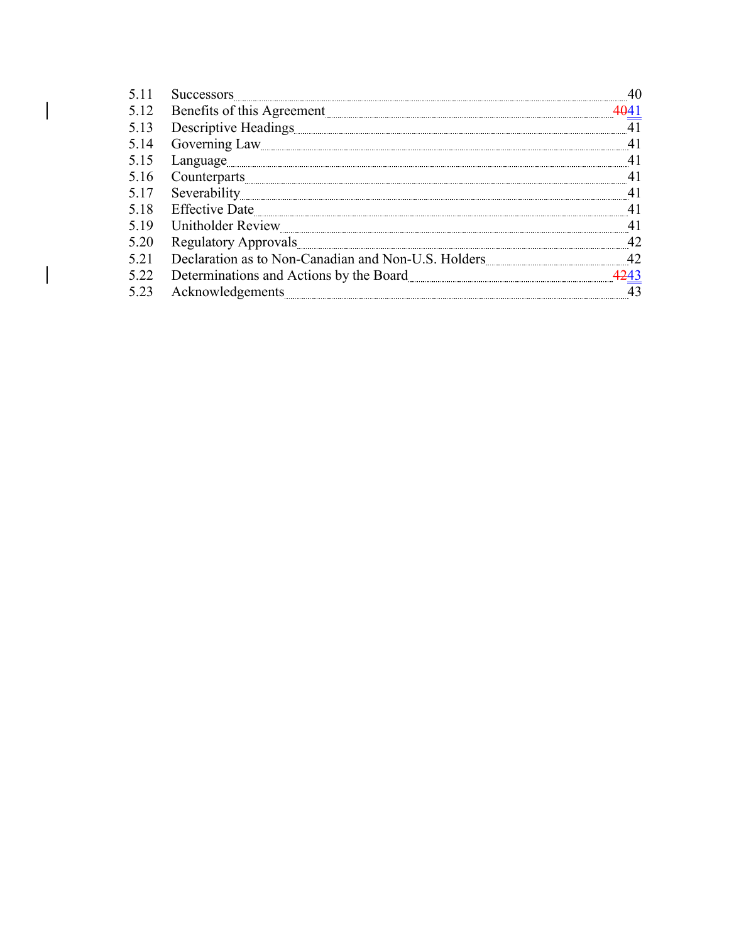| 5.11 | <b>Successors</b>                                   |    |
|------|-----------------------------------------------------|----|
| 5.12 | Benefits of this Agreement                          |    |
| 5.13 |                                                     |    |
| 5.14 | Governing Law                                       |    |
| 5.15 | Language                                            |    |
| 5.16 |                                                     |    |
| 5.17 | Severability                                        |    |
| 5.18 | Effective Date                                      |    |
| 5.19 |                                                     |    |
| 5.20 |                                                     |    |
| 5.21 | Declaration as to Non-Canadian and Non-U.S. Holders | 42 |
| 5.22 |                                                     |    |
| 5.23 | Acknowledgements                                    |    |

 $\overline{\mathsf{I}}$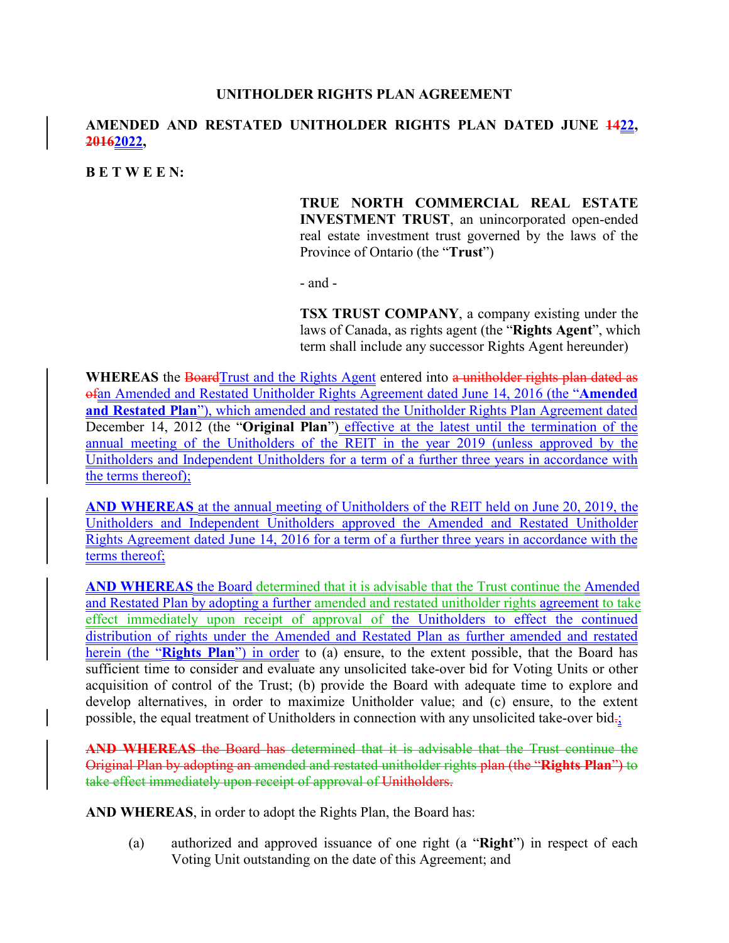## **UNITHOLDER RIGHTS PLAN AGREEMENT**

# **AMENDED AND RESTATED UNITHOLDER RIGHTS PLAN DATED JUNE 1422, 20162022,**

#### **B E T W E E N:**

## **TRUE NORTH COMMERCIAL REAL ESTATE INVESTMENT TRUST**, an unincorporated open-ended real estate investment trust governed by the laws of the Province of Ontario (the "**Trust**")

- and -

**TSX TRUST COMPANY**, a company existing under the laws of Canada, as rights agent (the "**Rights Agent**", which term shall include any successor Rights Agent hereunder)

WHEREAS the BoardTrust and the Rights Agent entered into a unitholder rights plan dated as ofan Amended and Restated Unitholder Rights Agreement dated June 14, 2016 (the "**Amended and Restated Plan**"), which amended and restated the Unitholder Rights Plan Agreement dated December 14, 2012 (the "**Original Plan**") effective at the latest until the termination of the annual meeting of the Unitholders of the REIT in the year 2019 (unless approved by the Unitholders and Independent Unitholders for a term of a further three years in accordance with the terms thereof);

**AND WHEREAS** at the annual meeting of Unitholders of the REIT held on June 20, 2019, the Unitholders and Independent Unitholders approved the Amended and Restated Unitholder Rights Agreement dated June 14, 2016 for a term of a further three years in accordance with the terms thereof;

**AND WHEREAS** the Board determined that it is advisable that the Trust continue the Amended and Restated Plan by adopting a further amended and restated unitholder rights agreement to take effect immediately upon receipt of approval of the Unitholders to effect the continued distribution of rights under the Amended and Restated Plan as further amended and restated herein (the "**Rights Plan**") in order to (a) ensure, to the extent possible, that the Board has sufficient time to consider and evaluate any unsolicited take-over bid for Voting Units or other acquisition of control of the Trust; (b) provide the Board with adequate time to explore and develop alternatives, in order to maximize Unitholder value; and (c) ensure, to the extent possible, the equal treatment of Unitholders in connection with any unsolicited take-over bid.;

**AND WHEREAS** the Board has determined that it is advisable that the Trust continue the Original Plan by adopting an amended and restated unitholder rights plan (the "**Rights Plan**") to take effect immediately upon receipt of approval of Unitholders.

**AND WHEREAS**, in order to adopt the Rights Plan, the Board has:

(a) authorized and approved issuance of one right (a "**Right**") in respect of each Voting Unit outstanding on the date of this Agreement; and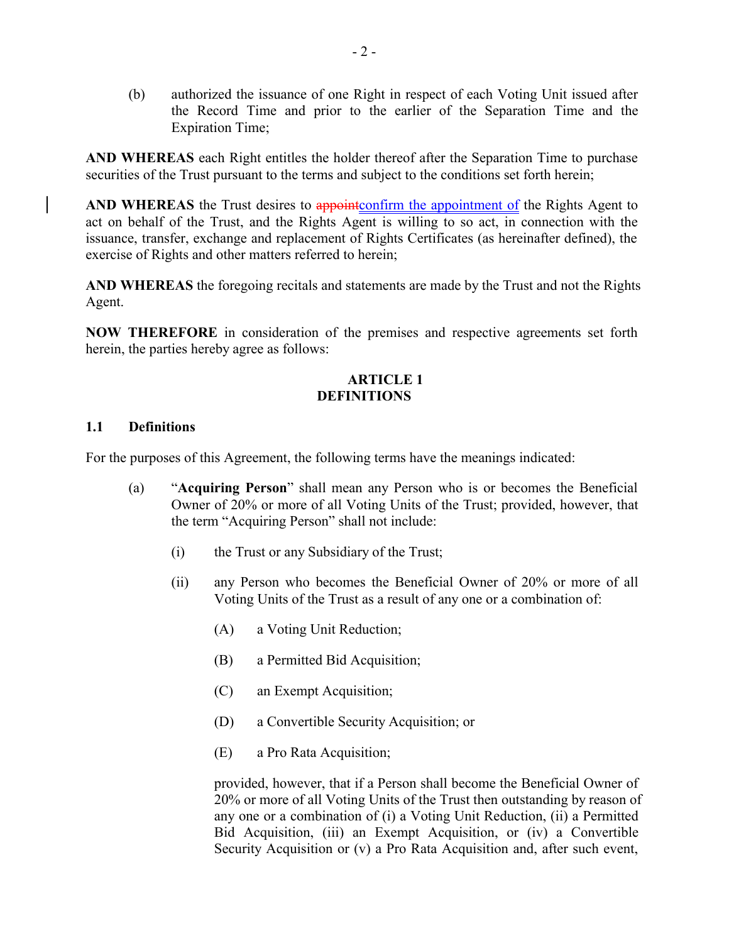(b) authorized the issuance of one Right in respect of each Voting Unit issued after the Record Time and prior to the earlier of the Separation Time and the Expiration Time;

**AND WHEREAS** each Right entitles the holder thereof after the Separation Time to purchase securities of the Trust pursuant to the terms and subject to the conditions set forth herein;

AND WHEREAS the Trust desires to appoint confirm the appointment of the Rights Agent to act on behalf of the Trust, and the Rights Agent is willing to so act, in connection with the issuance, transfer, exchange and replacement of Rights Certificates (as hereinafter defined), the exercise of Rights and other matters referred to herein;

**AND WHEREAS** the foregoing recitals and statements are made by the Trust and not the Rights Agent.

**NOW THEREFORE** in consideration of the premises and respective agreements set forth herein, the parties hereby agree as follows:

# **ARTICLE 1 DEFINITIONS**

#### **1.1 Definitions**

For the purposes of this Agreement, the following terms have the meanings indicated:

- (a) "**Acquiring Person**" shall mean any Person who is or becomes the Beneficial Owner of 20% or more of all Voting Units of the Trust; provided, however, that the term "Acquiring Person" shall not include:
	- (i) the Trust or any Subsidiary of the Trust;
	- (ii) any Person who becomes the Beneficial Owner of 20% or more of all Voting Units of the Trust as a result of any one or a combination of:
		- (A) a Voting Unit Reduction;
		- (B) a Permitted Bid Acquisition;
		- (C) an Exempt Acquisition;
		- (D) a Convertible Security Acquisition; or
		- (E) a Pro Rata Acquisition;

provided, however, that if a Person shall become the Beneficial Owner of 20% or more of all Voting Units of the Trust then outstanding by reason of any one or a combination of (i) a Voting Unit Reduction, (ii) a Permitted Bid Acquisition, (iii) an Exempt Acquisition, or (iv) a Convertible Security Acquisition or (v) a Pro Rata Acquisition and, after such event,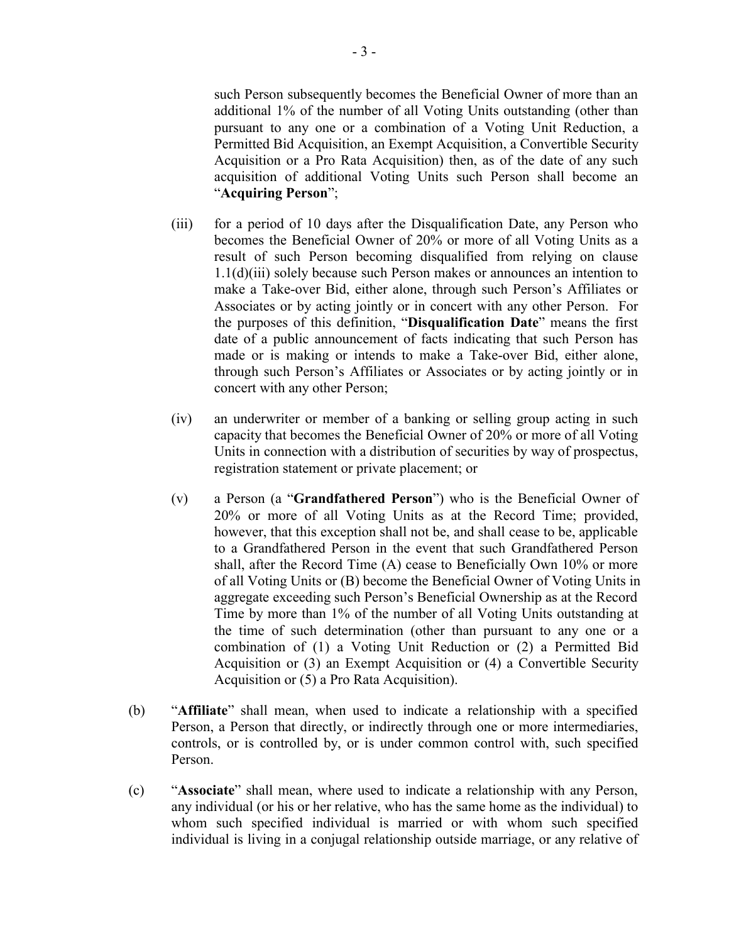such Person subsequently becomes the Beneficial Owner of more than an additional 1% of the number of all Voting Units outstanding (other than pursuant to any one or a combination of a Voting Unit Reduction, a Permitted Bid Acquisition, an Exempt Acquisition, a Convertible Security Acquisition or a Pro Rata Acquisition) then, as of the date of any such acquisition of additional Voting Units such Person shall become an "**Acquiring Person**";

- (iii) for a period of 10 days after the Disqualification Date, any Person who becomes the Beneficial Owner of 20% or more of all Voting Units as a result of such Person becoming disqualified from relying on clause 1.1(d)(iii) solely because such Person makes or announces an intention to make a Take-over Bid, either alone, through such Person's Affiliates or Associates or by acting jointly or in concert with any other Person. For the purposes of this definition, "**Disqualification Date**" means the first date of a public announcement of facts indicating that such Person has made or is making or intends to make a Take-over Bid, either alone, through such Person's Affiliates or Associates or by acting jointly or in concert with any other Person;
- (iv) an underwriter or member of a banking or selling group acting in such capacity that becomes the Beneficial Owner of 20% or more of all Voting Units in connection with a distribution of securities by way of prospectus, registration statement or private placement; or
- (v) a Person (a "**Grandfathered Person**") who is the Beneficial Owner of 20% or more of all Voting Units as at the Record Time; provided, however, that this exception shall not be, and shall cease to be, applicable to a Grandfathered Person in the event that such Grandfathered Person shall, after the Record Time (A) cease to Beneficially Own 10% or more of all Voting Units or (B) become the Beneficial Owner of Voting Units in aggregate exceeding such Person's Beneficial Ownership as at the Record Time by more than 1% of the number of all Voting Units outstanding at the time of such determination (other than pursuant to any one or a combination of (1) a Voting Unit Reduction or (2) a Permitted Bid Acquisition or (3) an Exempt Acquisition or (4) a Convertible Security Acquisition or (5) a Pro Rata Acquisition).
- (b) "**Affiliate**" shall mean, when used to indicate a relationship with a specified Person, a Person that directly, or indirectly through one or more intermediaries, controls, or is controlled by, or is under common control with, such specified Person.
- (c) "**Associate**" shall mean, where used to indicate a relationship with any Person, any individual (or his or her relative, who has the same home as the individual) to whom such specified individual is married or with whom such specified individual is living in a conjugal relationship outside marriage, or any relative of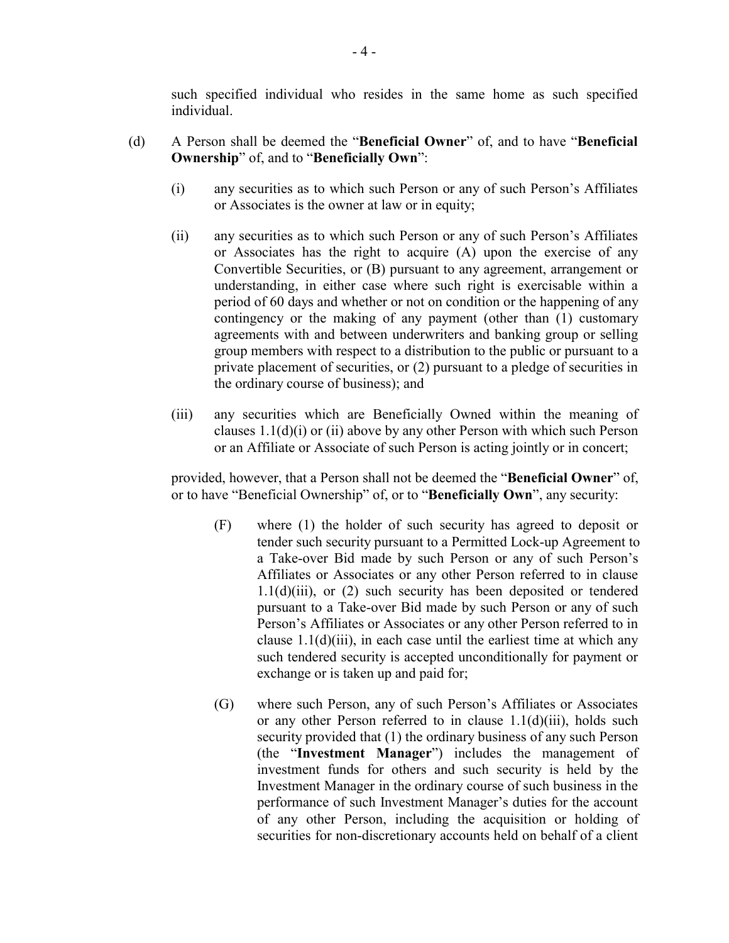such specified individual who resides in the same home as such specified individual.

- (d) A Person shall be deemed the "**Beneficial Owner**" of, and to have "**Beneficial Ownership**" of, and to "**Beneficially Own**":
	- (i) any securities as to which such Person or any of such Person's Affiliates or Associates is the owner at law or in equity;
	- (ii) any securities as to which such Person or any of such Person's Affiliates or Associates has the right to acquire (A) upon the exercise of any Convertible Securities, or (B) pursuant to any agreement, arrangement or understanding, in either case where such right is exercisable within a period of 60 days and whether or not on condition or the happening of any contingency or the making of any payment (other than (1) customary agreements with and between underwriters and banking group or selling group members with respect to a distribution to the public or pursuant to a private placement of securities, or (2) pursuant to a pledge of securities in the ordinary course of business); and
	- (iii) any securities which are Beneficially Owned within the meaning of clauses 1.1(d)(i) or (ii) above by any other Person with which such Person or an Affiliate or Associate of such Person is acting jointly or in concert;

provided, however, that a Person shall not be deemed the "**Beneficial Owner**" of, or to have "Beneficial Ownership" of, or to "**Beneficially Own**", any security:

- (F) where (1) the holder of such security has agreed to deposit or tender such security pursuant to a Permitted Lock-up Agreement to a Take-over Bid made by such Person or any of such Person's Affiliates or Associates or any other Person referred to in clause  $1.1(d)(iii)$ , or  $(2)$  such security has been deposited or tendered pursuant to a Take-over Bid made by such Person or any of such Person's Affiliates or Associates or any other Person referred to in clause  $1.1(d)(iii)$ , in each case until the earliest time at which any such tendered security is accepted unconditionally for payment or exchange or is taken up and paid for;
- (G) where such Person, any of such Person's Affiliates or Associates or any other Person referred to in clause 1.1(d)(iii), holds such security provided that (1) the ordinary business of any such Person (the "**Investment Manager**") includes the management of investment funds for others and such security is held by the Investment Manager in the ordinary course of such business in the performance of such Investment Manager's duties for the account of any other Person, including the acquisition or holding of securities for non-discretionary accounts held on behalf of a client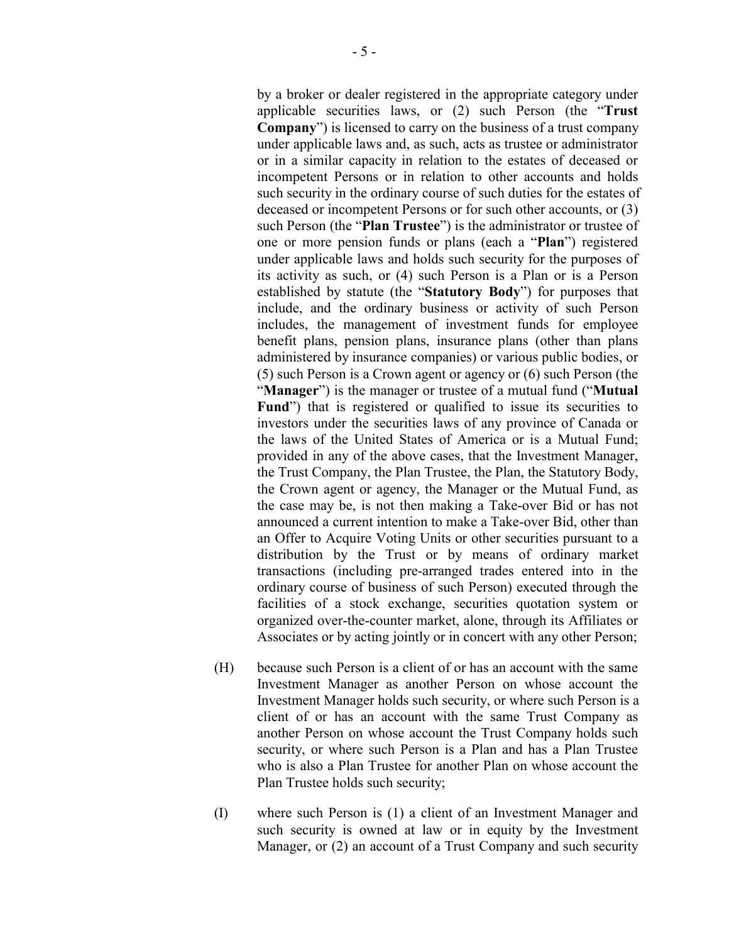by a broker or dealer registered in the appropriate category under applicable securities laws, or (2) such Person (the "**Trust Company**") is licensed to carry on the business of a trust company under applicable laws and, as such, acts as trustee or administrator or in a similar capacity in relation to the estates of deceased or incompetent Persons or in relation to other accounts and holds such security in the ordinary course of such duties for the estates of deceased or incompetent Persons or for such other accounts, or (3) such Person (the "**Plan Trustee**") is the administrator or trustee of one or more pension funds or plans (each a "**Plan**") registered under applicable laws and holds such security for the purposes of its activity as such, or (4) such Person is a Plan or is a Person established by statute (the "**Statutory Body**") for purposes that include, and the ordinary business or activity of such Person includes, the management of investment funds for employee benefit plans, pension plans, insurance plans (other than plans administered by insurance companies) or various public bodies, or (5) such Person is a Crown agent or agency or (6) such Person (the "**Manager**") is the manager or trustee of a mutual fund ("**Mutual** Fund<sup>"</sup>) that is registered or qualified to issue its securities to investors under the securities laws of any province of Canada or the laws of the United States of America or is a Mutual Fund; provided in any of the above cases, that the Investment Manager, the Trust Company, the Plan Trustee, the Plan, the Statutory Body, the Crown agent or agency, the Manager or the Mutual Fund, as the case may be, is not then making a Take-over Bid or has not announced a current intention to make a Take-over Bid, other than an Offer to Acquire Voting Units or other securities pursuant to a distribution by the Trust or by means of ordinary market transactions (including pre-arranged trades entered into in the ordinary course of business of such Person) executed through the facilities of a stock exchange, securities quotation system or organized over-the-counter market, alone, through its Affiliates or Associates or by acting jointly or in concert with any other Person;

- (H) because such Person is a client of or has an account with the same Investment Manager as another Person on whose account the Investment Manager holds such security, or where such Person is a client of or has an account with the same Trust Company as another Person on whose account the Trust Company holds such security, or where such Person is a Plan and has a Plan Trustee who is also a Plan Trustee for another Plan on whose account the Plan Trustee holds such security;
- (I) where such Person is (1) a client of an Investment Manager and such security is owned at law or in equity by the Investment Manager, or (2) an account of a Trust Company and such security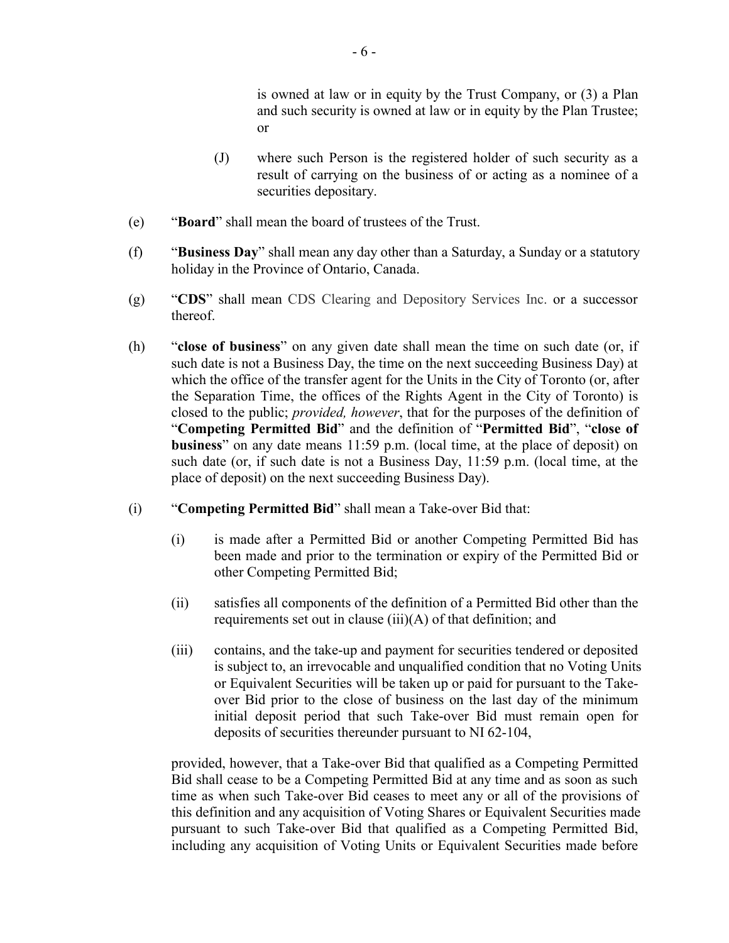is owned at law or in equity by the Trust Company, or (3) a Plan and such security is owned at law or in equity by the Plan Trustee; or

- (J) where such Person is the registered holder of such security as a result of carrying on the business of or acting as a nominee of a securities depositary.
- (e) "**Board**" shall mean the board of trustees of the Trust.
- (f) "**Business Day**" shall mean any day other than a Saturday, a Sunday or a statutory holiday in the Province of Ontario, Canada.
- (g) "**CDS**" shall mean CDS Clearing and Depository Services Inc. or a successor thereof.
- (h) "**close of business**" on any given date shall mean the time on such date (or, if such date is not a Business Day, the time on the next succeeding Business Day) at which the office of the transfer agent for the Units in the City of Toronto (or, after the Separation Time, the offices of the Rights Agent in the City of Toronto) is closed to the public; *provided, however*, that for the purposes of the definition of "**Competing Permitted Bid**" and the definition of "**Permitted Bid**", "**close of business**" on any date means 11:59 p.m. (local time, at the place of deposit) on such date (or, if such date is not a Business Day, 11:59 p.m. (local time, at the place of deposit) on the next succeeding Business Day).
- (i) "**Competing Permitted Bid**" shall mean a Take-over Bid that:
	- (i) is made after a Permitted Bid or another Competing Permitted Bid has been made and prior to the termination or expiry of the Permitted Bid or other Competing Permitted Bid;
	- (ii) satisfies all components of the definition of a Permitted Bid other than the requirements set out in clause (iii)(A) of that definition; and
	- (iii) contains, and the take-up and payment for securities tendered or deposited is subject to, an irrevocable and unqualified condition that no Voting Units or Equivalent Securities will be taken up or paid for pursuant to the Takeover Bid prior to the close of business on the last day of the minimum initial deposit period that such Take-over Bid must remain open for deposits of securities thereunder pursuant to NI 62-104,

provided, however, that a Take-over Bid that qualified as a Competing Permitted Bid shall cease to be a Competing Permitted Bid at any time and as soon as such time as when such Take-over Bid ceases to meet any or all of the provisions of this definition and any acquisition of Voting Shares or Equivalent Securities made pursuant to such Take-over Bid that qualified as a Competing Permitted Bid, including any acquisition of Voting Units or Equivalent Securities made before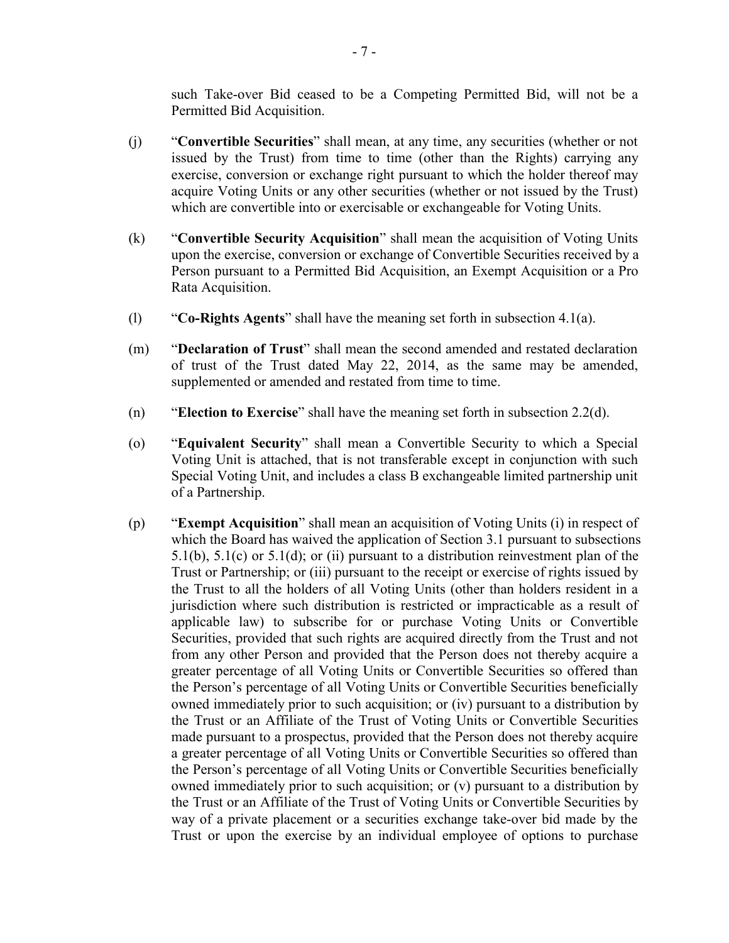such Take-over Bid ceased to be a Competing Permitted Bid, will not be a Permitted Bid Acquisition.

- (j) "**Convertible Securities**" shall mean, at any time, any securities (whether or not issued by the Trust) from time to time (other than the Rights) carrying any exercise, conversion or exchange right pursuant to which the holder thereof may acquire Voting Units or any other securities (whether or not issued by the Trust) which are convertible into or exercisable or exchangeable for Voting Units.
- (k) "**Convertible Security Acquisition**" shall mean the acquisition of Voting Units upon the exercise, conversion or exchange of Convertible Securities received by a Person pursuant to a Permitted Bid Acquisition, an Exempt Acquisition or a Pro Rata Acquisition.
- (l) "**Co-Rights Agents**" shall have the meaning set forth in subsection 4.1(a).
- (m) "**Declaration of Trust**" shall mean the second amended and restated declaration of trust of the Trust dated May 22, 2014, as the same may be amended, supplemented or amended and restated from time to time.
- (n) "**Election to Exercise**" shall have the meaning set forth in subsection 2.2(d).
- (o) "**Equivalent Security**" shall mean a Convertible Security to which a Special Voting Unit is attached, that is not transferable except in conjunction with such Special Voting Unit, and includes a class B exchangeable limited partnership unit of a Partnership.
- (p) "**Exempt Acquisition**" shall mean an acquisition of Voting Units (i) in respect of which the Board has waived the application of Section 3.1 pursuant to subsections 5.1(b), 5.1(c) or 5.1(d); or (ii) pursuant to a distribution reinvestment plan of the Trust or Partnership; or (iii) pursuant to the receipt or exercise of rights issued by the Trust to all the holders of all Voting Units (other than holders resident in a jurisdiction where such distribution is restricted or impracticable as a result of applicable law) to subscribe for or purchase Voting Units or Convertible Securities, provided that such rights are acquired directly from the Trust and not from any other Person and provided that the Person does not thereby acquire a greater percentage of all Voting Units or Convertible Securities so offered than the Person's percentage of all Voting Units or Convertible Securities beneficially owned immediately prior to such acquisition; or (iv) pursuant to a distribution by the Trust or an Affiliate of the Trust of Voting Units or Convertible Securities made pursuant to a prospectus, provided that the Person does not thereby acquire a greater percentage of all Voting Units or Convertible Securities so offered than the Person's percentage of all Voting Units or Convertible Securities beneficially owned immediately prior to such acquisition; or (v) pursuant to a distribution by the Trust or an Affiliate of the Trust of Voting Units or Convertible Securities by way of a private placement or a securities exchange take-over bid made by the Trust or upon the exercise by an individual employee of options to purchase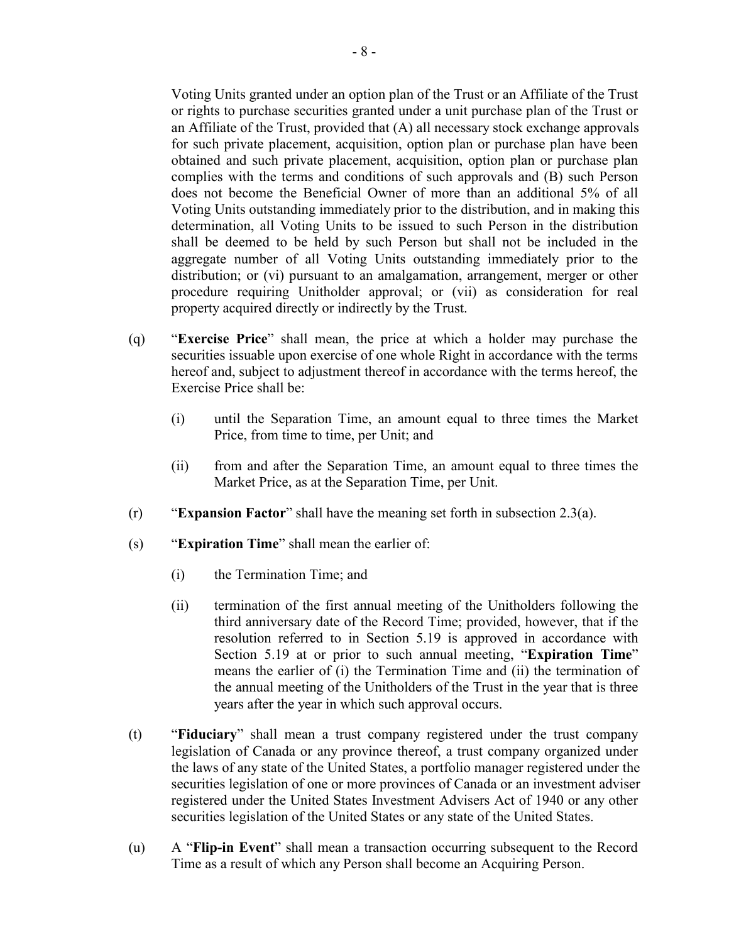Voting Units granted under an option plan of the Trust or an Affiliate of the Trust or rights to purchase securities granted under a unit purchase plan of the Trust or an Affiliate of the Trust, provided that (A) all necessary stock exchange approvals for such private placement, acquisition, option plan or purchase plan have been obtained and such private placement, acquisition, option plan or purchase plan complies with the terms and conditions of such approvals and (B) such Person does not become the Beneficial Owner of more than an additional 5% of all Voting Units outstanding immediately prior to the distribution, and in making this determination, all Voting Units to be issued to such Person in the distribution shall be deemed to be held by such Person but shall not be included in the aggregate number of all Voting Units outstanding immediately prior to the distribution; or (vi) pursuant to an amalgamation, arrangement, merger or other procedure requiring Unitholder approval; or (vii) as consideration for real property acquired directly or indirectly by the Trust.

- (q) "**Exercise Price**" shall mean, the price at which a holder may purchase the securities issuable upon exercise of one whole Right in accordance with the terms hereof and, subject to adjustment thereof in accordance with the terms hereof, the Exercise Price shall be:
	- (i) until the Separation Time, an amount equal to three times the Market Price, from time to time, per Unit; and
	- (ii) from and after the Separation Time, an amount equal to three times the Market Price, as at the Separation Time, per Unit.
- (r) "**Expansion Factor**" shall have the meaning set forth in subsection 2.3(a).
- (s) "**Expiration Time**" shall mean the earlier of:
	- (i) the Termination Time; and
	- (ii) termination of the first annual meeting of the Unitholders following the third anniversary date of the Record Time; provided, however, that if the resolution referred to in Section 5.19 is approved in accordance with Section 5.19 at or prior to such annual meeting, "**Expiration Time**" means the earlier of (i) the Termination Time and (ii) the termination of the annual meeting of the Unitholders of the Trust in the year that is three years after the year in which such approval occurs.
- (t) "**Fiduciary**" shall mean a trust company registered under the trust company legislation of Canada or any province thereof, a trust company organized under the laws of any state of the United States, a portfolio manager registered under the securities legislation of one or more provinces of Canada or an investment adviser registered under the United States Investment Advisers Act of 1940 or any other securities legislation of the United States or any state of the United States.
- (u) A "**Flip-in Event**" shall mean a transaction occurring subsequent to the Record Time as a result of which any Person shall become an Acquiring Person.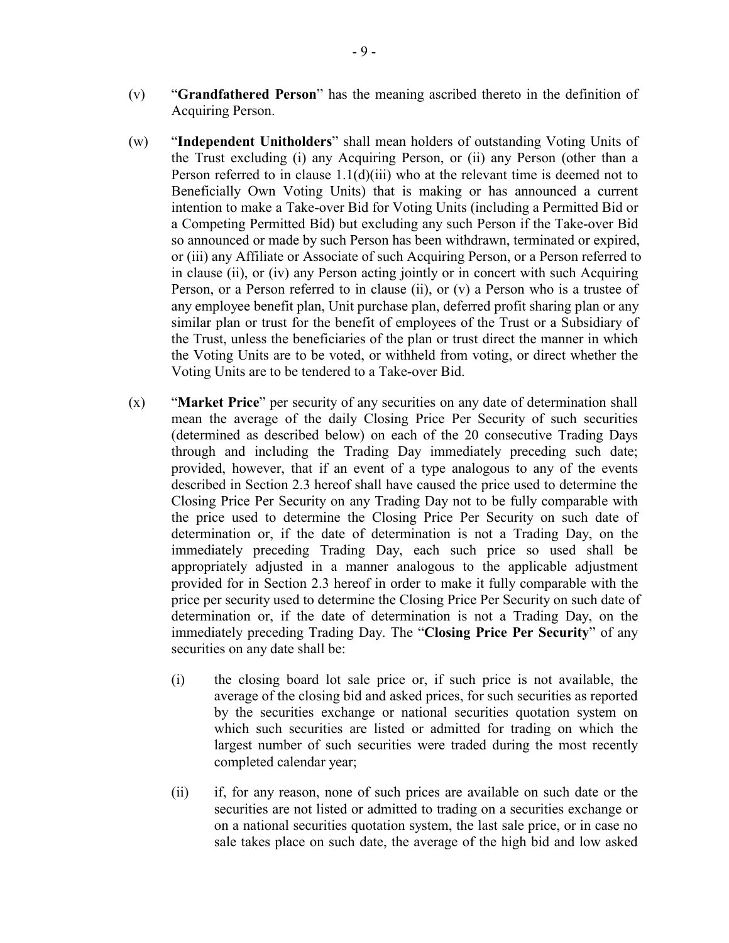- (v) "**Grandfathered Person**" has the meaning ascribed thereto in the definition of Acquiring Person.
- (w) "**Independent Unitholders**" shall mean holders of outstanding Voting Units of the Trust excluding (i) any Acquiring Person, or (ii) any Person (other than a Person referred to in clause  $1.1(d)(iii)$  who at the relevant time is deemed not to Beneficially Own Voting Units) that is making or has announced a current intention to make a Take-over Bid for Voting Units (including a Permitted Bid or a Competing Permitted Bid) but excluding any such Person if the Take-over Bid so announced or made by such Person has been withdrawn, terminated or expired, or (iii) any Affiliate or Associate of such Acquiring Person, or a Person referred to in clause (ii), or (iv) any Person acting jointly or in concert with such Acquiring Person, or a Person referred to in clause (ii), or (v) a Person who is a trustee of any employee benefit plan, Unit purchase plan, deferred profit sharing plan or any similar plan or trust for the benefit of employees of the Trust or a Subsidiary of the Trust, unless the beneficiaries of the plan or trust direct the manner in which the Voting Units are to be voted, or withheld from voting, or direct whether the Voting Units are to be tendered to a Take-over Bid.
- (x) "**Market Price**" per security of any securities on any date of determination shall mean the average of the daily Closing Price Per Security of such securities (determined as described below) on each of the 20 consecutive Trading Days through and including the Trading Day immediately preceding such date; provided, however, that if an event of a type analogous to any of the events described in Section 2.3 hereof shall have caused the price used to determine the Closing Price Per Security on any Trading Day not to be fully comparable with the price used to determine the Closing Price Per Security on such date of determination or, if the date of determination is not a Trading Day, on the immediately preceding Trading Day, each such price so used shall be appropriately adjusted in a manner analogous to the applicable adjustment provided for in Section 2.3 hereof in order to make it fully comparable with the price per security used to determine the Closing Price Per Security on such date of determination or, if the date of determination is not a Trading Day, on the immediately preceding Trading Day. The "**Closing Price Per Security**" of any securities on any date shall be:
	- (i) the closing board lot sale price or, if such price is not available, the average of the closing bid and asked prices, for such securities as reported by the securities exchange or national securities quotation system on which such securities are listed or admitted for trading on which the largest number of such securities were traded during the most recently completed calendar year;
	- (ii) if, for any reason, none of such prices are available on such date or the securities are not listed or admitted to trading on a securities exchange or on a national securities quotation system, the last sale price, or in case no sale takes place on such date, the average of the high bid and low asked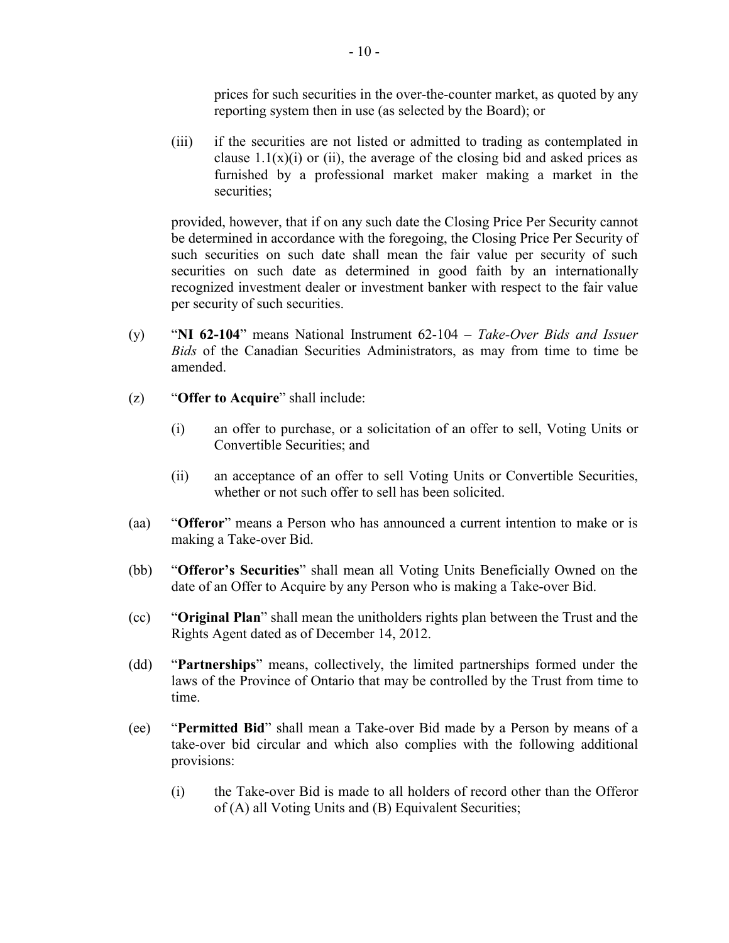prices for such securities in the over-the-counter market, as quoted by any reporting system then in use (as selected by the Board); or

(iii) if the securities are not listed or admitted to trading as contemplated in clause  $1.1(x)(i)$  or (ii), the average of the closing bid and asked prices as furnished by a professional market maker making a market in the securities;

provided, however, that if on any such date the Closing Price Per Security cannot be determined in accordance with the foregoing, the Closing Price Per Security of such securities on such date shall mean the fair value per security of such securities on such date as determined in good faith by an internationally recognized investment dealer or investment banker with respect to the fair value per security of such securities.

- (y) "**NI 62-104**" means National Instrument 62-104 *Take-Over Bids and Issuer Bids* of the Canadian Securities Administrators, as may from time to time be amended.
- (z) "**Offer to Acquire**" shall include:
	- (i) an offer to purchase, or a solicitation of an offer to sell, Voting Units or Convertible Securities; and
	- (ii) an acceptance of an offer to sell Voting Units or Convertible Securities, whether or not such offer to sell has been solicited.
- (aa) "**Offeror**" means a Person who has announced a current intention to make or is making a Take-over Bid.
- (bb) "**Offeror's Securities**" shall mean all Voting Units Beneficially Owned on the date of an Offer to Acquire by any Person who is making a Take-over Bid.
- (cc) "**Original Plan**" shall mean the unitholders rights plan between the Trust and the Rights Agent dated as of December 14, 2012.
- (dd) "**Partnerships**" means, collectively, the limited partnerships formed under the laws of the Province of Ontario that may be controlled by the Trust from time to time.
- (ee) "**Permitted Bid**" shall mean a Take-over Bid made by a Person by means of a take-over bid circular and which also complies with the following additional provisions:
	- (i) the Take-over Bid is made to all holders of record other than the Offeror of (A) all Voting Units and (B) Equivalent Securities;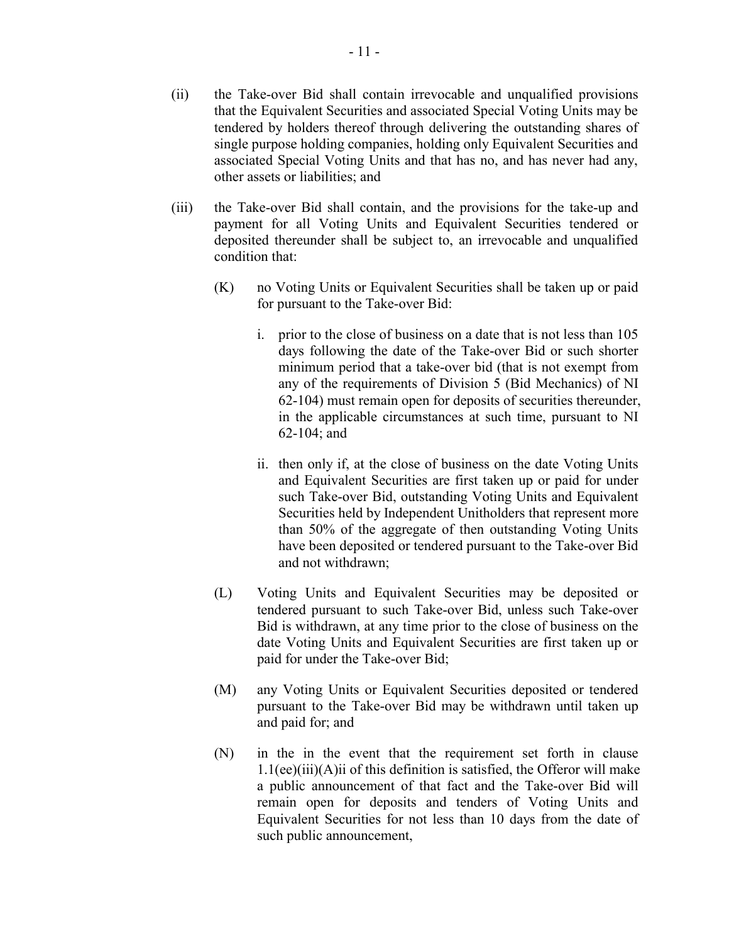- (iii) the Take-over Bid shall contain, and the provisions for the take-up and payment for all Voting Units and Equivalent Securities tendered or deposited thereunder shall be subject to, an irrevocable and unqualified condition that:
	- (K) no Voting Units or Equivalent Securities shall be taken up or paid for pursuant to the Take-over Bid:
		- i. prior to the close of business on a date that is not less than 105 days following the date of the Take-over Bid or such shorter minimum period that a take-over bid (that is not exempt from any of the requirements of Division 5 (Bid Mechanics) of NI 62-104) must remain open for deposits of securities thereunder, in the applicable circumstances at such time, pursuant to NI 62-104; and
		- ii. then only if, at the close of business on the date Voting Units and Equivalent Securities are first taken up or paid for under such Take-over Bid, outstanding Voting Units and Equivalent Securities held by Independent Unitholders that represent more than 50% of the aggregate of then outstanding Voting Units have been deposited or tendered pursuant to the Take-over Bid and not withdrawn;
	- (L) Voting Units and Equivalent Securities may be deposited or tendered pursuant to such Take-over Bid, unless such Take-over Bid is withdrawn, at any time prior to the close of business on the date Voting Units and Equivalent Securities are first taken up or paid for under the Take-over Bid;
	- (M) any Voting Units or Equivalent Securities deposited or tendered pursuant to the Take-over Bid may be withdrawn until taken up and paid for; and
	- (N) in the in the event that the requirement set forth in clause  $1.1$ (ee)(iii)(A)ii of this definition is satisfied, the Offeror will make a public announcement of that fact and the Take-over Bid will remain open for deposits and tenders of Voting Units and Equivalent Securities for not less than 10 days from the date of such public announcement,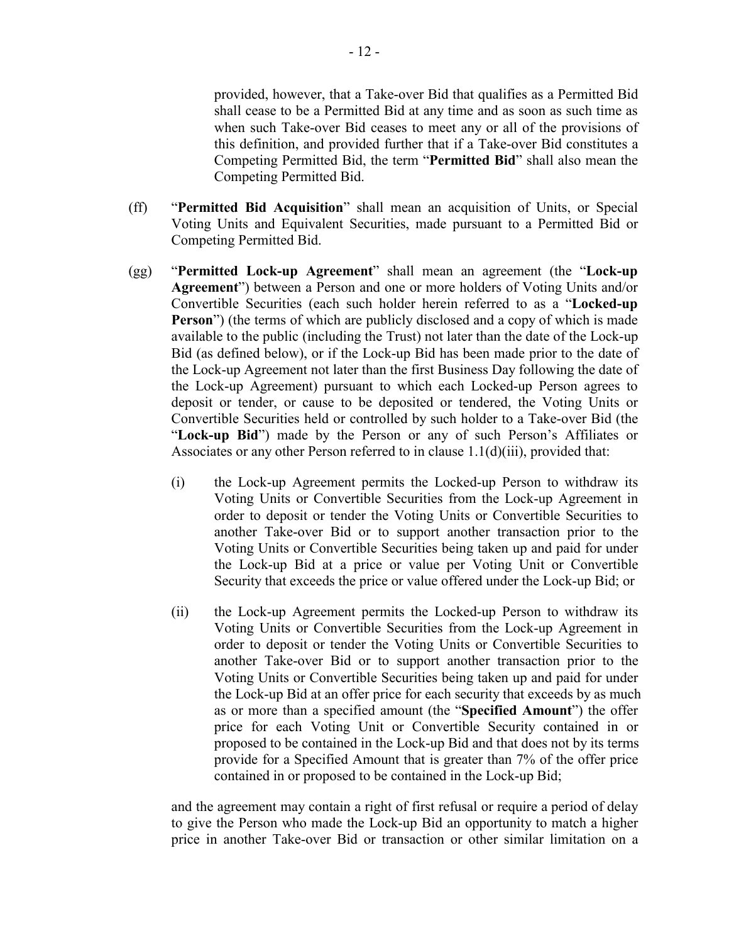provided, however, that a Take-over Bid that qualifies as a Permitted Bid shall cease to be a Permitted Bid at any time and as soon as such time as when such Take-over Bid ceases to meet any or all of the provisions of this definition, and provided further that if a Take-over Bid constitutes a Competing Permitted Bid, the term "**Permitted Bid**" shall also mean the Competing Permitted Bid.

- (ff) "**Permitted Bid Acquisition**" shall mean an acquisition of Units, or Special Voting Units and Equivalent Securities, made pursuant to a Permitted Bid or Competing Permitted Bid.
- (gg) "**Permitted Lock-up Agreement**" shall mean an agreement (the "**Lock-up Agreement**") between a Person and one or more holders of Voting Units and/or Convertible Securities (each such holder herein referred to as a "**Locked-up Person**") (the terms of which are publicly disclosed and a copy of which is made available to the public (including the Trust) not later than the date of the Lock-up Bid (as defined below), or if the Lock-up Bid has been made prior to the date of the Lock-up Agreement not later than the first Business Day following the date of the Lock-up Agreement) pursuant to which each Locked-up Person agrees to deposit or tender, or cause to be deposited or tendered, the Voting Units or Convertible Securities held or controlled by such holder to a Take-over Bid (the "**Lock-up Bid**") made by the Person or any of such Person's Affiliates or Associates or any other Person referred to in clause 1.1(d)(iii), provided that:
	- (i) the Lock-up Agreement permits the Locked-up Person to withdraw its Voting Units or Convertible Securities from the Lock-up Agreement in order to deposit or tender the Voting Units or Convertible Securities to another Take-over Bid or to support another transaction prior to the Voting Units or Convertible Securities being taken up and paid for under the Lock-up Bid at a price or value per Voting Unit or Convertible Security that exceeds the price or value offered under the Lock-up Bid; or
	- (ii) the Lock-up Agreement permits the Locked-up Person to withdraw its Voting Units or Convertible Securities from the Lock-up Agreement in order to deposit or tender the Voting Units or Convertible Securities to another Take-over Bid or to support another transaction prior to the Voting Units or Convertible Securities being taken up and paid for under the Lock-up Bid at an offer price for each security that exceeds by as much as or more than a specified amount (the "**Specified Amount**") the offer price for each Voting Unit or Convertible Security contained in or proposed to be contained in the Lock-up Bid and that does not by its terms provide for a Specified Amount that is greater than 7% of the offer price contained in or proposed to be contained in the Lock-up Bid;

and the agreement may contain a right of first refusal or require a period of delay to give the Person who made the Lock-up Bid an opportunity to match a higher price in another Take-over Bid or transaction or other similar limitation on a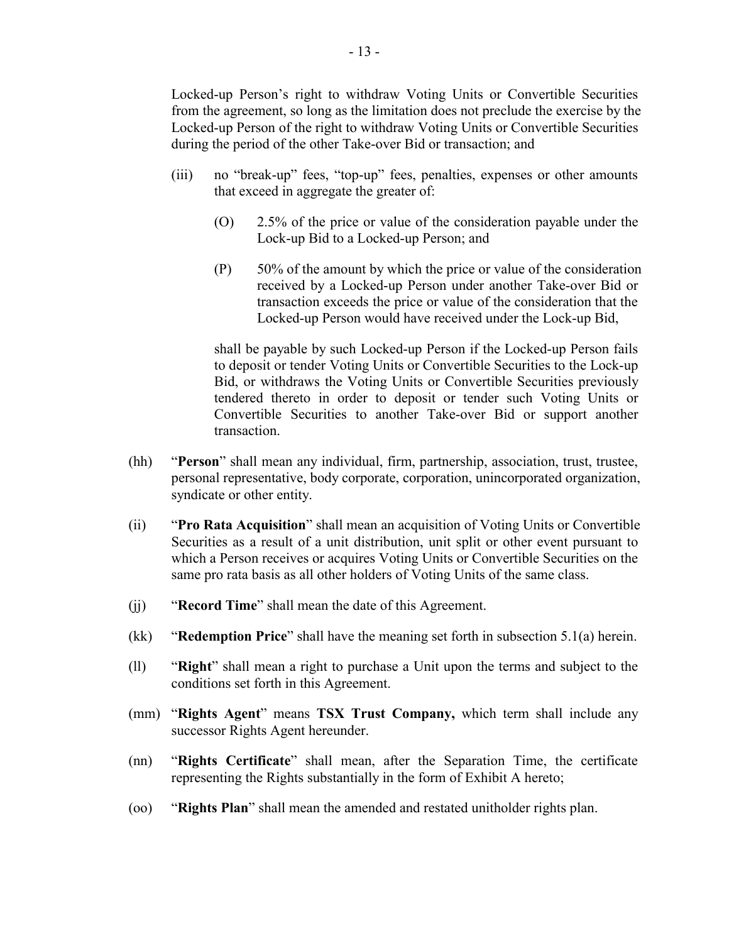Locked-up Person's right to withdraw Voting Units or Convertible Securities from the agreement, so long as the limitation does not preclude the exercise by the Locked-up Person of the right to withdraw Voting Units or Convertible Securities during the period of the other Take-over Bid or transaction; and

- (iii) no "break-up" fees, "top-up" fees, penalties, expenses or other amounts that exceed in aggregate the greater of:
	- (O) 2.5% of the price or value of the consideration payable under the Lock-up Bid to a Locked-up Person; and
	- (P) 50% of the amount by which the price or value of the consideration received by a Locked-up Person under another Take-over Bid or transaction exceeds the price or value of the consideration that the Locked-up Person would have received under the Lock-up Bid,

shall be payable by such Locked-up Person if the Locked-up Person fails to deposit or tender Voting Units or Convertible Securities to the Lock-up Bid, or withdraws the Voting Units or Convertible Securities previously tendered thereto in order to deposit or tender such Voting Units or Convertible Securities to another Take-over Bid or support another transaction.

- (hh) "**Person**" shall mean any individual, firm, partnership, association, trust, trustee, personal representative, body corporate, corporation, unincorporated organization, syndicate or other entity.
- (ii) "**Pro Rata Acquisition**" shall mean an acquisition of Voting Units or Convertible Securities as a result of a unit distribution, unit split or other event pursuant to which a Person receives or acquires Voting Units or Convertible Securities on the same pro rata basis as all other holders of Voting Units of the same class.
- (jj) "**Record Time**" shall mean the date of this Agreement.
- (kk) "**Redemption Price**" shall have the meaning set forth in subsection 5.1(a) herein.
- (ll) "**Right**" shall mean a right to purchase a Unit upon the terms and subject to the conditions set forth in this Agreement.
- (mm) "**Rights Agent**" means **TSX Trust Company,** which term shall include any successor Rights Agent hereunder.
- (nn) "**Rights Certificate**" shall mean, after the Separation Time, the certificate representing the Rights substantially in the form of Exhibit A hereto;
- (oo) "**Rights Plan**" shall mean the amended and restated unitholder rights plan.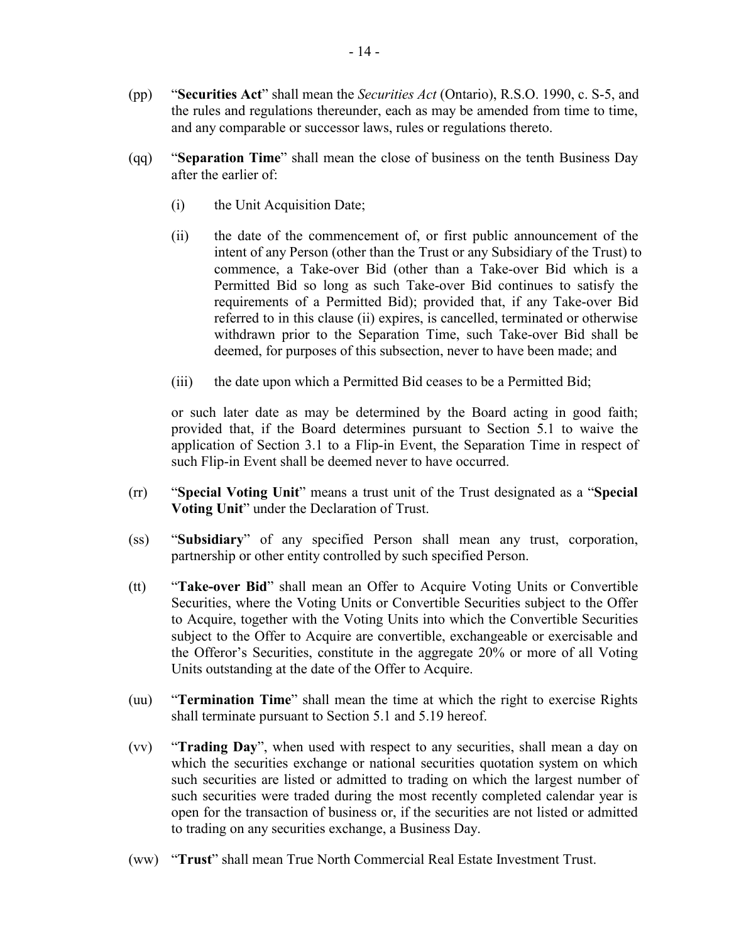- (pp) "**Securities Act**" shall mean the *Securities Act* (Ontario), R.S.O. 1990, c. S-5, and the rules and regulations thereunder, each as may be amended from time to time, and any comparable or successor laws, rules or regulations thereto.
- (qq) "**Separation Time**" shall mean the close of business on the tenth Business Day after the earlier of:
	- (i) the Unit Acquisition Date;
	- (ii) the date of the commencement of, or first public announcement of the intent of any Person (other than the Trust or any Subsidiary of the Trust) to commence, a Take-over Bid (other than a Take-over Bid which is a Permitted Bid so long as such Take-over Bid continues to satisfy the requirements of a Permitted Bid); provided that, if any Take-over Bid referred to in this clause (ii) expires, is cancelled, terminated or otherwise withdrawn prior to the Separation Time, such Take-over Bid shall be deemed, for purposes of this subsection, never to have been made; and
	- (iii) the date upon which a Permitted Bid ceases to be a Permitted Bid;

or such later date as may be determined by the Board acting in good faith; provided that, if the Board determines pursuant to Section 5.1 to waive the application of Section 3.1 to a Flip-in Event, the Separation Time in respect of such Flip-in Event shall be deemed never to have occurred.

- (rr) "**Special Voting Unit**" means a trust unit of the Trust designated as a "**Special Voting Unit**" under the Declaration of Trust.
- (ss) "**Subsidiary**" of any specified Person shall mean any trust, corporation, partnership or other entity controlled by such specified Person.
- (tt) "**Take-over Bid**" shall mean an Offer to Acquire Voting Units or Convertible Securities, where the Voting Units or Convertible Securities subject to the Offer to Acquire, together with the Voting Units into which the Convertible Securities subject to the Offer to Acquire are convertible, exchangeable or exercisable and the Offeror's Securities, constitute in the aggregate 20% or more of all Voting Units outstanding at the date of the Offer to Acquire.
- (uu) "**Termination Time**" shall mean the time at which the right to exercise Rights shall terminate pursuant to Section 5.1 and 5.19 hereof.
- (vv) "**Trading Day**", when used with respect to any securities, shall mean a day on which the securities exchange or national securities quotation system on which such securities are listed or admitted to trading on which the largest number of such securities were traded during the most recently completed calendar year is open for the transaction of business or, if the securities are not listed or admitted to trading on any securities exchange, a Business Day.
- (ww) "**Trust**" shall mean True North Commercial Real Estate Investment Trust.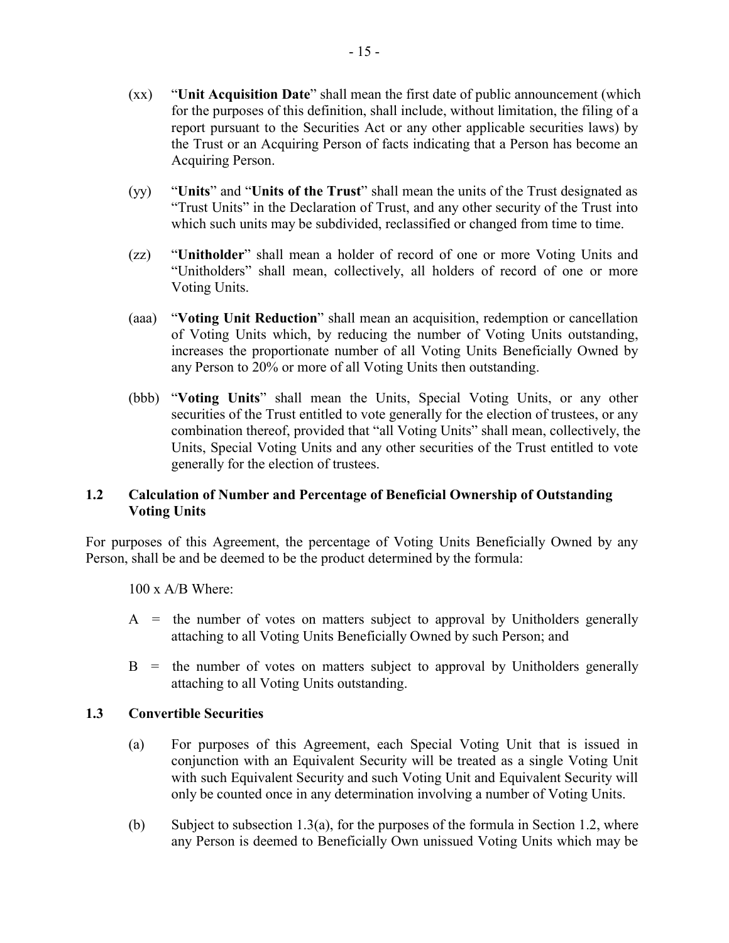- (xx) "**Unit Acquisition Date**" shall mean the first date of public announcement (which for the purposes of this definition, shall include, without limitation, the filing of a report pursuant to the Securities Act or any other applicable securities laws) by the Trust or an Acquiring Person of facts indicating that a Person has become an Acquiring Person.
- (yy) "**Units**" and "**Units of the Trust**" shall mean the units of the Trust designated as "Trust Units" in the Declaration of Trust, and any other security of the Trust into which such units may be subdivided, reclassified or changed from time to time.
- (zz) "**Unitholder**" shall mean a holder of record of one or more Voting Units and "Unitholders" shall mean, collectively, all holders of record of one or more Voting Units.
- (aaa) "**Voting Unit Reduction**" shall mean an acquisition, redemption or cancellation of Voting Units which, by reducing the number of Voting Units outstanding, increases the proportionate number of all Voting Units Beneficially Owned by any Person to 20% or more of all Voting Units then outstanding.
- (bbb) "**Voting Units**" shall mean the Units, Special Voting Units, or any other securities of the Trust entitled to vote generally for the election of trustees, or any combination thereof, provided that "all Voting Units" shall mean, collectively, the Units, Special Voting Units and any other securities of the Trust entitled to vote generally for the election of trustees.

# **1.2 Calculation of Number and Percentage of Beneficial Ownership of Outstanding Voting Units**

For purposes of this Agreement, the percentage of Voting Units Beneficially Owned by any Person, shall be and be deemed to be the product determined by the formula:

100 x A/B Where:

- $A =$  the number of votes on matters subject to approval by Unitholders generally attaching to all Voting Units Beneficially Owned by such Person; and
- $B =$  the number of votes on matters subject to approval by Unitholders generally attaching to all Voting Units outstanding.

# **1.3 Convertible Securities**

- (a) For purposes of this Agreement, each Special Voting Unit that is issued in conjunction with an Equivalent Security will be treated as a single Voting Unit with such Equivalent Security and such Voting Unit and Equivalent Security will only be counted once in any determination involving a number of Voting Units.
- (b) Subject to subsection 1.3(a), for the purposes of the formula in Section 1.2, where any Person is deemed to Beneficially Own unissued Voting Units which may be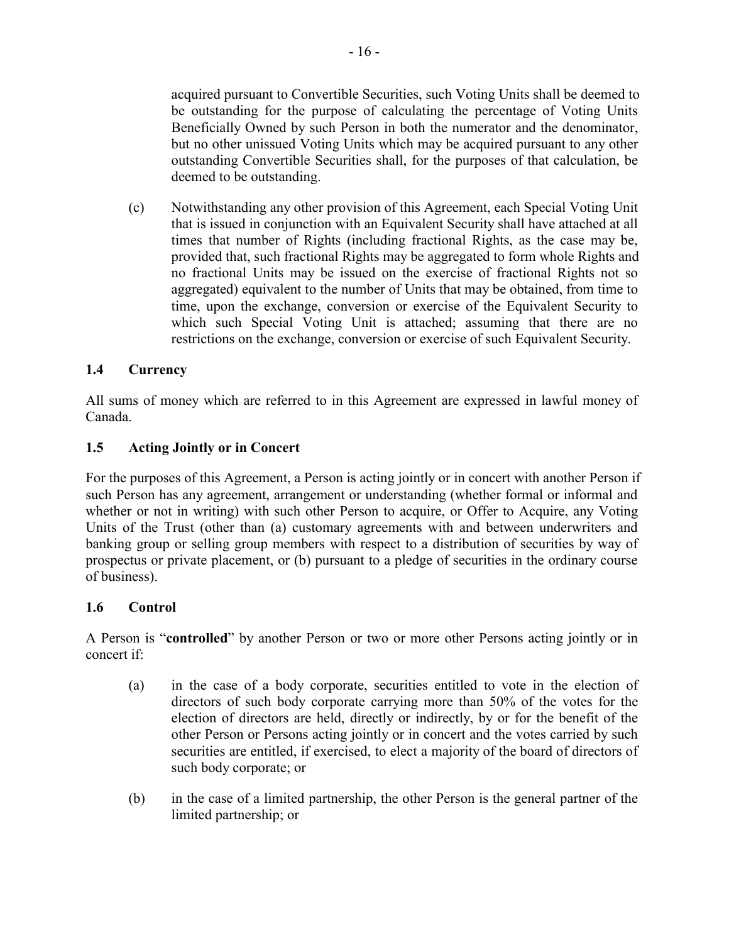acquired pursuant to Convertible Securities, such Voting Units shall be deemed to be outstanding for the purpose of calculating the percentage of Voting Units Beneficially Owned by such Person in both the numerator and the denominator, but no other unissued Voting Units which may be acquired pursuant to any other outstanding Convertible Securities shall, for the purposes of that calculation, be deemed to be outstanding.

(c) Notwithstanding any other provision of this Agreement, each Special Voting Unit that is issued in conjunction with an Equivalent Security shall have attached at all times that number of Rights (including fractional Rights, as the case may be, provided that, such fractional Rights may be aggregated to form whole Rights and no fractional Units may be issued on the exercise of fractional Rights not so aggregated) equivalent to the number of Units that may be obtained, from time to time, upon the exchange, conversion or exercise of the Equivalent Security to which such Special Voting Unit is attached; assuming that there are no restrictions on the exchange, conversion or exercise of such Equivalent Security.

# **1.4 Currency**

All sums of money which are referred to in this Agreement are expressed in lawful money of Canada.

# **1.5 Acting Jointly or in Concert**

For the purposes of this Agreement, a Person is acting jointly or in concert with another Person if such Person has any agreement, arrangement or understanding (whether formal or informal and whether or not in writing) with such other Person to acquire, or Offer to Acquire, any Voting Units of the Trust (other than (a) customary agreements with and between underwriters and banking group or selling group members with respect to a distribution of securities by way of prospectus or private placement, or (b) pursuant to a pledge of securities in the ordinary course of business).

# **1.6 Control**

A Person is "**controlled**" by another Person or two or more other Persons acting jointly or in concert if:

- (a) in the case of a body corporate, securities entitled to vote in the election of directors of such body corporate carrying more than 50% of the votes for the election of directors are held, directly or indirectly, by or for the benefit of the other Person or Persons acting jointly or in concert and the votes carried by such securities are entitled, if exercised, to elect a majority of the board of directors of such body corporate; or
- (b) in the case of a limited partnership, the other Person is the general partner of the limited partnership; or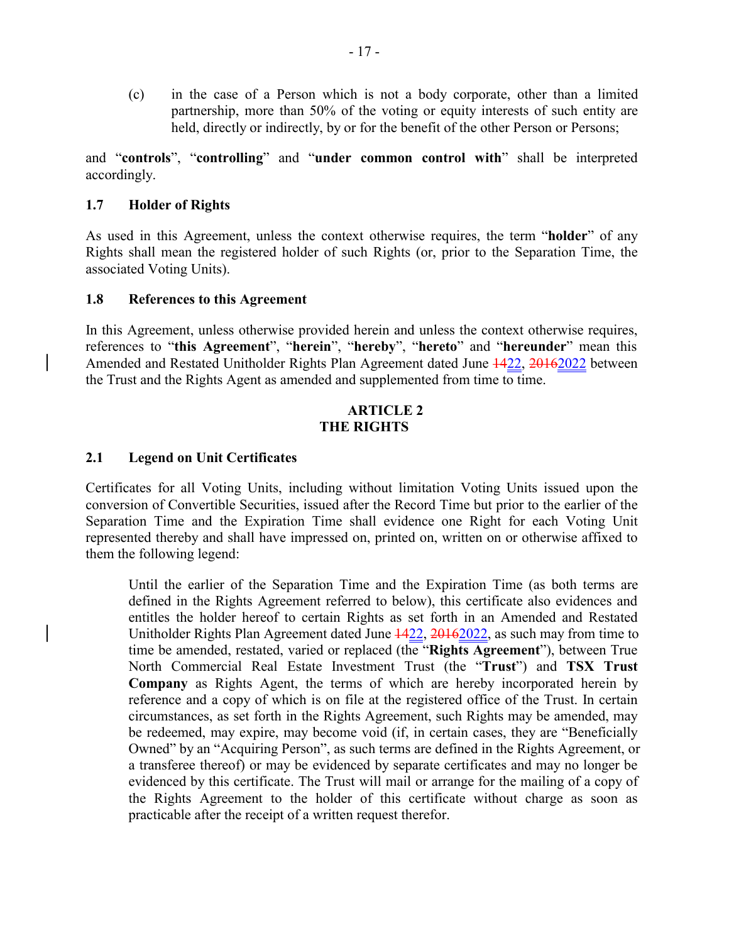(c) in the case of a Person which is not a body corporate, other than a limited partnership, more than 50% of the voting or equity interests of such entity are held, directly or indirectly, by or for the benefit of the other Person or Persons;

and "**controls**", "**controlling**" and "**under common control with**" shall be interpreted accordingly.

## **1.7 Holder of Rights**

As used in this Agreement, unless the context otherwise requires, the term "**holder**" of any Rights shall mean the registered holder of such Rights (or, prior to the Separation Time, the associated Voting Units).

#### **1.8 References to this Agreement**

In this Agreement, unless otherwise provided herein and unless the context otherwise requires, references to "**this Agreement**", "**herein**", "**hereby**", "**hereto**" and "**hereunder**" mean this Amended and Restated Unitholder Rights Plan Agreement dated June 1422, 20162022 between the Trust and the Rights Agent as amended and supplemented from time to time.

#### **ARTICLE 2 THE RIGHTS**

#### **2.1 Legend on Unit Certificates**

Certificates for all Voting Units, including without limitation Voting Units issued upon the conversion of Convertible Securities, issued after the Record Time but prior to the earlier of the Separation Time and the Expiration Time shall evidence one Right for each Voting Unit represented thereby and shall have impressed on, printed on, written on or otherwise affixed to them the following legend:

Until the earlier of the Separation Time and the Expiration Time (as both terms are defined in the Rights Agreement referred to below), this certificate also evidences and entitles the holder hereof to certain Rights as set forth in an Amended and Restated Unitholder Rights Plan Agreement dated June 1422, 20162022, as such may from time to time be amended, restated, varied or replaced (the "**Rights Agreement**"), between True North Commercial Real Estate Investment Trust (the "**Trust**") and **TSX Trust Company** as Rights Agent, the terms of which are hereby incorporated herein by reference and a copy of which is on file at the registered office of the Trust. In certain circumstances, as set forth in the Rights Agreement, such Rights may be amended, may be redeemed, may expire, may become void (if, in certain cases, they are "Beneficially Owned" by an "Acquiring Person", as such terms are defined in the Rights Agreement, or a transferee thereof) or may be evidenced by separate certificates and may no longer be evidenced by this certificate. The Trust will mail or arrange for the mailing of a copy of the Rights Agreement to the holder of this certificate without charge as soon as practicable after the receipt of a written request therefor.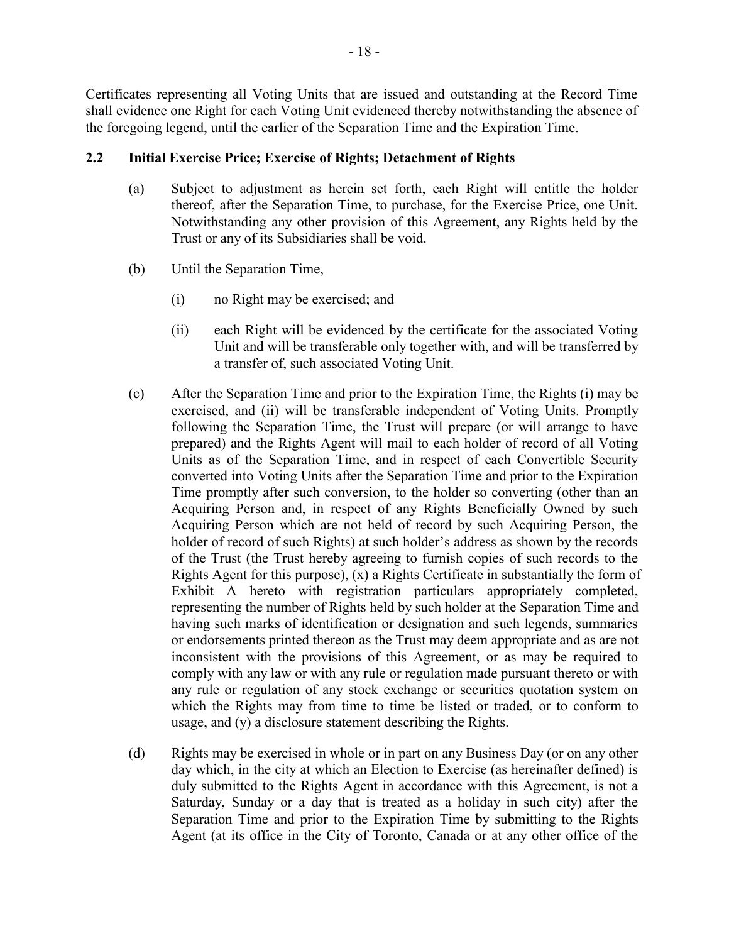Certificates representing all Voting Units that are issued and outstanding at the Record Time shall evidence one Right for each Voting Unit evidenced thereby notwithstanding the absence of the foregoing legend, until the earlier of the Separation Time and the Expiration Time.

# **2.2 Initial Exercise Price; Exercise of Rights; Detachment of Rights**

- (a) Subject to adjustment as herein set forth, each Right will entitle the holder thereof, after the Separation Time, to purchase, for the Exercise Price, one Unit. Notwithstanding any other provision of this Agreement, any Rights held by the Trust or any of its Subsidiaries shall be void.
- (b) Until the Separation Time,
	- (i) no Right may be exercised; and
	- (ii) each Right will be evidenced by the certificate for the associated Voting Unit and will be transferable only together with, and will be transferred by a transfer of, such associated Voting Unit.
- (c) After the Separation Time and prior to the Expiration Time, the Rights (i) may be exercised, and (ii) will be transferable independent of Voting Units. Promptly following the Separation Time, the Trust will prepare (or will arrange to have prepared) and the Rights Agent will mail to each holder of record of all Voting Units as of the Separation Time, and in respect of each Convertible Security converted into Voting Units after the Separation Time and prior to the Expiration Time promptly after such conversion, to the holder so converting (other than an Acquiring Person and, in respect of any Rights Beneficially Owned by such Acquiring Person which are not held of record by such Acquiring Person, the holder of record of such Rights) at such holder's address as shown by the records of the Trust (the Trust hereby agreeing to furnish copies of such records to the Rights Agent for this purpose), (x) a Rights Certificate in substantially the form of Exhibit A hereto with registration particulars appropriately completed, representing the number of Rights held by such holder at the Separation Time and having such marks of identification or designation and such legends, summaries or endorsements printed thereon as the Trust may deem appropriate and as are not inconsistent with the provisions of this Agreement, or as may be required to comply with any law or with any rule or regulation made pursuant thereto or with any rule or regulation of any stock exchange or securities quotation system on which the Rights may from time to time be listed or traded, or to conform to usage, and (y) a disclosure statement describing the Rights.
- (d) Rights may be exercised in whole or in part on any Business Day (or on any other day which, in the city at which an Election to Exercise (as hereinafter defined) is duly submitted to the Rights Agent in accordance with this Agreement, is not a Saturday, Sunday or a day that is treated as a holiday in such city) after the Separation Time and prior to the Expiration Time by submitting to the Rights Agent (at its office in the City of Toronto, Canada or at any other office of the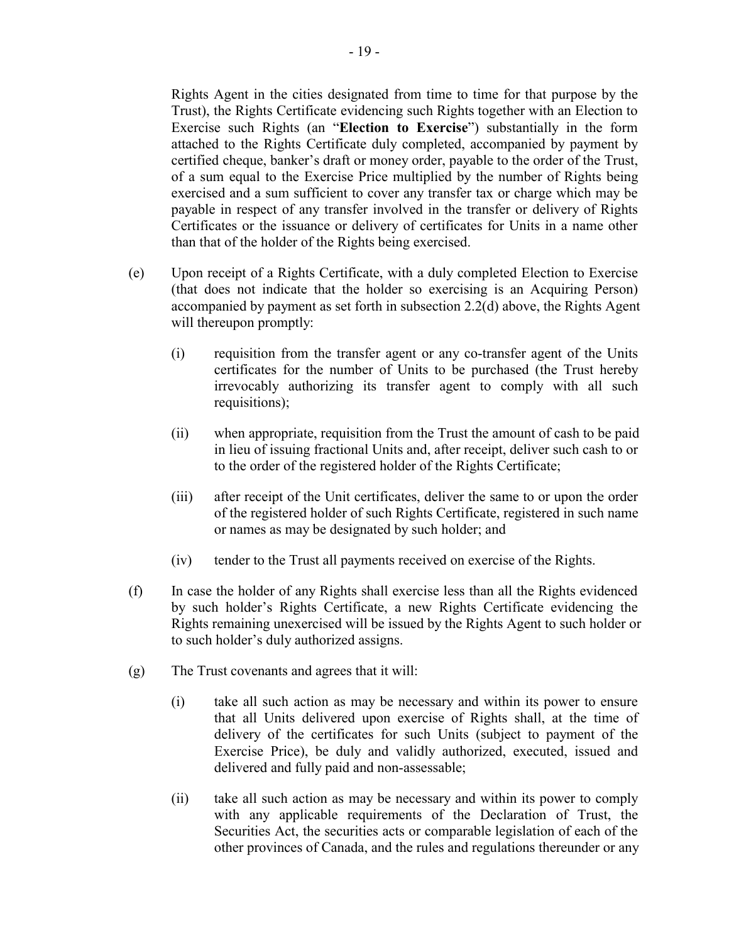Rights Agent in the cities designated from time to time for that purpose by the Trust), the Rights Certificate evidencing such Rights together with an Election to Exercise such Rights (an "**Election to Exercise**") substantially in the form attached to the Rights Certificate duly completed, accompanied by payment by certified cheque, banker's draft or money order, payable to the order of the Trust, of a sum equal to the Exercise Price multiplied by the number of Rights being exercised and a sum sufficient to cover any transfer tax or charge which may be payable in respect of any transfer involved in the transfer or delivery of Rights Certificates or the issuance or delivery of certificates for Units in a name other than that of the holder of the Rights being exercised.

- (e) Upon receipt of a Rights Certificate, with a duly completed Election to Exercise (that does not indicate that the holder so exercising is an Acquiring Person) accompanied by payment as set forth in subsection 2.2(d) above, the Rights Agent will thereupon promptly:
	- (i) requisition from the transfer agent or any co-transfer agent of the Units certificates for the number of Units to be purchased (the Trust hereby irrevocably authorizing its transfer agent to comply with all such requisitions);
	- (ii) when appropriate, requisition from the Trust the amount of cash to be paid in lieu of issuing fractional Units and, after receipt, deliver such cash to or to the order of the registered holder of the Rights Certificate;
	- (iii) after receipt of the Unit certificates, deliver the same to or upon the order of the registered holder of such Rights Certificate, registered in such name or names as may be designated by such holder; and
	- (iv) tender to the Trust all payments received on exercise of the Rights.
- (f) In case the holder of any Rights shall exercise less than all the Rights evidenced by such holder's Rights Certificate, a new Rights Certificate evidencing the Rights remaining unexercised will be issued by the Rights Agent to such holder or to such holder's duly authorized assigns.
- (g) The Trust covenants and agrees that it will:
	- (i) take all such action as may be necessary and within its power to ensure that all Units delivered upon exercise of Rights shall, at the time of delivery of the certificates for such Units (subject to payment of the Exercise Price), be duly and validly authorized, executed, issued and delivered and fully paid and non-assessable;
	- (ii) take all such action as may be necessary and within its power to comply with any applicable requirements of the Declaration of Trust, the Securities Act, the securities acts or comparable legislation of each of the other provinces of Canada, and the rules and regulations thereunder or any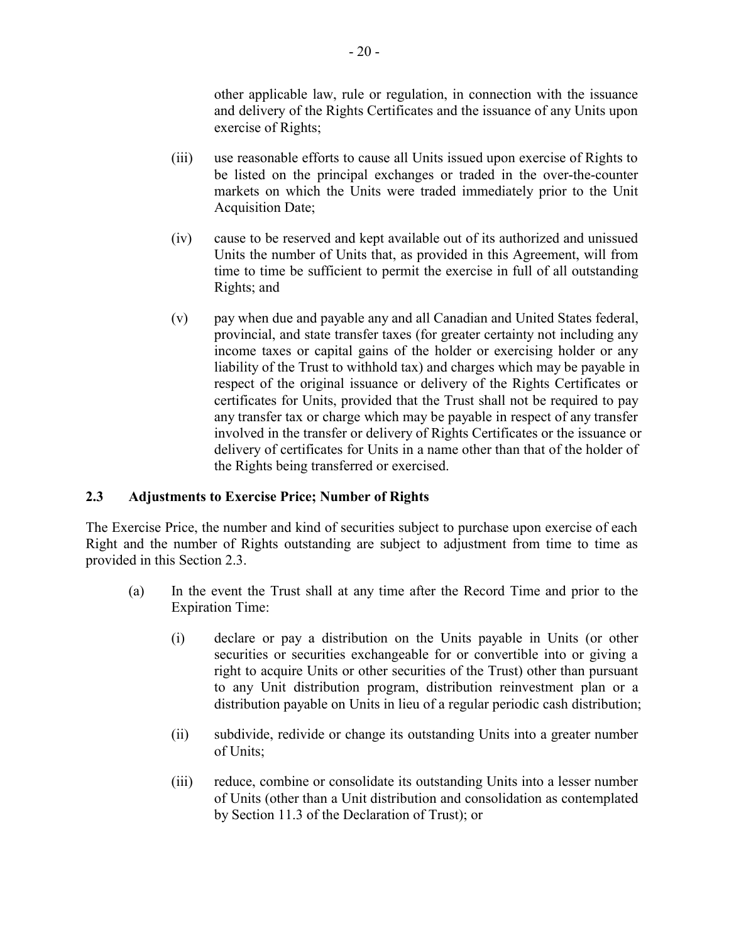other applicable law, rule or regulation, in connection with the issuance and delivery of the Rights Certificates and the issuance of any Units upon exercise of Rights;

- (iii) use reasonable efforts to cause all Units issued upon exercise of Rights to be listed on the principal exchanges or traded in the over-the-counter markets on which the Units were traded immediately prior to the Unit Acquisition Date;
- (iv) cause to be reserved and kept available out of its authorized and unissued Units the number of Units that, as provided in this Agreement, will from time to time be sufficient to permit the exercise in full of all outstanding Rights; and
- (v) pay when due and payable any and all Canadian and United States federal, provincial, and state transfer taxes (for greater certainty not including any income taxes or capital gains of the holder or exercising holder or any liability of the Trust to withhold tax) and charges which may be payable in respect of the original issuance or delivery of the Rights Certificates or certificates for Units, provided that the Trust shall not be required to pay any transfer tax or charge which may be payable in respect of any transfer involved in the transfer or delivery of Rights Certificates or the issuance or delivery of certificates for Units in a name other than that of the holder of the Rights being transferred or exercised.

# **2.3 Adjustments to Exercise Price; Number of Rights**

The Exercise Price, the number and kind of securities subject to purchase upon exercise of each Right and the number of Rights outstanding are subject to adjustment from time to time as provided in this Section 2.3.

- (a) In the event the Trust shall at any time after the Record Time and prior to the Expiration Time:
	- (i) declare or pay a distribution on the Units payable in Units (or other securities or securities exchangeable for or convertible into or giving a right to acquire Units or other securities of the Trust) other than pursuant to any Unit distribution program, distribution reinvestment plan or a distribution payable on Units in lieu of a regular periodic cash distribution;
	- (ii) subdivide, redivide or change its outstanding Units into a greater number of Units;
	- (iii) reduce, combine or consolidate its outstanding Units into a lesser number of Units (other than a Unit distribution and consolidation as contemplated by Section 11.3 of the Declaration of Trust); or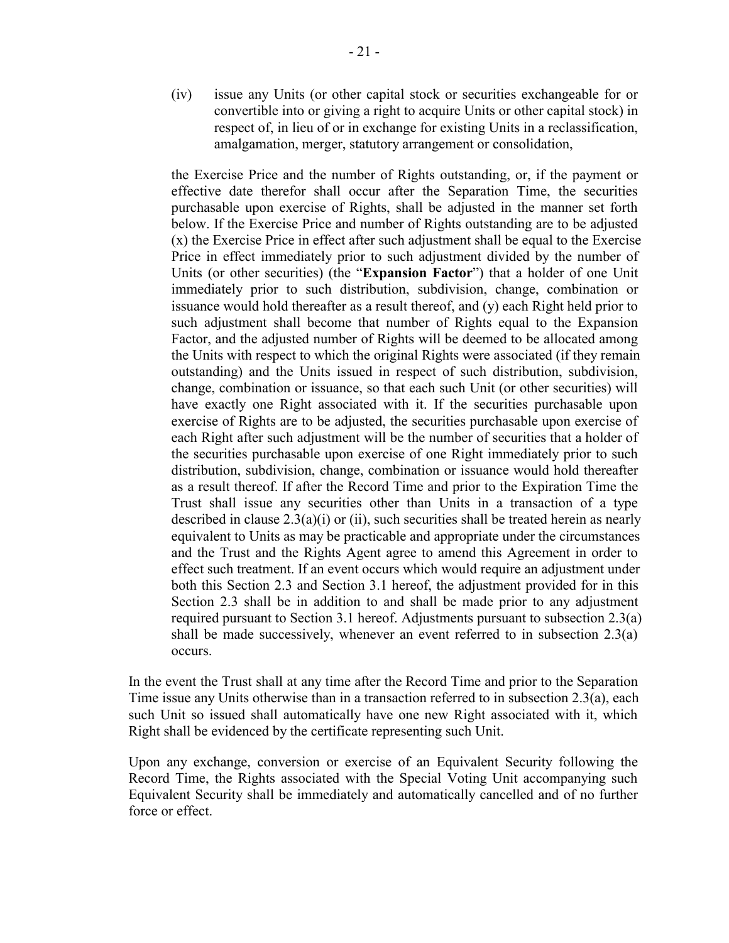(iv) issue any Units (or other capital stock or securities exchangeable for or convertible into or giving a right to acquire Units or other capital stock) in respect of, in lieu of or in exchange for existing Units in a reclassification, amalgamation, merger, statutory arrangement or consolidation,

the Exercise Price and the number of Rights outstanding, or, if the payment or effective date therefor shall occur after the Separation Time, the securities purchasable upon exercise of Rights, shall be adjusted in the manner set forth below. If the Exercise Price and number of Rights outstanding are to be adjusted (x) the Exercise Price in effect after such adjustment shall be equal to the Exercise Price in effect immediately prior to such adjustment divided by the number of Units (or other securities) (the "**Expansion Factor**") that a holder of one Unit immediately prior to such distribution, subdivision, change, combination or issuance would hold thereafter as a result thereof, and (y) each Right held prior to such adjustment shall become that number of Rights equal to the Expansion Factor, and the adjusted number of Rights will be deemed to be allocated among the Units with respect to which the original Rights were associated (if they remain outstanding) and the Units issued in respect of such distribution, subdivision, change, combination or issuance, so that each such Unit (or other securities) will have exactly one Right associated with it. If the securities purchasable upon exercise of Rights are to be adjusted, the securities purchasable upon exercise of each Right after such adjustment will be the number of securities that a holder of the securities purchasable upon exercise of one Right immediately prior to such distribution, subdivision, change, combination or issuance would hold thereafter as a result thereof. If after the Record Time and prior to the Expiration Time the Trust shall issue any securities other than Units in a transaction of a type described in clause  $2.3(a)(i)$  or (ii), such securities shall be treated herein as nearly equivalent to Units as may be practicable and appropriate under the circumstances and the Trust and the Rights Agent agree to amend this Agreement in order to effect such treatment. If an event occurs which would require an adjustment under both this Section 2.3 and Section 3.1 hereof, the adjustment provided for in this Section 2.3 shall be in addition to and shall be made prior to any adjustment required pursuant to Section 3.1 hereof. Adjustments pursuant to subsection 2.3(a) shall be made successively, whenever an event referred to in subsection 2.3(a) occurs.

In the event the Trust shall at any time after the Record Time and prior to the Separation Time issue any Units otherwise than in a transaction referred to in subsection 2.3(a), each such Unit so issued shall automatically have one new Right associated with it, which Right shall be evidenced by the certificate representing such Unit.

Upon any exchange, conversion or exercise of an Equivalent Security following the Record Time, the Rights associated with the Special Voting Unit accompanying such Equivalent Security shall be immediately and automatically cancelled and of no further force or effect.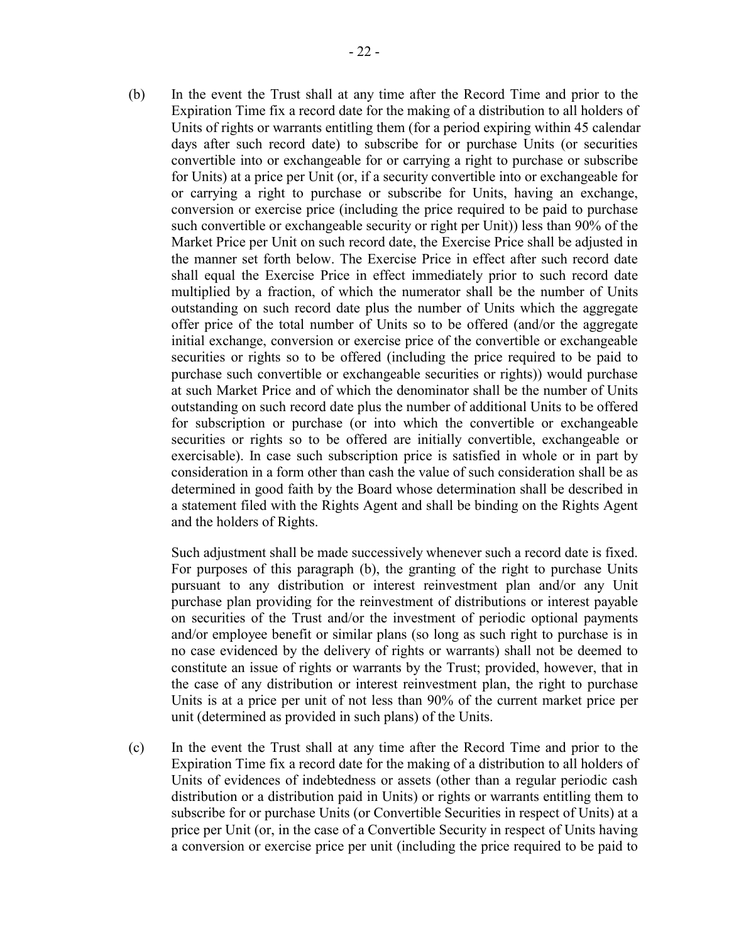(b) In the event the Trust shall at any time after the Record Time and prior to the Expiration Time fix a record date for the making of a distribution to all holders of Units of rights or warrants entitling them (for a period expiring within 45 calendar days after such record date) to subscribe for or purchase Units (or securities convertible into or exchangeable for or carrying a right to purchase or subscribe for Units) at a price per Unit (or, if a security convertible into or exchangeable for or carrying a right to purchase or subscribe for Units, having an exchange, conversion or exercise price (including the price required to be paid to purchase such convertible or exchangeable security or right per Unit)) less than 90% of the Market Price per Unit on such record date, the Exercise Price shall be adjusted in the manner set forth below. The Exercise Price in effect after such record date shall equal the Exercise Price in effect immediately prior to such record date multiplied by a fraction, of which the numerator shall be the number of Units outstanding on such record date plus the number of Units which the aggregate offer price of the total number of Units so to be offered (and/or the aggregate initial exchange, conversion or exercise price of the convertible or exchangeable securities or rights so to be offered (including the price required to be paid to purchase such convertible or exchangeable securities or rights)) would purchase at such Market Price and of which the denominator shall be the number of Units outstanding on such record date plus the number of additional Units to be offered for subscription or purchase (or into which the convertible or exchangeable securities or rights so to be offered are initially convertible, exchangeable or exercisable). In case such subscription price is satisfied in whole or in part by consideration in a form other than cash the value of such consideration shall be as determined in good faith by the Board whose determination shall be described in a statement filed with the Rights Agent and shall be binding on the Rights Agent and the holders of Rights.

Such adjustment shall be made successively whenever such a record date is fixed. For purposes of this paragraph (b), the granting of the right to purchase Units pursuant to any distribution or interest reinvestment plan and/or any Unit purchase plan providing for the reinvestment of distributions or interest payable on securities of the Trust and/or the investment of periodic optional payments and/or employee benefit or similar plans (so long as such right to purchase is in no case evidenced by the delivery of rights or warrants) shall not be deemed to constitute an issue of rights or warrants by the Trust; provided, however, that in the case of any distribution or interest reinvestment plan, the right to purchase Units is at a price per unit of not less than 90% of the current market price per unit (determined as provided in such plans) of the Units.

(c) In the event the Trust shall at any time after the Record Time and prior to the Expiration Time fix a record date for the making of a distribution to all holders of Units of evidences of indebtedness or assets (other than a regular periodic cash distribution or a distribution paid in Units) or rights or warrants entitling them to subscribe for or purchase Units (or Convertible Securities in respect of Units) at a price per Unit (or, in the case of a Convertible Security in respect of Units having a conversion or exercise price per unit (including the price required to be paid to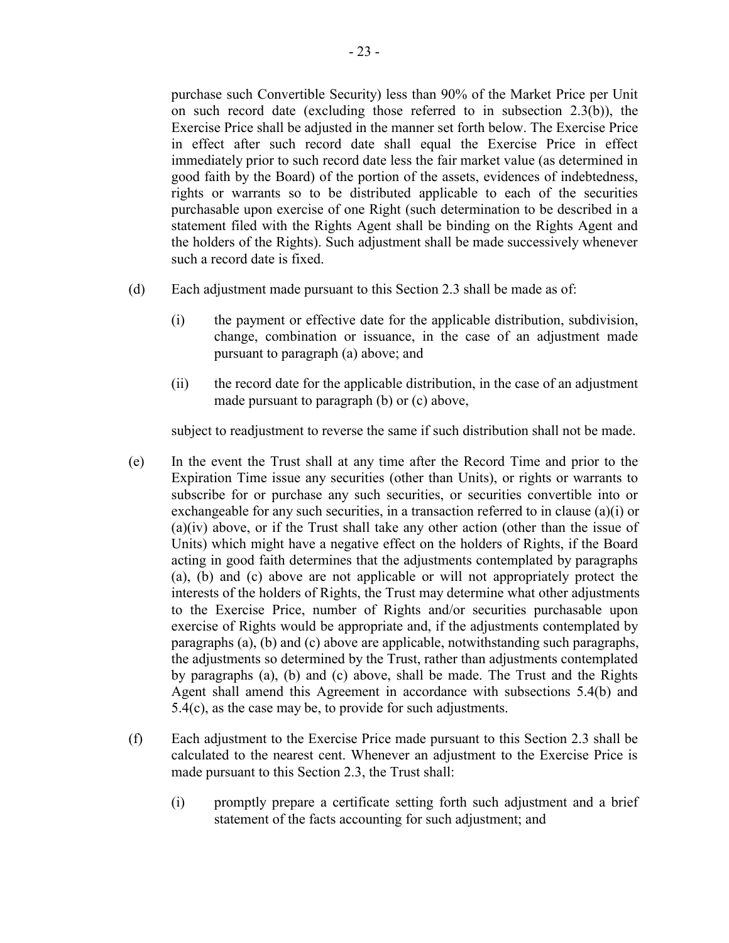purchase such Convertible Security) less than 90% of the Market Price per Unit on such record date (excluding those referred to in subsection 2.3(b)), the Exercise Price shall be adjusted in the manner set forth below. The Exercise Price in effect after such record date shall equal the Exercise Price in effect immediately prior to such record date less the fair market value (as determined in good faith by the Board) of the portion of the assets, evidences of indebtedness, rights or warrants so to be distributed applicable to each of the securities purchasable upon exercise of one Right (such determination to be described in a statement filed with the Rights Agent shall be binding on the Rights Agent and the holders of the Rights). Such adjustment shall be made successively whenever such a record date is fixed.

- (d) Each adjustment made pursuant to this Section 2.3 shall be made as of:
	- (i) the payment or effective date for the applicable distribution, subdivision, change, combination or issuance, in the case of an adjustment made pursuant to paragraph (a) above; and
	- (ii) the record date for the applicable distribution, in the case of an adjustment made pursuant to paragraph (b) or (c) above,

subject to readjustment to reverse the same if such distribution shall not be made.

- (e) In the event the Trust shall at any time after the Record Time and prior to the Expiration Time issue any securities (other than Units), or rights or warrants to subscribe for or purchase any such securities, or securities convertible into or exchangeable for any such securities, in a transaction referred to in clause (a)(i) or  $(a)(iv)$  above, or if the Trust shall take any other action (other than the issue of Units) which might have a negative effect on the holders of Rights, if the Board acting in good faith determines that the adjustments contemplated by paragraphs (a), (b) and (c) above are not applicable or will not appropriately protect the interests of the holders of Rights, the Trust may determine what other adjustments to the Exercise Price, number of Rights and/or securities purchasable upon exercise of Rights would be appropriate and, if the adjustments contemplated by paragraphs (a), (b) and (c) above are applicable, notwithstanding such paragraphs, the adjustments so determined by the Trust, rather than adjustments contemplated by paragraphs (a), (b) and (c) above, shall be made. The Trust and the Rights Agent shall amend this Agreement in accordance with subsections 5.4(b) and 5.4(c), as the case may be, to provide for such adjustments.
- (f) Each adjustment to the Exercise Price made pursuant to this Section 2.3 shall be calculated to the nearest cent. Whenever an adjustment to the Exercise Price is made pursuant to this Section 2.3, the Trust shall:
	- (i) promptly prepare a certificate setting forth such adjustment and a brief statement of the facts accounting for such adjustment; and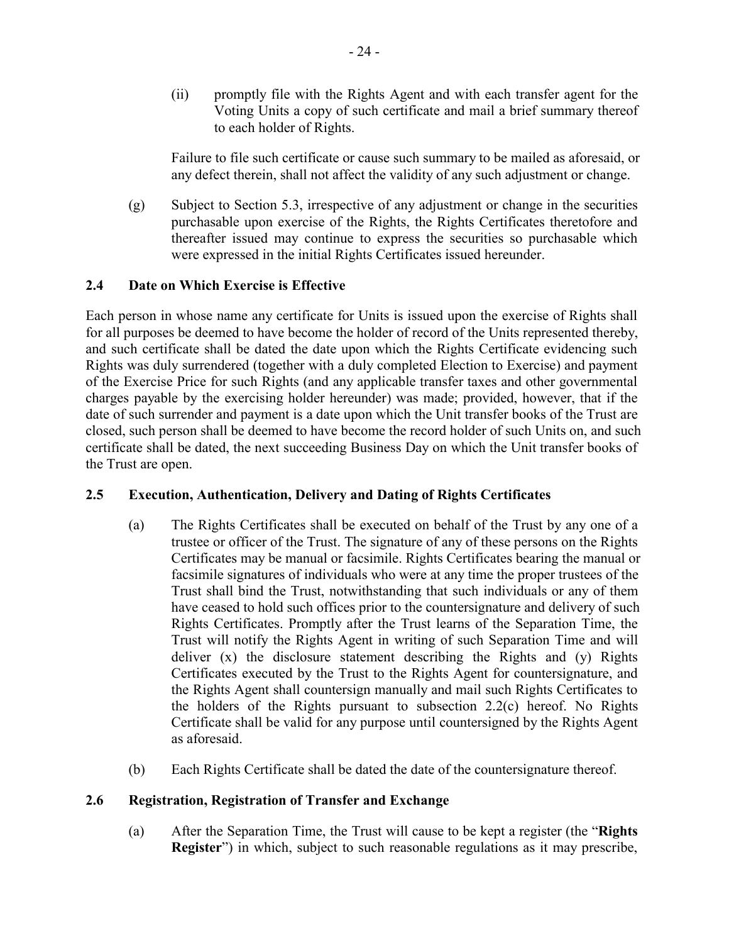(ii) promptly file with the Rights Agent and with each transfer agent for the Voting Units a copy of such certificate and mail a brief summary thereof to each holder of Rights.

Failure to file such certificate or cause such summary to be mailed as aforesaid, or any defect therein, shall not affect the validity of any such adjustment or change.

(g) Subject to Section 5.3, irrespective of any adjustment or change in the securities purchasable upon exercise of the Rights, the Rights Certificates theretofore and thereafter issued may continue to express the securities so purchasable which were expressed in the initial Rights Certificates issued hereunder.

# **2.4 Date on Which Exercise is Effective**

Each person in whose name any certificate for Units is issued upon the exercise of Rights shall for all purposes be deemed to have become the holder of record of the Units represented thereby, and such certificate shall be dated the date upon which the Rights Certificate evidencing such Rights was duly surrendered (together with a duly completed Election to Exercise) and payment of the Exercise Price for such Rights (and any applicable transfer taxes and other governmental charges payable by the exercising holder hereunder) was made; provided, however, that if the date of such surrender and payment is a date upon which the Unit transfer books of the Trust are closed, such person shall be deemed to have become the record holder of such Units on, and such certificate shall be dated, the next succeeding Business Day on which the Unit transfer books of the Trust are open.

# **2.5 Execution, Authentication, Delivery and Dating of Rights Certificates**

- (a) The Rights Certificates shall be executed on behalf of the Trust by any one of a trustee or officer of the Trust. The signature of any of these persons on the Rights Certificates may be manual or facsimile. Rights Certificates bearing the manual or facsimile signatures of individuals who were at any time the proper trustees of the Trust shall bind the Trust, notwithstanding that such individuals or any of them have ceased to hold such offices prior to the countersignature and delivery of such Rights Certificates. Promptly after the Trust learns of the Separation Time, the Trust will notify the Rights Agent in writing of such Separation Time and will deliver (x) the disclosure statement describing the Rights and (y) Rights Certificates executed by the Trust to the Rights Agent for countersignature, and the Rights Agent shall countersign manually and mail such Rights Certificates to the holders of the Rights pursuant to subsection 2.2(c) hereof. No Rights Certificate shall be valid for any purpose until countersigned by the Rights Agent as aforesaid.
- (b) Each Rights Certificate shall be dated the date of the countersignature thereof.

# **2.6 Registration, Registration of Transfer and Exchange**

(a) After the Separation Time, the Trust will cause to be kept a register (the "**Rights Register**") in which, subject to such reasonable regulations as it may prescribe,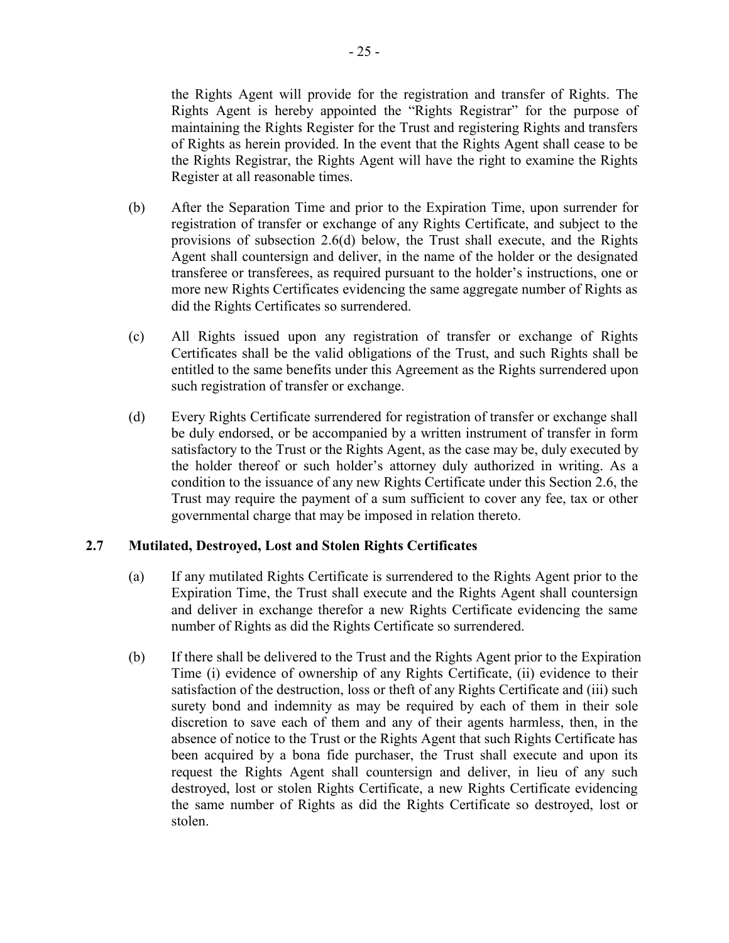the Rights Agent will provide for the registration and transfer of Rights. The Rights Agent is hereby appointed the "Rights Registrar" for the purpose of maintaining the Rights Register for the Trust and registering Rights and transfers of Rights as herein provided. In the event that the Rights Agent shall cease to be the Rights Registrar, the Rights Agent will have the right to examine the Rights Register at all reasonable times.

- (b) After the Separation Time and prior to the Expiration Time, upon surrender for registration of transfer or exchange of any Rights Certificate, and subject to the provisions of subsection 2.6(d) below, the Trust shall execute, and the Rights Agent shall countersign and deliver, in the name of the holder or the designated transferee or transferees, as required pursuant to the holder's instructions, one or more new Rights Certificates evidencing the same aggregate number of Rights as did the Rights Certificates so surrendered.
- (c) All Rights issued upon any registration of transfer or exchange of Rights Certificates shall be the valid obligations of the Trust, and such Rights shall be entitled to the same benefits under this Agreement as the Rights surrendered upon such registration of transfer or exchange.
- (d) Every Rights Certificate surrendered for registration of transfer or exchange shall be duly endorsed, or be accompanied by a written instrument of transfer in form satisfactory to the Trust or the Rights Agent, as the case may be, duly executed by the holder thereof or such holder's attorney duly authorized in writing. As a condition to the issuance of any new Rights Certificate under this Section 2.6, the Trust may require the payment of a sum sufficient to cover any fee, tax or other governmental charge that may be imposed in relation thereto.

## **2.7 Mutilated, Destroyed, Lost and Stolen Rights Certificates**

- (a) If any mutilated Rights Certificate is surrendered to the Rights Agent prior to the Expiration Time, the Trust shall execute and the Rights Agent shall countersign and deliver in exchange therefor a new Rights Certificate evidencing the same number of Rights as did the Rights Certificate so surrendered.
- (b) If there shall be delivered to the Trust and the Rights Agent prior to the Expiration Time (i) evidence of ownership of any Rights Certificate, (ii) evidence to their satisfaction of the destruction, loss or theft of any Rights Certificate and (iii) such surety bond and indemnity as may be required by each of them in their sole discretion to save each of them and any of their agents harmless, then, in the absence of notice to the Trust or the Rights Agent that such Rights Certificate has been acquired by a bona fide purchaser, the Trust shall execute and upon its request the Rights Agent shall countersign and deliver, in lieu of any such destroyed, lost or stolen Rights Certificate, a new Rights Certificate evidencing the same number of Rights as did the Rights Certificate so destroyed, lost or stolen.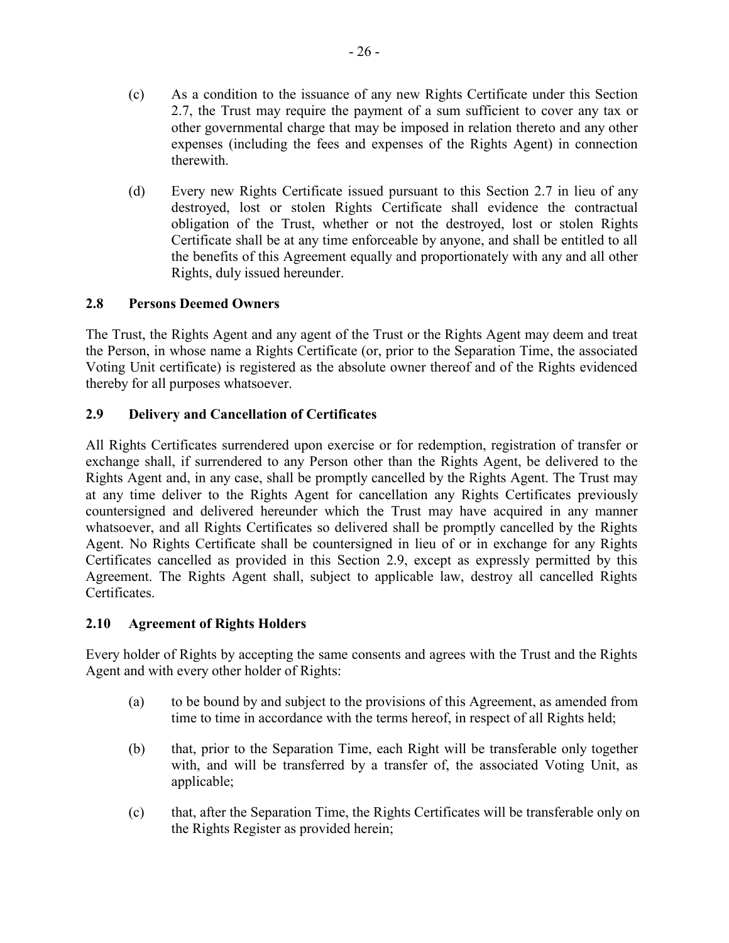- (c) As a condition to the issuance of any new Rights Certificate under this Section 2.7, the Trust may require the payment of a sum sufficient to cover any tax or other governmental charge that may be imposed in relation thereto and any other expenses (including the fees and expenses of the Rights Agent) in connection therewith.
- (d) Every new Rights Certificate issued pursuant to this Section 2.7 in lieu of any destroyed, lost or stolen Rights Certificate shall evidence the contractual obligation of the Trust, whether or not the destroyed, lost or stolen Rights Certificate shall be at any time enforceable by anyone, and shall be entitled to all the benefits of this Agreement equally and proportionately with any and all other Rights, duly issued hereunder.

# **2.8 Persons Deemed Owners**

The Trust, the Rights Agent and any agent of the Trust or the Rights Agent may deem and treat the Person, in whose name a Rights Certificate (or, prior to the Separation Time, the associated Voting Unit certificate) is registered as the absolute owner thereof and of the Rights evidenced thereby for all purposes whatsoever.

# **2.9 Delivery and Cancellation of Certificates**

All Rights Certificates surrendered upon exercise or for redemption, registration of transfer or exchange shall, if surrendered to any Person other than the Rights Agent, be delivered to the Rights Agent and, in any case, shall be promptly cancelled by the Rights Agent. The Trust may at any time deliver to the Rights Agent for cancellation any Rights Certificates previously countersigned and delivered hereunder which the Trust may have acquired in any manner whatsoever, and all Rights Certificates so delivered shall be promptly cancelled by the Rights Agent. No Rights Certificate shall be countersigned in lieu of or in exchange for any Rights Certificates cancelled as provided in this Section 2.9, except as expressly permitted by this Agreement. The Rights Agent shall, subject to applicable law, destroy all cancelled Rights Certificates.

## **2.10 Agreement of Rights Holders**

Every holder of Rights by accepting the same consents and agrees with the Trust and the Rights Agent and with every other holder of Rights:

- (a) to be bound by and subject to the provisions of this Agreement, as amended from time to time in accordance with the terms hereof, in respect of all Rights held;
- (b) that, prior to the Separation Time, each Right will be transferable only together with, and will be transferred by a transfer of, the associated Voting Unit, as applicable;
- (c) that, after the Separation Time, the Rights Certificates will be transferable only on the Rights Register as provided herein;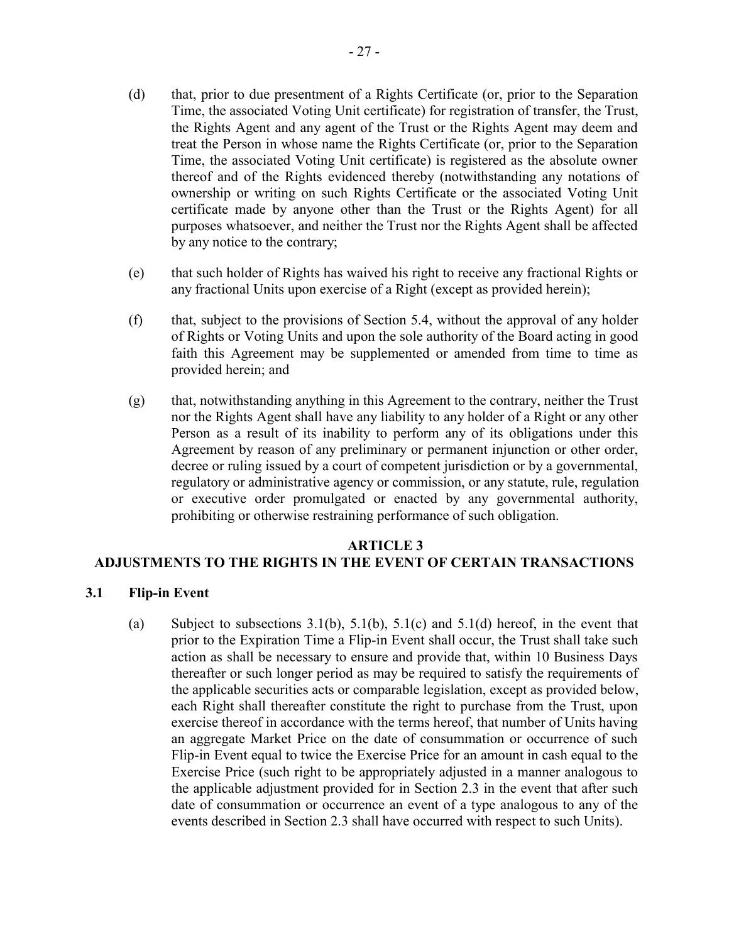- (d) that, prior to due presentment of a Rights Certificate (or, prior to the Separation Time, the associated Voting Unit certificate) for registration of transfer, the Trust, the Rights Agent and any agent of the Trust or the Rights Agent may deem and treat the Person in whose name the Rights Certificate (or, prior to the Separation Time, the associated Voting Unit certificate) is registered as the absolute owner thereof and of the Rights evidenced thereby (notwithstanding any notations of ownership or writing on such Rights Certificate or the associated Voting Unit certificate made by anyone other than the Trust or the Rights Agent) for all purposes whatsoever, and neither the Trust nor the Rights Agent shall be affected by any notice to the contrary;
- (e) that such holder of Rights has waived his right to receive any fractional Rights or any fractional Units upon exercise of a Right (except as provided herein);
- (f) that, subject to the provisions of Section 5.4, without the approval of any holder of Rights or Voting Units and upon the sole authority of the Board acting in good faith this Agreement may be supplemented or amended from time to time as provided herein; and
- (g) that, notwithstanding anything in this Agreement to the contrary, neither the Trust nor the Rights Agent shall have any liability to any holder of a Right or any other Person as a result of its inability to perform any of its obligations under this Agreement by reason of any preliminary or permanent injunction or other order, decree or ruling issued by a court of competent jurisdiction or by a governmental, regulatory or administrative agency or commission, or any statute, rule, regulation or executive order promulgated or enacted by any governmental authority, prohibiting or otherwise restraining performance of such obligation.

#### **ARTICLE 3**

## **ADJUSTMENTS TO THE RIGHTS IN THE EVENT OF CERTAIN TRANSACTIONS**

## **3.1 Flip-in Event**

(a) Subject to subsections  $3.1(b)$ ,  $5.1(b)$ ,  $5.1(c)$  and  $5.1(d)$  hereof, in the event that prior to the Expiration Time a Flip-in Event shall occur, the Trust shall take such action as shall be necessary to ensure and provide that, within 10 Business Days thereafter or such longer period as may be required to satisfy the requirements of the applicable securities acts or comparable legislation, except as provided below, each Right shall thereafter constitute the right to purchase from the Trust, upon exercise thereof in accordance with the terms hereof, that number of Units having an aggregate Market Price on the date of consummation or occurrence of such Flip-in Event equal to twice the Exercise Price for an amount in cash equal to the Exercise Price (such right to be appropriately adjusted in a manner analogous to the applicable adjustment provided for in Section 2.3 in the event that after such date of consummation or occurrence an event of a type analogous to any of the events described in Section 2.3 shall have occurred with respect to such Units).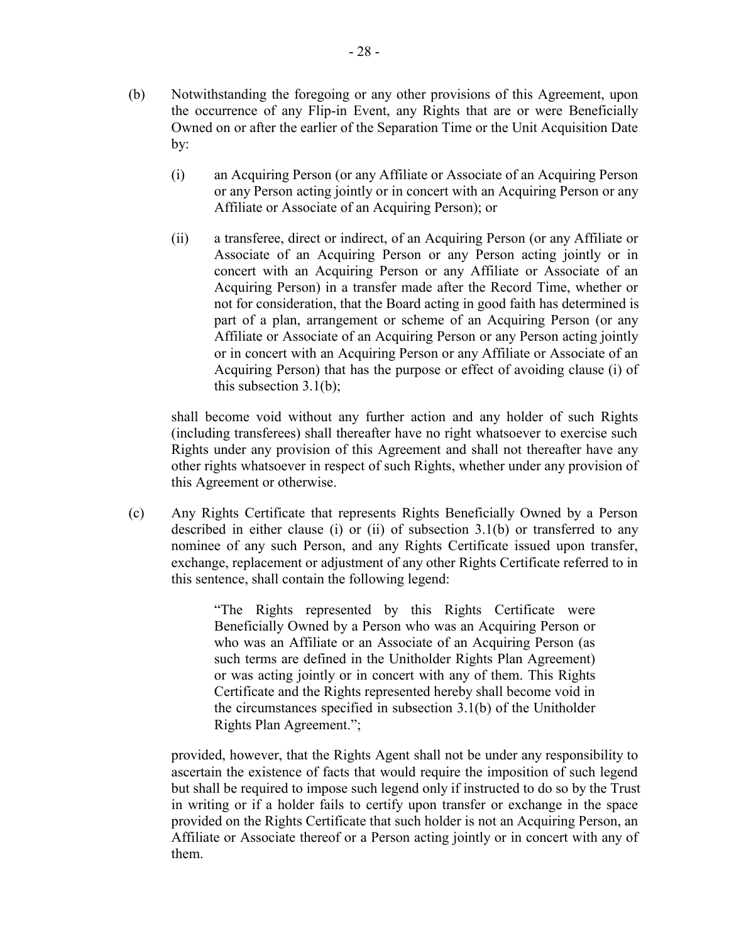- (b) Notwithstanding the foregoing or any other provisions of this Agreement, upon the occurrence of any Flip-in Event, any Rights that are or were Beneficially Owned on or after the earlier of the Separation Time or the Unit Acquisition Date by:
	- (i) an Acquiring Person (or any Affiliate or Associate of an Acquiring Person or any Person acting jointly or in concert with an Acquiring Person or any Affiliate or Associate of an Acquiring Person); or
	- (ii) a transferee, direct or indirect, of an Acquiring Person (or any Affiliate or Associate of an Acquiring Person or any Person acting jointly or in concert with an Acquiring Person or any Affiliate or Associate of an Acquiring Person) in a transfer made after the Record Time, whether or not for consideration, that the Board acting in good faith has determined is part of a plan, arrangement or scheme of an Acquiring Person (or any Affiliate or Associate of an Acquiring Person or any Person acting jointly or in concert with an Acquiring Person or any Affiliate or Associate of an Acquiring Person) that has the purpose or effect of avoiding clause (i) of this subsection 3.1(b);

shall become void without any further action and any holder of such Rights (including transferees) shall thereafter have no right whatsoever to exercise such Rights under any provision of this Agreement and shall not thereafter have any other rights whatsoever in respect of such Rights, whether under any provision of this Agreement or otherwise.

(c) Any Rights Certificate that represents Rights Beneficially Owned by a Person described in either clause (i) or (ii) of subsection 3.1(b) or transferred to any nominee of any such Person, and any Rights Certificate issued upon transfer, exchange, replacement or adjustment of any other Rights Certificate referred to in this sentence, shall contain the following legend:

> "The Rights represented by this Rights Certificate were Beneficially Owned by a Person who was an Acquiring Person or who was an Affiliate or an Associate of an Acquiring Person (as such terms are defined in the Unitholder Rights Plan Agreement) or was acting jointly or in concert with any of them. This Rights Certificate and the Rights represented hereby shall become void in the circumstances specified in subsection 3.1(b) of the Unitholder Rights Plan Agreement.";

provided, however, that the Rights Agent shall not be under any responsibility to ascertain the existence of facts that would require the imposition of such legend but shall be required to impose such legend only if instructed to do so by the Trust in writing or if a holder fails to certify upon transfer or exchange in the space provided on the Rights Certificate that such holder is not an Acquiring Person, an Affiliate or Associate thereof or a Person acting jointly or in concert with any of them.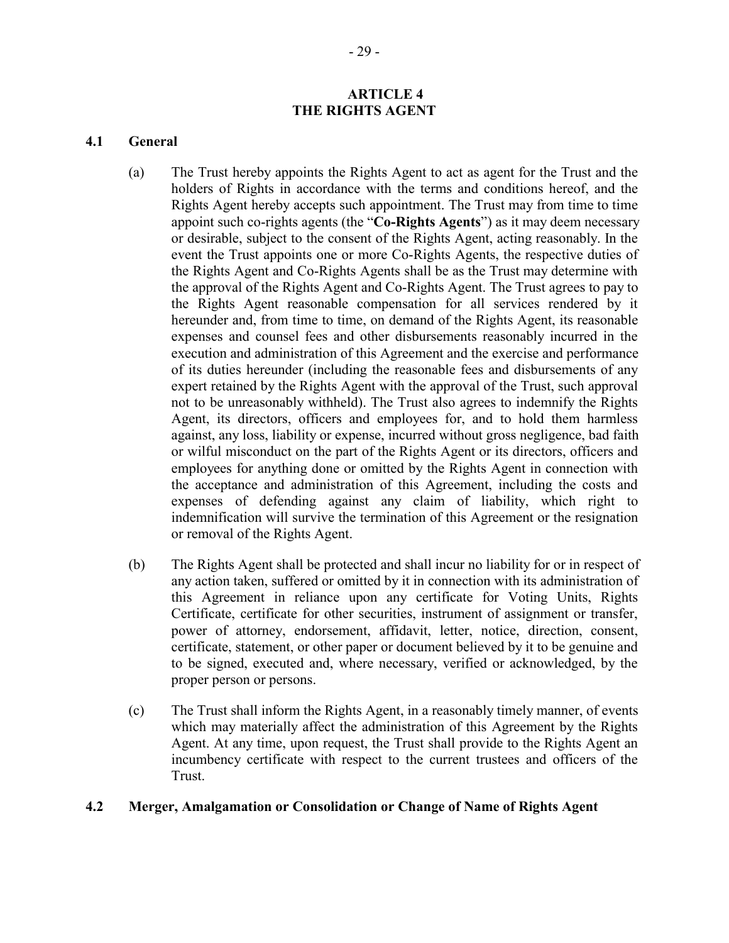#### **ARTICLE 4 THE RIGHTS AGENT**

#### **4.1 General**

- (a) The Trust hereby appoints the Rights Agent to act as agent for the Trust and the holders of Rights in accordance with the terms and conditions hereof, and the Rights Agent hereby accepts such appointment. The Trust may from time to time appoint such co-rights agents (the "**Co-Rights Agents**") as it may deem necessary or desirable, subject to the consent of the Rights Agent, acting reasonably. In the event the Trust appoints one or more Co-Rights Agents, the respective duties of the Rights Agent and Co-Rights Agents shall be as the Trust may determine with the approval of the Rights Agent and Co-Rights Agent. The Trust agrees to pay to the Rights Agent reasonable compensation for all services rendered by it hereunder and, from time to time, on demand of the Rights Agent, its reasonable expenses and counsel fees and other disbursements reasonably incurred in the execution and administration of this Agreement and the exercise and performance of its duties hereunder (including the reasonable fees and disbursements of any expert retained by the Rights Agent with the approval of the Trust, such approval not to be unreasonably withheld). The Trust also agrees to indemnify the Rights Agent, its directors, officers and employees for, and to hold them harmless against, any loss, liability or expense, incurred without gross negligence, bad faith or wilful misconduct on the part of the Rights Agent or its directors, officers and employees for anything done or omitted by the Rights Agent in connection with the acceptance and administration of this Agreement, including the costs and expenses of defending against any claim of liability, which right to indemnification will survive the termination of this Agreement or the resignation or removal of the Rights Agent.
- (b) The Rights Agent shall be protected and shall incur no liability for or in respect of any action taken, suffered or omitted by it in connection with its administration of this Agreement in reliance upon any certificate for Voting Units, Rights Certificate, certificate for other securities, instrument of assignment or transfer, power of attorney, endorsement, affidavit, letter, notice, direction, consent, certificate, statement, or other paper or document believed by it to be genuine and to be signed, executed and, where necessary, verified or acknowledged, by the proper person or persons.
- (c) The Trust shall inform the Rights Agent, in a reasonably timely manner, of events which may materially affect the administration of this Agreement by the Rights Agent. At any time, upon request, the Trust shall provide to the Rights Agent an incumbency certificate with respect to the current trustees and officers of the Trust.

#### **4.2 Merger, Amalgamation or Consolidation or Change of Name of Rights Agent**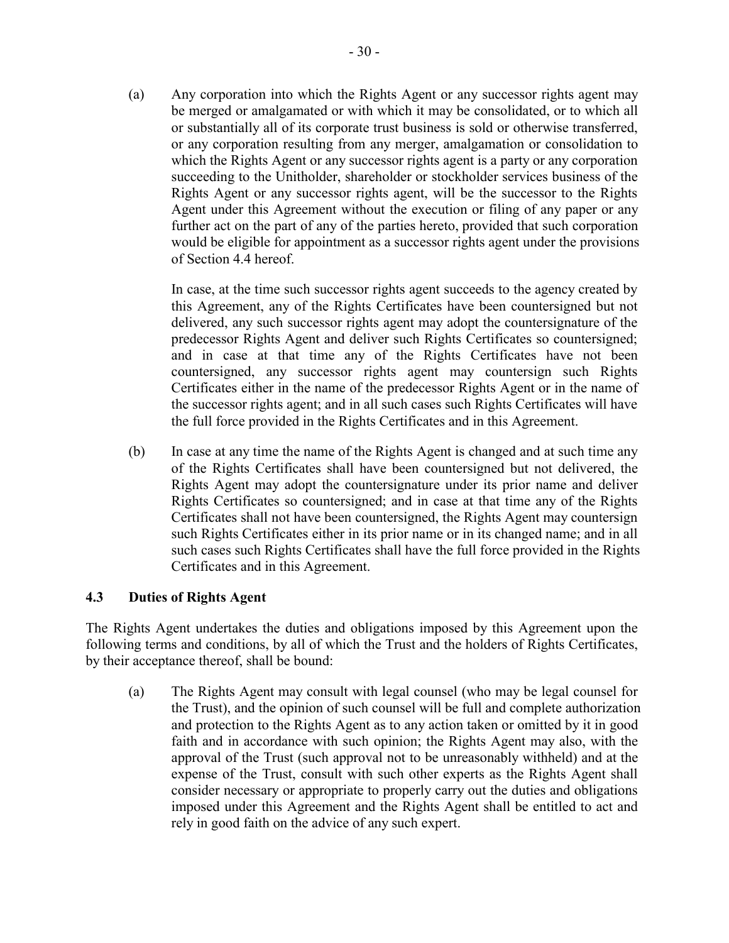(a) Any corporation into which the Rights Agent or any successor rights agent may be merged or amalgamated or with which it may be consolidated, or to which all or substantially all of its corporate trust business is sold or otherwise transferred, or any corporation resulting from any merger, amalgamation or consolidation to which the Rights Agent or any successor rights agent is a party or any corporation succeeding to the Unitholder, shareholder or stockholder services business of the Rights Agent or any successor rights agent, will be the successor to the Rights Agent under this Agreement without the execution or filing of any paper or any further act on the part of any of the parties hereto, provided that such corporation would be eligible for appointment as a successor rights agent under the provisions of Section 4.4 hereof.

In case, at the time such successor rights agent succeeds to the agency created by this Agreement, any of the Rights Certificates have been countersigned but not delivered, any such successor rights agent may adopt the countersignature of the predecessor Rights Agent and deliver such Rights Certificates so countersigned; and in case at that time any of the Rights Certificates have not been countersigned, any successor rights agent may countersign such Rights Certificates either in the name of the predecessor Rights Agent or in the name of the successor rights agent; and in all such cases such Rights Certificates will have the full force provided in the Rights Certificates and in this Agreement.

(b) In case at any time the name of the Rights Agent is changed and at such time any of the Rights Certificates shall have been countersigned but not delivered, the Rights Agent may adopt the countersignature under its prior name and deliver Rights Certificates so countersigned; and in case at that time any of the Rights Certificates shall not have been countersigned, the Rights Agent may countersign such Rights Certificates either in its prior name or in its changed name; and in all such cases such Rights Certificates shall have the full force provided in the Rights Certificates and in this Agreement.

# **4.3 Duties of Rights Agent**

The Rights Agent undertakes the duties and obligations imposed by this Agreement upon the following terms and conditions, by all of which the Trust and the holders of Rights Certificates, by their acceptance thereof, shall be bound:

(a) The Rights Agent may consult with legal counsel (who may be legal counsel for the Trust), and the opinion of such counsel will be full and complete authorization and protection to the Rights Agent as to any action taken or omitted by it in good faith and in accordance with such opinion; the Rights Agent may also, with the approval of the Trust (such approval not to be unreasonably withheld) and at the expense of the Trust, consult with such other experts as the Rights Agent shall consider necessary or appropriate to properly carry out the duties and obligations imposed under this Agreement and the Rights Agent shall be entitled to act and rely in good faith on the advice of any such expert.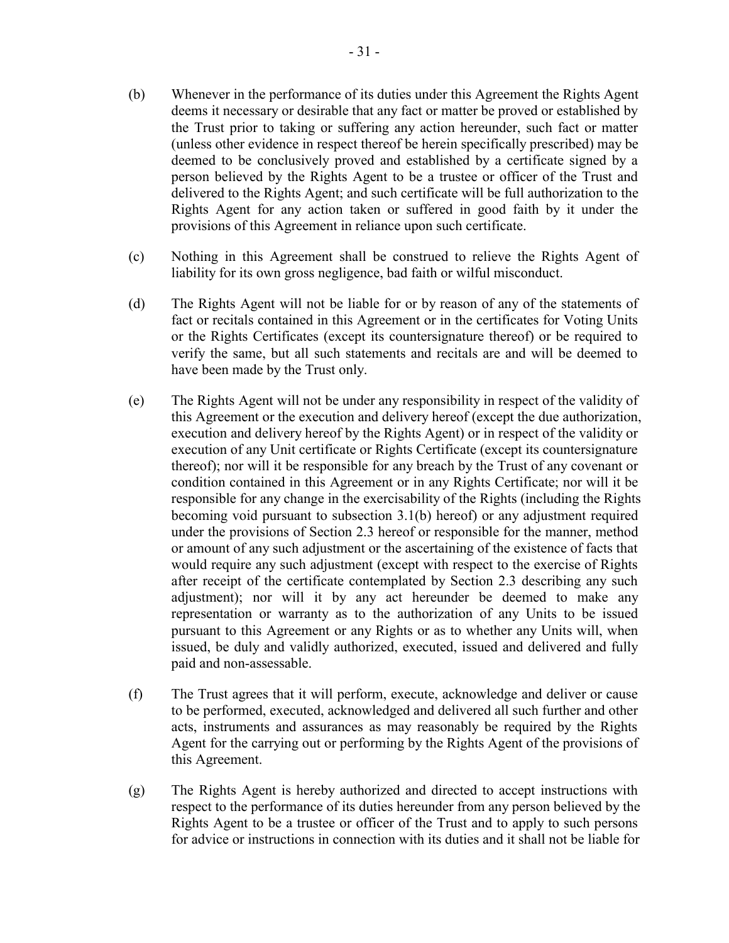- (b) Whenever in the performance of its duties under this Agreement the Rights Agent deems it necessary or desirable that any fact or matter be proved or established by the Trust prior to taking or suffering any action hereunder, such fact or matter (unless other evidence in respect thereof be herein specifically prescribed) may be deemed to be conclusively proved and established by a certificate signed by a person believed by the Rights Agent to be a trustee or officer of the Trust and delivered to the Rights Agent; and such certificate will be full authorization to the Rights Agent for any action taken or suffered in good faith by it under the provisions of this Agreement in reliance upon such certificate.
- (c) Nothing in this Agreement shall be construed to relieve the Rights Agent of liability for its own gross negligence, bad faith or wilful misconduct.
- (d) The Rights Agent will not be liable for or by reason of any of the statements of fact or recitals contained in this Agreement or in the certificates for Voting Units or the Rights Certificates (except its countersignature thereof) or be required to verify the same, but all such statements and recitals are and will be deemed to have been made by the Trust only.
- (e) The Rights Agent will not be under any responsibility in respect of the validity of this Agreement or the execution and delivery hereof (except the due authorization, execution and delivery hereof by the Rights Agent) or in respect of the validity or execution of any Unit certificate or Rights Certificate (except its countersignature thereof); nor will it be responsible for any breach by the Trust of any covenant or condition contained in this Agreement or in any Rights Certificate; nor will it be responsible for any change in the exercisability of the Rights (including the Rights becoming void pursuant to subsection 3.1(b) hereof) or any adjustment required under the provisions of Section 2.3 hereof or responsible for the manner, method or amount of any such adjustment or the ascertaining of the existence of facts that would require any such adjustment (except with respect to the exercise of Rights after receipt of the certificate contemplated by Section 2.3 describing any such adjustment); nor will it by any act hereunder be deemed to make any representation or warranty as to the authorization of any Units to be issued pursuant to this Agreement or any Rights or as to whether any Units will, when issued, be duly and validly authorized, executed, issued and delivered and fully paid and non-assessable.
- (f) The Trust agrees that it will perform, execute, acknowledge and deliver or cause to be performed, executed, acknowledged and delivered all such further and other acts, instruments and assurances as may reasonably be required by the Rights Agent for the carrying out or performing by the Rights Agent of the provisions of this Agreement.
- (g) The Rights Agent is hereby authorized and directed to accept instructions with respect to the performance of its duties hereunder from any person believed by the Rights Agent to be a trustee or officer of the Trust and to apply to such persons for advice or instructions in connection with its duties and it shall not be liable for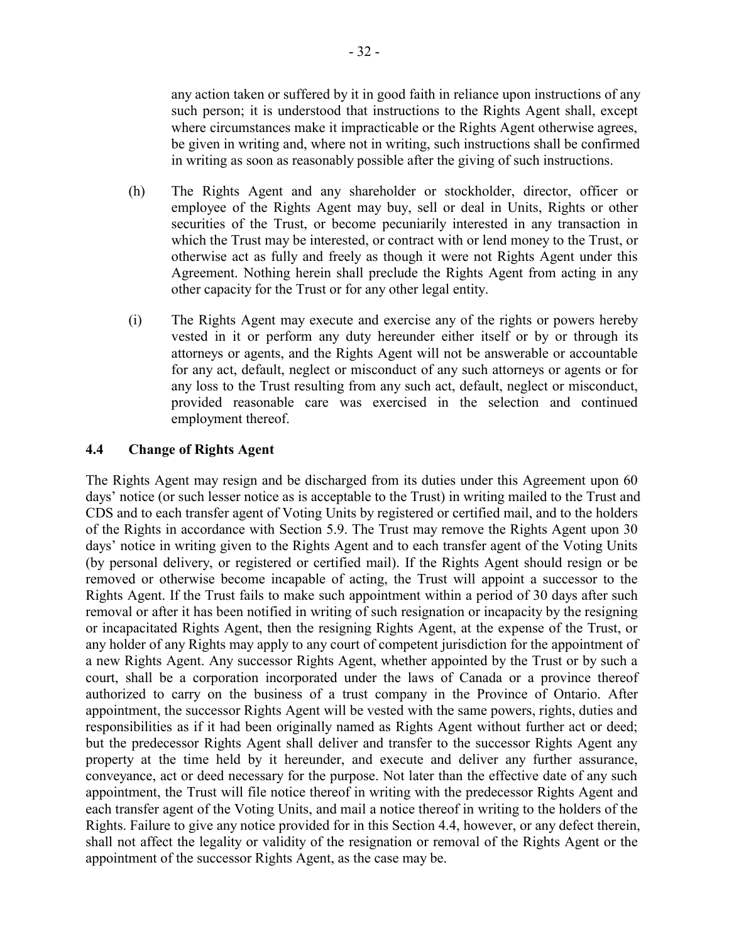any action taken or suffered by it in good faith in reliance upon instructions of any such person; it is understood that instructions to the Rights Agent shall, except where circumstances make it impracticable or the Rights Agent otherwise agrees, be given in writing and, where not in writing, such instructions shall be confirmed in writing as soon as reasonably possible after the giving of such instructions.

- (h) The Rights Agent and any shareholder or stockholder, director, officer or employee of the Rights Agent may buy, sell or deal in Units, Rights or other securities of the Trust, or become pecuniarily interested in any transaction in which the Trust may be interested, or contract with or lend money to the Trust, or otherwise act as fully and freely as though it were not Rights Agent under this Agreement. Nothing herein shall preclude the Rights Agent from acting in any other capacity for the Trust or for any other legal entity.
- (i) The Rights Agent may execute and exercise any of the rights or powers hereby vested in it or perform any duty hereunder either itself or by or through its attorneys or agents, and the Rights Agent will not be answerable or accountable for any act, default, neglect or misconduct of any such attorneys or agents or for any loss to the Trust resulting from any such act, default, neglect or misconduct, provided reasonable care was exercised in the selection and continued employment thereof.

## **4.4 Change of Rights Agent**

The Rights Agent may resign and be discharged from its duties under this Agreement upon 60 days' notice (or such lesser notice as is acceptable to the Trust) in writing mailed to the Trust and CDS and to each transfer agent of Voting Units by registered or certified mail, and to the holders of the Rights in accordance with Section 5.9. The Trust may remove the Rights Agent upon 30 days' notice in writing given to the Rights Agent and to each transfer agent of the Voting Units (by personal delivery, or registered or certified mail). If the Rights Agent should resign or be removed or otherwise become incapable of acting, the Trust will appoint a successor to the Rights Agent. If the Trust fails to make such appointment within a period of 30 days after such removal or after it has been notified in writing of such resignation or incapacity by the resigning or incapacitated Rights Agent, then the resigning Rights Agent, at the expense of the Trust, or any holder of any Rights may apply to any court of competent jurisdiction for the appointment of a new Rights Agent. Any successor Rights Agent, whether appointed by the Trust or by such a court, shall be a corporation incorporated under the laws of Canada or a province thereof authorized to carry on the business of a trust company in the Province of Ontario. After appointment, the successor Rights Agent will be vested with the same powers, rights, duties and responsibilities as if it had been originally named as Rights Agent without further act or deed; but the predecessor Rights Agent shall deliver and transfer to the successor Rights Agent any property at the time held by it hereunder, and execute and deliver any further assurance, conveyance, act or deed necessary for the purpose. Not later than the effective date of any such appointment, the Trust will file notice thereof in writing with the predecessor Rights Agent and each transfer agent of the Voting Units, and mail a notice thereof in writing to the holders of the Rights. Failure to give any notice provided for in this Section 4.4, however, or any defect therein, shall not affect the legality or validity of the resignation or removal of the Rights Agent or the appointment of the successor Rights Agent, as the case may be.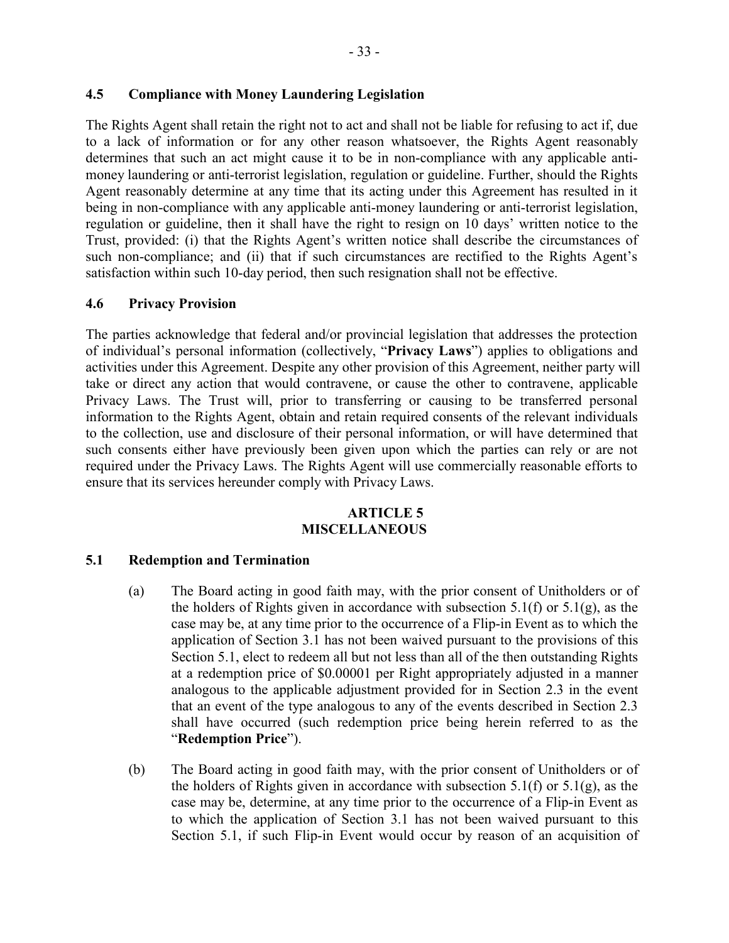# **4.5 Compliance with Money Laundering Legislation**

The Rights Agent shall retain the right not to act and shall not be liable for refusing to act if, due to a lack of information or for any other reason whatsoever, the Rights Agent reasonably determines that such an act might cause it to be in non-compliance with any applicable antimoney laundering or anti-terrorist legislation, regulation or guideline. Further, should the Rights Agent reasonably determine at any time that its acting under this Agreement has resulted in it being in non-compliance with any applicable anti-money laundering or anti-terrorist legislation, regulation or guideline, then it shall have the right to resign on 10 days' written notice to the Trust, provided: (i) that the Rights Agent's written notice shall describe the circumstances of such non-compliance; and (ii) that if such circumstances are rectified to the Rights Agent's satisfaction within such 10-day period, then such resignation shall not be effective.

## **4.6 Privacy Provision**

The parties acknowledge that federal and/or provincial legislation that addresses the protection of individual's personal information (collectively, "**Privacy Laws**") applies to obligations and activities under this Agreement. Despite any other provision of this Agreement, neither party will take or direct any action that would contravene, or cause the other to contravene, applicable Privacy Laws. The Trust will, prior to transferring or causing to be transferred personal information to the Rights Agent, obtain and retain required consents of the relevant individuals to the collection, use and disclosure of their personal information, or will have determined that such consents either have previously been given upon which the parties can rely or are not required under the Privacy Laws. The Rights Agent will use commercially reasonable efforts to ensure that its services hereunder comply with Privacy Laws.

## **ARTICLE 5 MISCELLANEOUS**

## **5.1 Redemption and Termination**

- (a) The Board acting in good faith may, with the prior consent of Unitholders or of the holders of Rights given in accordance with subsection  $5.1(f)$  or  $5.1(g)$ , as the case may be, at any time prior to the occurrence of a Flip-in Event as to which the application of Section 3.1 has not been waived pursuant to the provisions of this Section 5.1, elect to redeem all but not less than all of the then outstanding Rights at a redemption price of \$0.00001 per Right appropriately adjusted in a manner analogous to the applicable adjustment provided for in Section 2.3 in the event that an event of the type analogous to any of the events described in Section 2.3 shall have occurred (such redemption price being herein referred to as the "**Redemption Price**").
- (b) The Board acting in good faith may, with the prior consent of Unitholders or of the holders of Rights given in accordance with subsection  $5.1(f)$  or  $5.1(g)$ , as the case may be, determine, at any time prior to the occurrence of a Flip-in Event as to which the application of Section 3.1 has not been waived pursuant to this Section 5.1, if such Flip-in Event would occur by reason of an acquisition of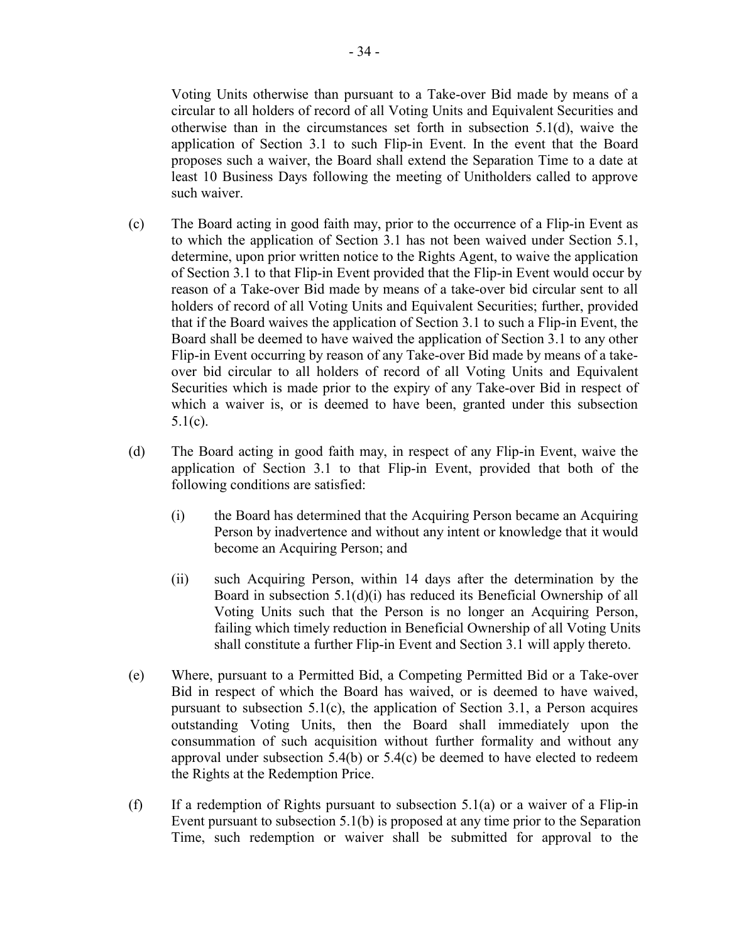Voting Units otherwise than pursuant to a Take-over Bid made by means of a circular to all holders of record of all Voting Units and Equivalent Securities and otherwise than in the circumstances set forth in subsection 5.1(d), waive the application of Section 3.1 to such Flip-in Event. In the event that the Board proposes such a waiver, the Board shall extend the Separation Time to a date at least 10 Business Days following the meeting of Unitholders called to approve such waiver.

- (c) The Board acting in good faith may, prior to the occurrence of a Flip-in Event as to which the application of Section 3.1 has not been waived under Section 5.1, determine, upon prior written notice to the Rights Agent, to waive the application of Section 3.1 to that Flip-in Event provided that the Flip-in Event would occur by reason of a Take-over Bid made by means of a take-over bid circular sent to all holders of record of all Voting Units and Equivalent Securities; further, provided that if the Board waives the application of Section 3.1 to such a Flip-in Event, the Board shall be deemed to have waived the application of Section 3.1 to any other Flip-in Event occurring by reason of any Take-over Bid made by means of a takeover bid circular to all holders of record of all Voting Units and Equivalent Securities which is made prior to the expiry of any Take-over Bid in respect of which a waiver is, or is deemed to have been, granted under this subsection  $5.1(c)$ .
- (d) The Board acting in good faith may, in respect of any Flip-in Event, waive the application of Section 3.1 to that Flip-in Event, provided that both of the following conditions are satisfied:
	- (i) the Board has determined that the Acquiring Person became an Acquiring Person by inadvertence and without any intent or knowledge that it would become an Acquiring Person; and
	- (ii) such Acquiring Person, within 14 days after the determination by the Board in subsection 5.1(d)(i) has reduced its Beneficial Ownership of all Voting Units such that the Person is no longer an Acquiring Person, failing which timely reduction in Beneficial Ownership of all Voting Units shall constitute a further Flip-in Event and Section 3.1 will apply thereto.
- (e) Where, pursuant to a Permitted Bid, a Competing Permitted Bid or a Take-over Bid in respect of which the Board has waived, or is deemed to have waived, pursuant to subsection  $5.1(c)$ , the application of Section 3.1, a Person acquires outstanding Voting Units, then the Board shall immediately upon the consummation of such acquisition without further formality and without any approval under subsection 5.4(b) or 5.4(c) be deemed to have elected to redeem the Rights at the Redemption Price.
- (f) If a redemption of Rights pursuant to subsection  $5.1(a)$  or a waiver of a Flip-in Event pursuant to subsection 5.1(b) is proposed at any time prior to the Separation Time, such redemption or waiver shall be submitted for approval to the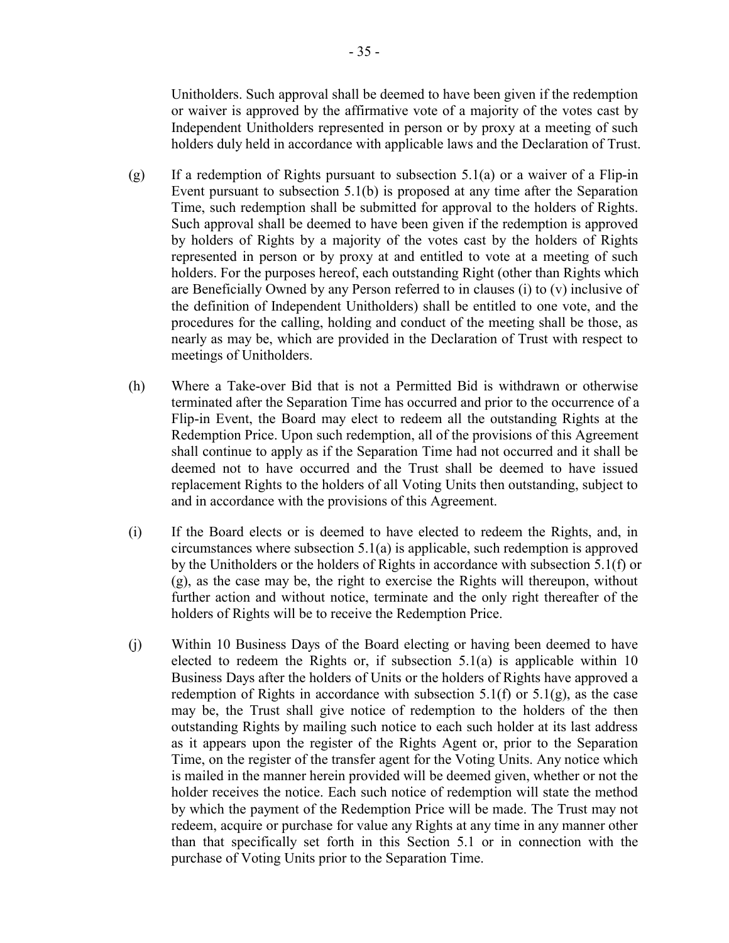Unitholders. Such approval shall be deemed to have been given if the redemption or waiver is approved by the affirmative vote of a majority of the votes cast by Independent Unitholders represented in person or by proxy at a meeting of such holders duly held in accordance with applicable laws and the Declaration of Trust.

- (g) If a redemption of Rights pursuant to subsection  $5.1(a)$  or a waiver of a Flip-in Event pursuant to subsection 5.1(b) is proposed at any time after the Separation Time, such redemption shall be submitted for approval to the holders of Rights. Such approval shall be deemed to have been given if the redemption is approved by holders of Rights by a majority of the votes cast by the holders of Rights represented in person or by proxy at and entitled to vote at a meeting of such holders. For the purposes hereof, each outstanding Right (other than Rights which are Beneficially Owned by any Person referred to in clauses (i) to (v) inclusive of the definition of Independent Unitholders) shall be entitled to one vote, and the procedures for the calling, holding and conduct of the meeting shall be those, as nearly as may be, which are provided in the Declaration of Trust with respect to meetings of Unitholders.
- (h) Where a Take-over Bid that is not a Permitted Bid is withdrawn or otherwise terminated after the Separation Time has occurred and prior to the occurrence of a Flip-in Event, the Board may elect to redeem all the outstanding Rights at the Redemption Price. Upon such redemption, all of the provisions of this Agreement shall continue to apply as if the Separation Time had not occurred and it shall be deemed not to have occurred and the Trust shall be deemed to have issued replacement Rights to the holders of all Voting Units then outstanding, subject to and in accordance with the provisions of this Agreement.
- (i) If the Board elects or is deemed to have elected to redeem the Rights, and, in circumstances where subsection 5.1(a) is applicable, such redemption is approved by the Unitholders or the holders of Rights in accordance with subsection 5.1(f) or (g), as the case may be, the right to exercise the Rights will thereupon, without further action and without notice, terminate and the only right thereafter of the holders of Rights will be to receive the Redemption Price.
- (j) Within 10 Business Days of the Board electing or having been deemed to have elected to redeem the Rights or, if subsection  $5.1(a)$  is applicable within 10 Business Days after the holders of Units or the holders of Rights have approved a redemption of Rights in accordance with subsection  $5.1(f)$  or  $5.1(g)$ , as the case may be, the Trust shall give notice of redemption to the holders of the then outstanding Rights by mailing such notice to each such holder at its last address as it appears upon the register of the Rights Agent or, prior to the Separation Time, on the register of the transfer agent for the Voting Units. Any notice which is mailed in the manner herein provided will be deemed given, whether or not the holder receives the notice. Each such notice of redemption will state the method by which the payment of the Redemption Price will be made. The Trust may not redeem, acquire or purchase for value any Rights at any time in any manner other than that specifically set forth in this Section 5.1 or in connection with the purchase of Voting Units prior to the Separation Time.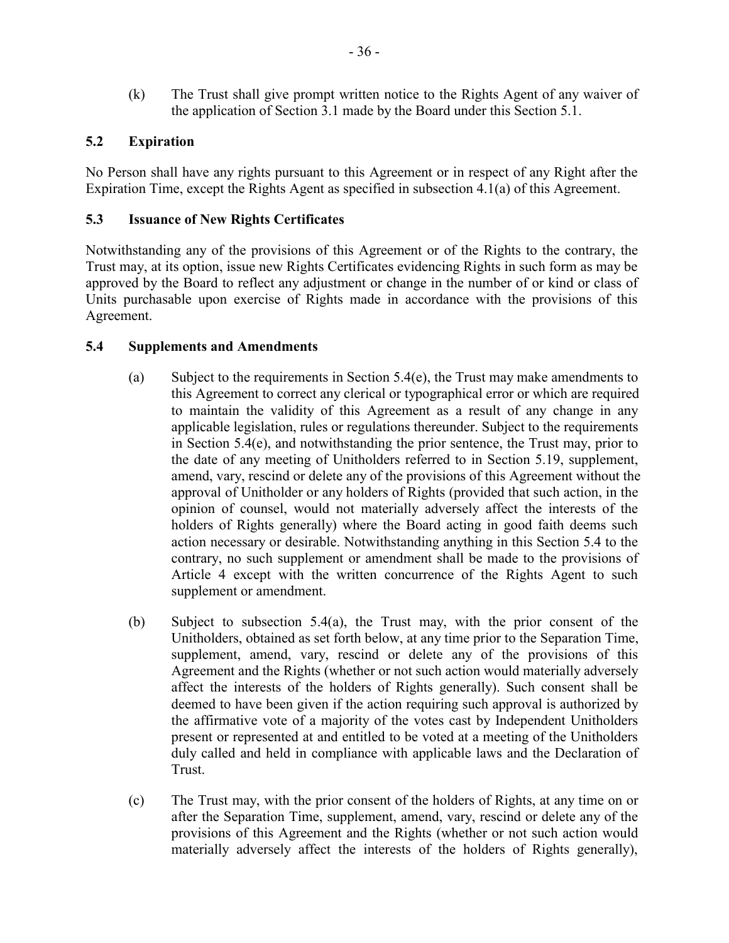(k) The Trust shall give prompt written notice to the Rights Agent of any waiver of the application of Section 3.1 made by the Board under this Section 5.1.

# **5.2 Expiration**

No Person shall have any rights pursuant to this Agreement or in respect of any Right after the Expiration Time, except the Rights Agent as specified in subsection 4.1(a) of this Agreement.

# **5.3 Issuance of New Rights Certificates**

Notwithstanding any of the provisions of this Agreement or of the Rights to the contrary, the Trust may, at its option, issue new Rights Certificates evidencing Rights in such form as may be approved by the Board to reflect any adjustment or change in the number of or kind or class of Units purchasable upon exercise of Rights made in accordance with the provisions of this Agreement.

# **5.4 Supplements and Amendments**

- (a) Subject to the requirements in Section  $5.4(e)$ , the Trust may make amendments to this Agreement to correct any clerical or typographical error or which are required to maintain the validity of this Agreement as a result of any change in any applicable legislation, rules or regulations thereunder. Subject to the requirements in Section 5.4(e), and notwithstanding the prior sentence, the Trust may, prior to the date of any meeting of Unitholders referred to in Section 5.19, supplement, amend, vary, rescind or delete any of the provisions of this Agreement without the approval of Unitholder or any holders of Rights (provided that such action, in the opinion of counsel, would not materially adversely affect the interests of the holders of Rights generally) where the Board acting in good faith deems such action necessary or desirable. Notwithstanding anything in this Section 5.4 to the contrary, no such supplement or amendment shall be made to the provisions of Article 4 except with the written concurrence of the Rights Agent to such supplement or amendment.
- (b) Subject to subsection 5.4(a), the Trust may, with the prior consent of the Unitholders, obtained as set forth below, at any time prior to the Separation Time, supplement, amend, vary, rescind or delete any of the provisions of this Agreement and the Rights (whether or not such action would materially adversely affect the interests of the holders of Rights generally). Such consent shall be deemed to have been given if the action requiring such approval is authorized by the affirmative vote of a majority of the votes cast by Independent Unitholders present or represented at and entitled to be voted at a meeting of the Unitholders duly called and held in compliance with applicable laws and the Declaration of Trust.
- (c) The Trust may, with the prior consent of the holders of Rights, at any time on or after the Separation Time, supplement, amend, vary, rescind or delete any of the provisions of this Agreement and the Rights (whether or not such action would materially adversely affect the interests of the holders of Rights generally),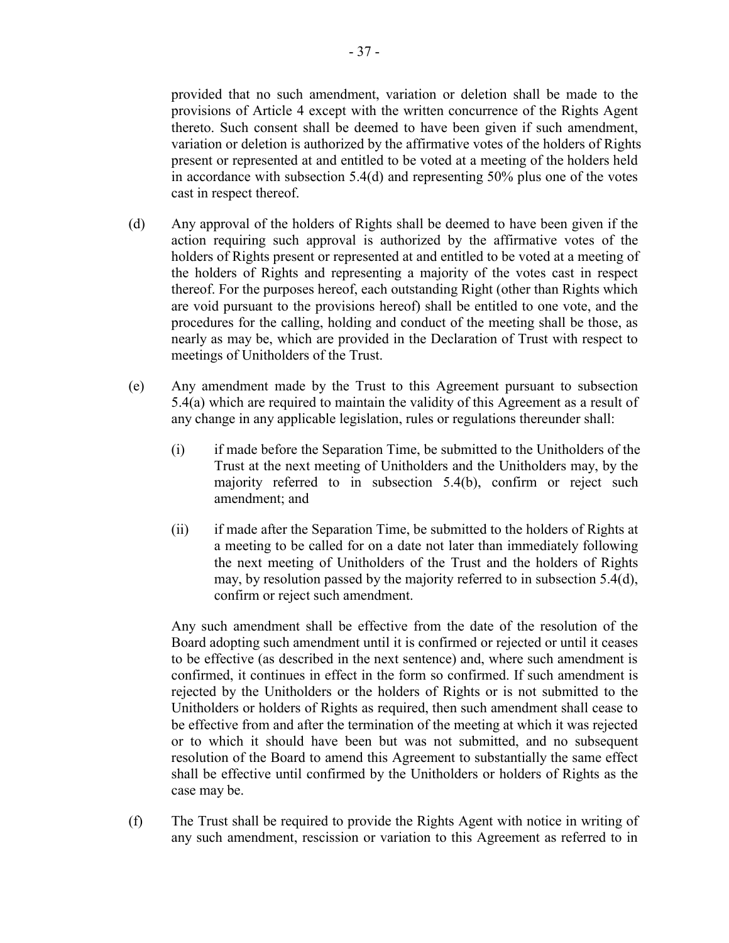thereto. Such consent shall be deemed to have been given if such amendment, variation or deletion is authorized by the affirmative votes of the holders of Rights present or represented at and entitled to be voted at a meeting of the holders held in accordance with subsection 5.4(d) and representing 50% plus one of the votes cast in respect thereof.

- (d) Any approval of the holders of Rights shall be deemed to have been given if the action requiring such approval is authorized by the affirmative votes of the holders of Rights present or represented at and entitled to be voted at a meeting of the holders of Rights and representing a majority of the votes cast in respect thereof. For the purposes hereof, each outstanding Right (other than Rights which are void pursuant to the provisions hereof) shall be entitled to one vote, and the procedures for the calling, holding and conduct of the meeting shall be those, as nearly as may be, which are provided in the Declaration of Trust with respect to meetings of Unitholders of the Trust.
- (e) Any amendment made by the Trust to this Agreement pursuant to subsection 5.4(a) which are required to maintain the validity of this Agreement as a result of any change in any applicable legislation, rules or regulations thereunder shall:
	- (i) if made before the Separation Time, be submitted to the Unitholders of the Trust at the next meeting of Unitholders and the Unitholders may, by the majority referred to in subsection 5.4(b), confirm or reject such amendment; and
	- (ii) if made after the Separation Time, be submitted to the holders of Rights at a meeting to be called for on a date not later than immediately following the next meeting of Unitholders of the Trust and the holders of Rights may, by resolution passed by the majority referred to in subsection 5.4(d), confirm or reject such amendment.

Any such amendment shall be effective from the date of the resolution of the Board adopting such amendment until it is confirmed or rejected or until it ceases to be effective (as described in the next sentence) and, where such amendment is confirmed, it continues in effect in the form so confirmed. If such amendment is rejected by the Unitholders or the holders of Rights or is not submitted to the Unitholders or holders of Rights as required, then such amendment shall cease to be effective from and after the termination of the meeting at which it was rejected or to which it should have been but was not submitted, and no subsequent resolution of the Board to amend this Agreement to substantially the same effect shall be effective until confirmed by the Unitholders or holders of Rights as the case may be.

(f) The Trust shall be required to provide the Rights Agent with notice in writing of any such amendment, rescission or variation to this Agreement as referred to in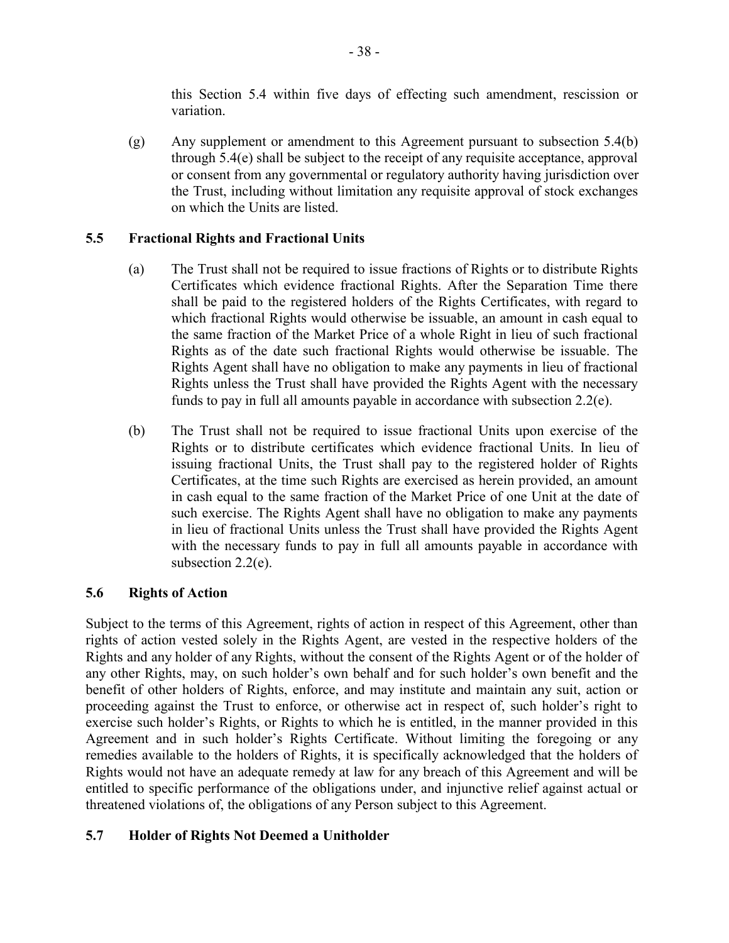this Section 5.4 within five days of effecting such amendment, rescission or variation.

(g) Any supplement or amendment to this Agreement pursuant to subsection 5.4(b) through 5.4(e) shall be subject to the receipt of any requisite acceptance, approval or consent from any governmental or regulatory authority having jurisdiction over the Trust, including without limitation any requisite approval of stock exchanges on which the Units are listed.

# **5.5 Fractional Rights and Fractional Units**

- (a) The Trust shall not be required to issue fractions of Rights or to distribute Rights Certificates which evidence fractional Rights. After the Separation Time there shall be paid to the registered holders of the Rights Certificates, with regard to which fractional Rights would otherwise be issuable, an amount in cash equal to the same fraction of the Market Price of a whole Right in lieu of such fractional Rights as of the date such fractional Rights would otherwise be issuable. The Rights Agent shall have no obligation to make any payments in lieu of fractional Rights unless the Trust shall have provided the Rights Agent with the necessary funds to pay in full all amounts payable in accordance with subsection 2.2(e).
- (b) The Trust shall not be required to issue fractional Units upon exercise of the Rights or to distribute certificates which evidence fractional Units. In lieu of issuing fractional Units, the Trust shall pay to the registered holder of Rights Certificates, at the time such Rights are exercised as herein provided, an amount in cash equal to the same fraction of the Market Price of one Unit at the date of such exercise. The Rights Agent shall have no obligation to make any payments in lieu of fractional Units unless the Trust shall have provided the Rights Agent with the necessary funds to pay in full all amounts payable in accordance with subsection 2.2(e).

# **5.6 Rights of Action**

Subject to the terms of this Agreement, rights of action in respect of this Agreement, other than rights of action vested solely in the Rights Agent, are vested in the respective holders of the Rights and any holder of any Rights, without the consent of the Rights Agent or of the holder of any other Rights, may, on such holder's own behalf and for such holder's own benefit and the benefit of other holders of Rights, enforce, and may institute and maintain any suit, action or proceeding against the Trust to enforce, or otherwise act in respect of, such holder's right to exercise such holder's Rights, or Rights to which he is entitled, in the manner provided in this Agreement and in such holder's Rights Certificate. Without limiting the foregoing or any remedies available to the holders of Rights, it is specifically acknowledged that the holders of Rights would not have an adequate remedy at law for any breach of this Agreement and will be entitled to specific performance of the obligations under, and injunctive relief against actual or threatened violations of, the obligations of any Person subject to this Agreement.

# **5.7 Holder of Rights Not Deemed a Unitholder**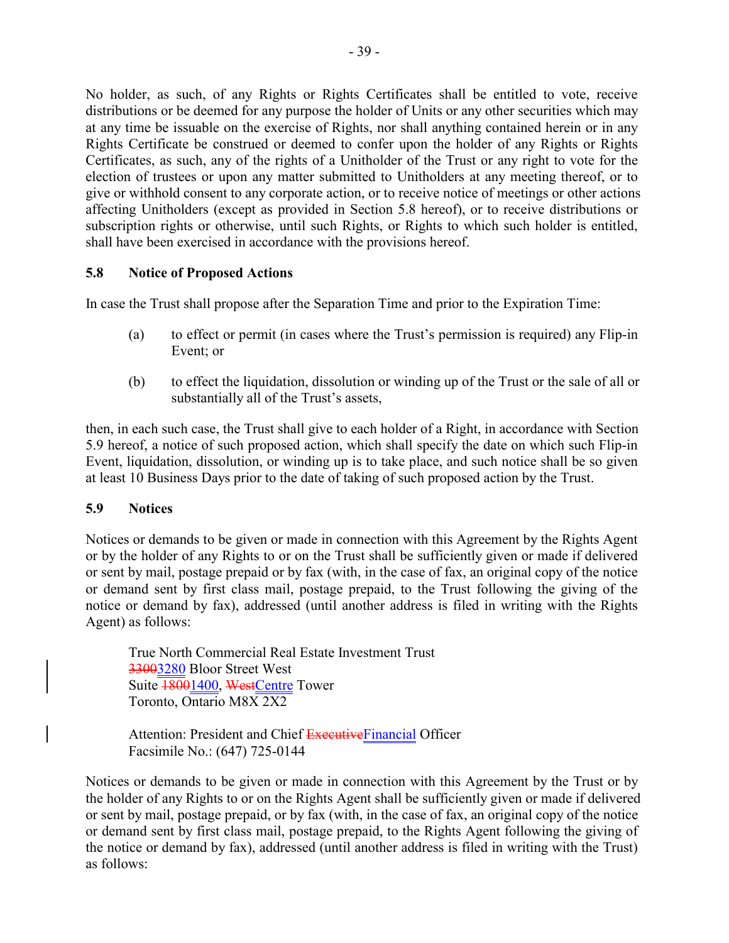No holder, as such, of any Rights or Rights Certificates shall be entitled to vote, receive distributions or be deemed for any purpose the holder of Units or any other securities which may at any time be issuable on the exercise of Rights, nor shall anything contained herein or in any Rights Certificate be construed or deemed to confer upon the holder of any Rights or Rights Certificates, as such, any of the rights of a Unitholder of the Trust or any right to vote for the election of trustees or upon any matter submitted to Unitholders at any meeting thereof, or to give or withhold consent to any corporate action, or to receive notice of meetings or other actions affecting Unitholders (except as provided in Section 5.8 hereof), or to receive distributions or subscription rights or otherwise, until such Rights, or Rights to which such holder is entitled, shall have been exercised in accordance with the provisions hereof.

# **5.8 Notice of Proposed Actions**

In case the Trust shall propose after the Separation Time and prior to the Expiration Time:

- (a) to effect or permit (in cases where the Trust's permission is required) any Flip-in Event; or
- (b) to effect the liquidation, dissolution or winding up of the Trust or the sale of all or substantially all of the Trust's assets,

then, in each such case, the Trust shall give to each holder of a Right, in accordance with Section 5.9 hereof, a notice of such proposed action, which shall specify the date on which such Flip-in Event, liquidation, dissolution, or winding up is to take place, and such notice shall be so given at least 10 Business Days prior to the date of taking of such proposed action by the Trust.

## **5.9 Notices**

Notices or demands to be given or made in connection with this Agreement by the Rights Agent or by the holder of any Rights to or on the Trust shall be sufficiently given or made if delivered or sent by mail, postage prepaid or by fax (with, in the case of fax, an original copy of the notice or demand sent by first class mail, postage prepaid, to the Trust following the giving of the notice or demand by fax), addressed (until another address is filed in writing with the Rights Agent) as follows:

True North Commercial Real Estate Investment Trust 33003280 Bloor Street West Suite 18001400, WestCentre Tower Toronto, Ontario M8X 2X2

Attention: President and Chief ExecutiveFinancial Officer Facsimile No.: (647) 725-0144

Notices or demands to be given or made in connection with this Agreement by the Trust or by the holder of any Rights to or on the Rights Agent shall be sufficiently given or made if delivered or sent by mail, postage prepaid, or by fax (with, in the case of fax, an original copy of the notice or demand sent by first class mail, postage prepaid, to the Rights Agent following the giving of the notice or demand by fax), addressed (until another address is filed in writing with the Trust) as follows: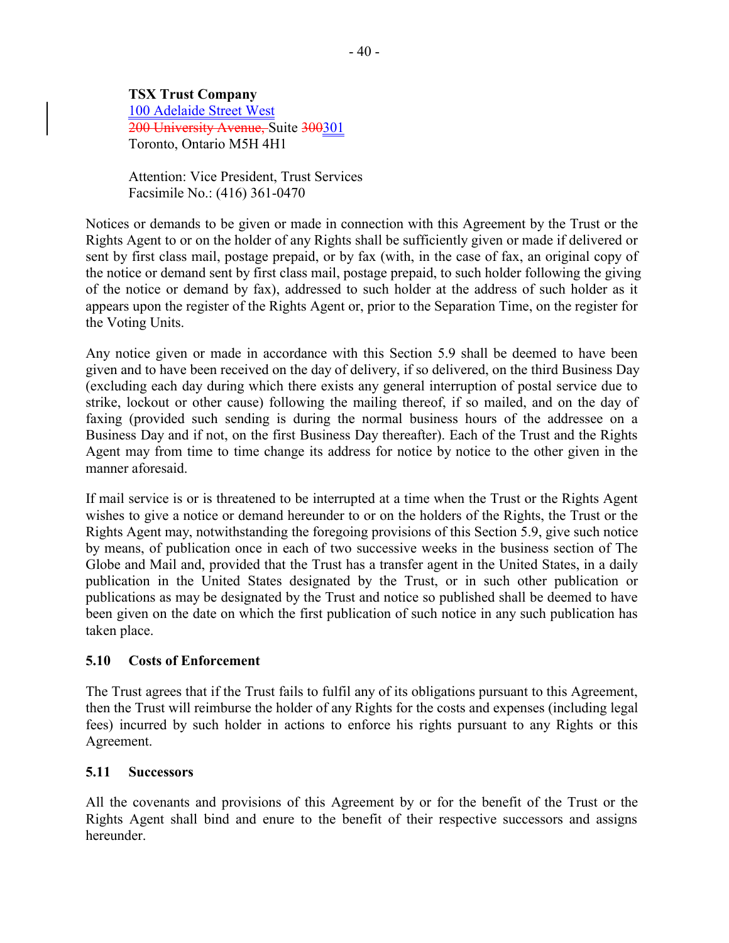# **TSX Trust Company**

100 Adelaide Street West 200 University Avenue, Suite 300301 Toronto, Ontario M5H 4H1

Attention: Vice President, Trust Services Facsimile No.: (416) 361-0470

Notices or demands to be given or made in connection with this Agreement by the Trust or the Rights Agent to or on the holder of any Rights shall be sufficiently given or made if delivered or sent by first class mail, postage prepaid, or by fax (with, in the case of fax, an original copy of the notice or demand sent by first class mail, postage prepaid, to such holder following the giving of the notice or demand by fax), addressed to such holder at the address of such holder as it appears upon the register of the Rights Agent or, prior to the Separation Time, on the register for the Voting Units.

Any notice given or made in accordance with this Section 5.9 shall be deemed to have been given and to have been received on the day of delivery, if so delivered, on the third Business Day (excluding each day during which there exists any general interruption of postal service due to strike, lockout or other cause) following the mailing thereof, if so mailed, and on the day of faxing (provided such sending is during the normal business hours of the addressee on a Business Day and if not, on the first Business Day thereafter). Each of the Trust and the Rights Agent may from time to time change its address for notice by notice to the other given in the manner aforesaid.

If mail service is or is threatened to be interrupted at a time when the Trust or the Rights Agent wishes to give a notice or demand hereunder to or on the holders of the Rights, the Trust or the Rights Agent may, notwithstanding the foregoing provisions of this Section 5.9, give such notice by means, of publication once in each of two successive weeks in the business section of The Globe and Mail and, provided that the Trust has a transfer agent in the United States, in a daily publication in the United States designated by the Trust, or in such other publication or publications as may be designated by the Trust and notice so published shall be deemed to have been given on the date on which the first publication of such notice in any such publication has taken place.

# **5.10 Costs of Enforcement**

The Trust agrees that if the Trust fails to fulfil any of its obligations pursuant to this Agreement, then the Trust will reimburse the holder of any Rights for the costs and expenses (including legal fees) incurred by such holder in actions to enforce his rights pursuant to any Rights or this Agreement.

## **5.11 Successors**

All the covenants and provisions of this Agreement by or for the benefit of the Trust or the Rights Agent shall bind and enure to the benefit of their respective successors and assigns hereunder.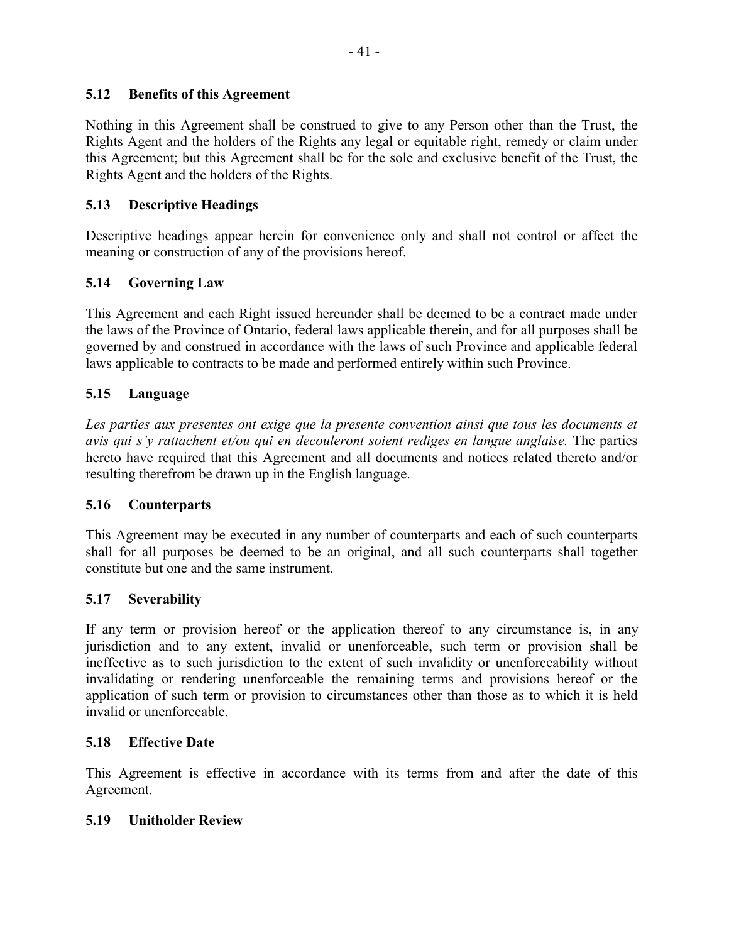# **5.12 Benefits of this Agreement**

Nothing in this Agreement shall be construed to give to any Person other than the Trust, the Rights Agent and the holders of the Rights any legal or equitable right, remedy or claim under this Agreement; but this Agreement shall be for the sole and exclusive benefit of the Trust, the Rights Agent and the holders of the Rights.

# **5.13 Descriptive Headings**

Descriptive headings appear herein for convenience only and shall not control or affect the meaning or construction of any of the provisions hereof.

# **5.14 Governing Law**

This Agreement and each Right issued hereunder shall be deemed to be a contract made under the laws of the Province of Ontario, federal laws applicable therein, and for all purposes shall be governed by and construed in accordance with the laws of such Province and applicable federal laws applicable to contracts to be made and performed entirely within such Province.

# **5.15 Language**

*Les parties aux presentes ont exige que la presente convention ainsi que tous les documents et avis qui s'y rattachent et/ou qui en decouleront soient rediges en langue anglaise.* The parties hereto have required that this Agreement and all documents and notices related thereto and/or resulting therefrom be drawn up in the English language.

## **5.16 Counterparts**

This Agreement may be executed in any number of counterparts and each of such counterparts shall for all purposes be deemed to be an original, and all such counterparts shall together constitute but one and the same instrument.

## **5.17 Severability**

If any term or provision hereof or the application thereof to any circumstance is, in any jurisdiction and to any extent, invalid or unenforceable, such term or provision shall be ineffective as to such jurisdiction to the extent of such invalidity or unenforceability without invalidating or rendering unenforceable the remaining terms and provisions hereof or the application of such term or provision to circumstances other than those as to which it is held invalid or unenforceable.

## **5.18 Effective Date**

This Agreement is effective in accordance with its terms from and after the date of this Agreement.

## **5.19 Unitholder Review**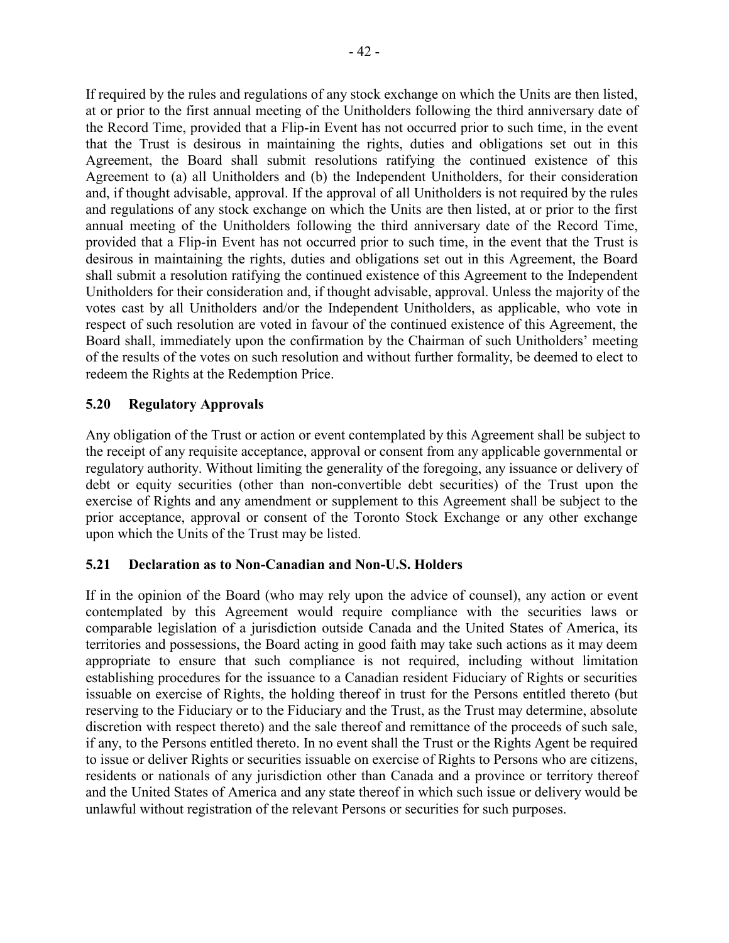If required by the rules and regulations of any stock exchange on which the Units are then listed, at or prior to the first annual meeting of the Unitholders following the third anniversary date of the Record Time, provided that a Flip-in Event has not occurred prior to such time, in the event that the Trust is desirous in maintaining the rights, duties and obligations set out in this Agreement, the Board shall submit resolutions ratifying the continued existence of this Agreement to (a) all Unitholders and (b) the Independent Unitholders, for their consideration and, if thought advisable, approval. If the approval of all Unitholders is not required by the rules and regulations of any stock exchange on which the Units are then listed, at or prior to the first annual meeting of the Unitholders following the third anniversary date of the Record Time, provided that a Flip-in Event has not occurred prior to such time, in the event that the Trust is desirous in maintaining the rights, duties and obligations set out in this Agreement, the Board shall submit a resolution ratifying the continued existence of this Agreement to the Independent Unitholders for their consideration and, if thought advisable, approval. Unless the majority of the votes cast by all Unitholders and/or the Independent Unitholders, as applicable, who vote in respect of such resolution are voted in favour of the continued existence of this Agreement, the Board shall, immediately upon the confirmation by the Chairman of such Unitholders' meeting of the results of the votes on such resolution and without further formality, be deemed to elect to redeem the Rights at the Redemption Price.

# **5.20 Regulatory Approvals**

Any obligation of the Trust or action or event contemplated by this Agreement shall be subject to the receipt of any requisite acceptance, approval or consent from any applicable governmental or regulatory authority. Without limiting the generality of the foregoing, any issuance or delivery of debt or equity securities (other than non-convertible debt securities) of the Trust upon the exercise of Rights and any amendment or supplement to this Agreement shall be subject to the prior acceptance, approval or consent of the Toronto Stock Exchange or any other exchange upon which the Units of the Trust may be listed.

## **5.21 Declaration as to Non-Canadian and Non-U.S. Holders**

If in the opinion of the Board (who may rely upon the advice of counsel), any action or event contemplated by this Agreement would require compliance with the securities laws or comparable legislation of a jurisdiction outside Canada and the United States of America, its territories and possessions, the Board acting in good faith may take such actions as it may deem appropriate to ensure that such compliance is not required, including without limitation establishing procedures for the issuance to a Canadian resident Fiduciary of Rights or securities issuable on exercise of Rights, the holding thereof in trust for the Persons entitled thereto (but reserving to the Fiduciary or to the Fiduciary and the Trust, as the Trust may determine, absolute discretion with respect thereto) and the sale thereof and remittance of the proceeds of such sale, if any, to the Persons entitled thereto. In no event shall the Trust or the Rights Agent be required to issue or deliver Rights or securities issuable on exercise of Rights to Persons who are citizens, residents or nationals of any jurisdiction other than Canada and a province or territory thereof and the United States of America and any state thereof in which such issue or delivery would be unlawful without registration of the relevant Persons or securities for such purposes.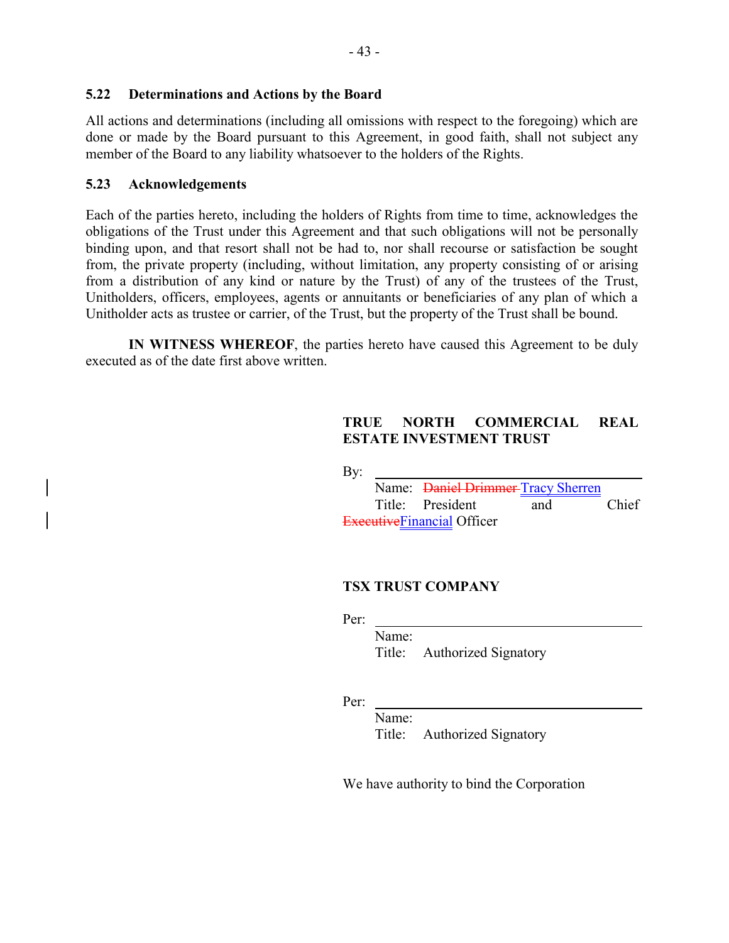#### **5.22 Determinations and Actions by the Board**

All actions and determinations (including all omissions with respect to the foregoing) which are done or made by the Board pursuant to this Agreement, in good faith, shall not subject any member of the Board to any liability whatsoever to the holders of the Rights.

#### **5.23 Acknowledgements**

Each of the parties hereto, including the holders of Rights from time to time, acknowledges the obligations of the Trust under this Agreement and that such obligations will not be personally binding upon, and that resort shall not be had to, nor shall recourse or satisfaction be sought from, the private property (including, without limitation, any property consisting of or arising from a distribution of any kind or nature by the Trust) of any of the trustees of the Trust, Unitholders, officers, employees, agents or annuitants or beneficiaries of any plan of which a Unitholder acts as trustee or carrier, of the Trust, but the property of the Trust shall be bound.

**IN WITNESS WHEREOF**, the parties hereto have caused this Agreement to be duly executed as of the date first above written.

# **TRUE NORTH COMMERCIAL REAL ESTATE INVESTMENT TRUST**

By:

|  | Name: <del>Daniel Drimmer</del> -Tracy Sherren |     |       |
|--|------------------------------------------------|-----|-------|
|  | Title: President                               | and | Chief |
|  | ExecutiveFinancial Officer                     |     |       |

## **TSX TRUST COMPANY**

Per:

Name: Title: Authorized Signatory

Per:

Name:

Title: Authorized Signatory

We have authority to bind the Corporation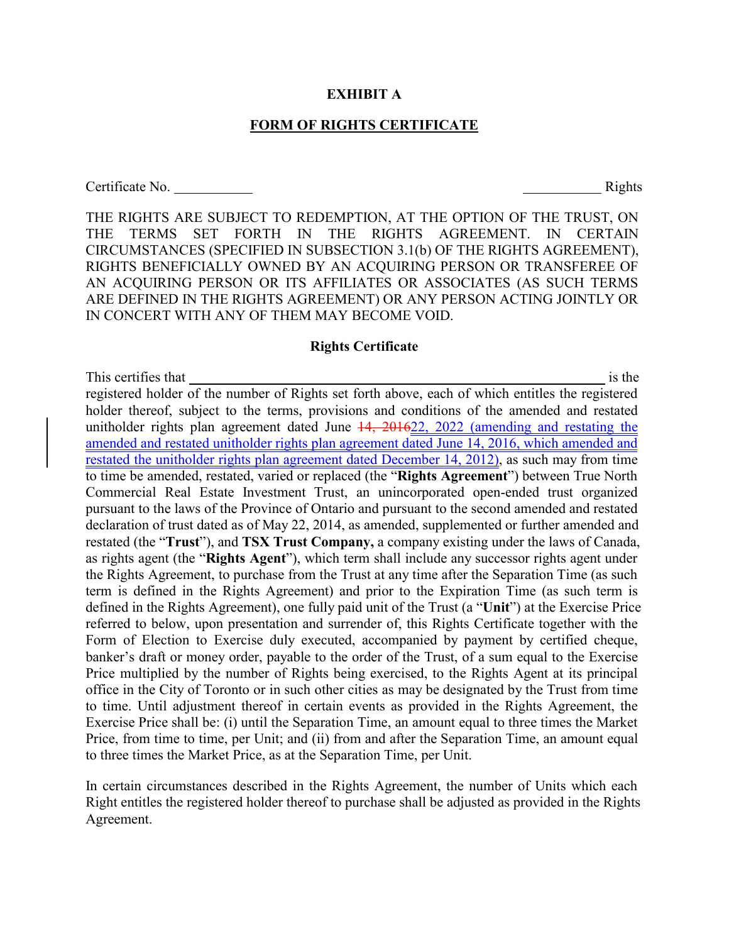#### **EXHIBIT A**

## **FORM OF RIGHTS CERTIFICATE**

Certificate No. Rights

THE RIGHTS ARE SUBJECT TO REDEMPTION, AT THE OPTION OF THE TRUST, ON THE TERMS SET FORTH IN THE RIGHTS AGREEMENT. IN CERTAIN CIRCUMSTANCES (SPECIFIED IN SUBSECTION 3.1(b) OF THE RIGHTS AGREEMENT), RIGHTS BENEFICIALLY OWNED BY AN ACQUIRING PERSON OR TRANSFEREE OF AN ACQUIRING PERSON OR ITS AFFILIATES OR ASSOCIATES (AS SUCH TERMS ARE DEFINED IN THE RIGHTS AGREEMENT) OR ANY PERSON ACTING JOINTLY OR IN CONCERT WITH ANY OF THEM MAY BECOME VOID.

#### **Rights Certificate**

This certifies that is the interesting that is the interesting is the interesting is the interesting of the interesting is the interesting of the interesting in the interesting of the interesting of the interesting of the registered holder of the number of Rights set forth above, each of which entitles the registered holder thereof, subject to the terms, provisions and conditions of the amended and restated unitholder rights plan agreement dated June  $14$ , 201622, 2022 (amending and restating the amended and restated unitholder rights plan agreement dated June 14, 2016, which amended and restated the unitholder rights plan agreement dated December 14, 2012), as such may from time to time be amended, restated, varied or replaced (the "**Rights Agreement**") between True North Commercial Real Estate Investment Trust, an unincorporated open-ended trust organized pursuant to the laws of the Province of Ontario and pursuant to the second amended and restated declaration of trust dated as of May 22, 2014, as amended, supplemented or further amended and restated (the "**Trust**"), and **TSX Trust Company,** a company existing under the laws of Canada, as rights agent (the "**Rights Agent**"), which term shall include any successor rights agent under the Rights Agreement, to purchase from the Trust at any time after the Separation Time (as such term is defined in the Rights Agreement) and prior to the Expiration Time (as such term is defined in the Rights Agreement), one fully paid unit of the Trust (a "**Unit**") at the Exercise Price referred to below, upon presentation and surrender of, this Rights Certificate together with the Form of Election to Exercise duly executed, accompanied by payment by certified cheque, banker's draft or money order, payable to the order of the Trust, of a sum equal to the Exercise Price multiplied by the number of Rights being exercised, to the Rights Agent at its principal office in the City of Toronto or in such other cities as may be designated by the Trust from time to time. Until adjustment thereof in certain events as provided in the Rights Agreement, the Exercise Price shall be: (i) until the Separation Time, an amount equal to three times the Market Price, from time to time, per Unit; and (ii) from and after the Separation Time, an amount equal to three times the Market Price, as at the Separation Time, per Unit.

In certain circumstances described in the Rights Agreement, the number of Units which each Right entitles the registered holder thereof to purchase shall be adjusted as provided in the Rights Agreement.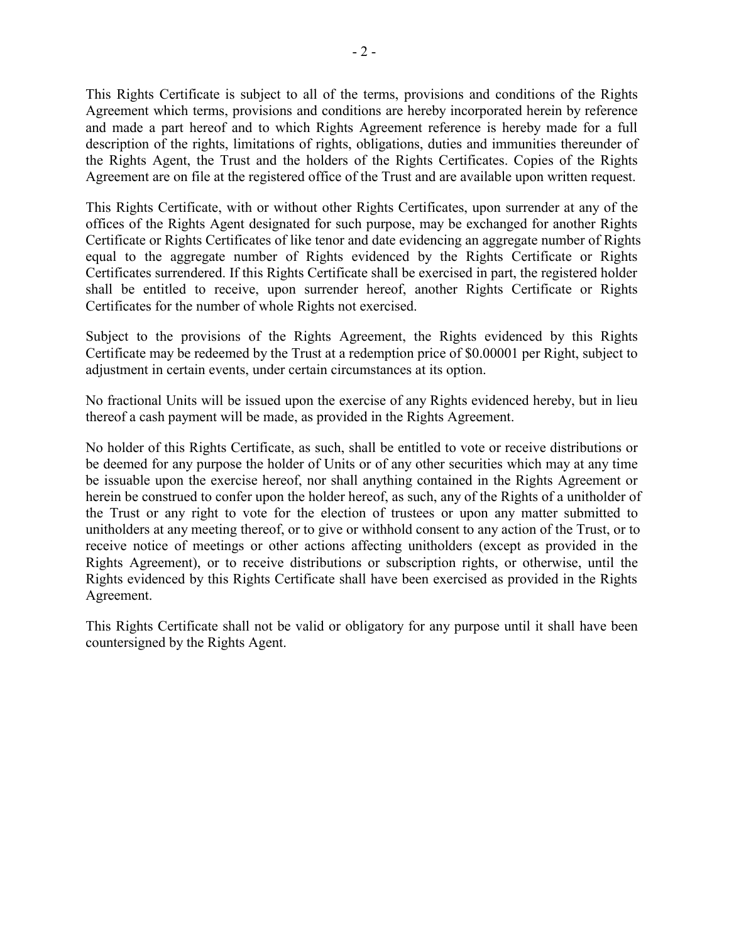This Rights Certificate is subject to all of the terms, provisions and conditions of the Rights Agreement which terms, provisions and conditions are hereby incorporated herein by reference and made a part hereof and to which Rights Agreement reference is hereby made for a full description of the rights, limitations of rights, obligations, duties and immunities thereunder of the Rights Agent, the Trust and the holders of the Rights Certificates. Copies of the Rights Agreement are on file at the registered office of the Trust and are available upon written request.

This Rights Certificate, with or without other Rights Certificates, upon surrender at any of the offices of the Rights Agent designated for such purpose, may be exchanged for another Rights Certificate or Rights Certificates of like tenor and date evidencing an aggregate number of Rights equal to the aggregate number of Rights evidenced by the Rights Certificate or Rights Certificates surrendered. If this Rights Certificate shall be exercised in part, the registered holder shall be entitled to receive, upon surrender hereof, another Rights Certificate or Rights Certificates for the number of whole Rights not exercised.

Subject to the provisions of the Rights Agreement, the Rights evidenced by this Rights Certificate may be redeemed by the Trust at a redemption price of \$0.00001 per Right, subject to adjustment in certain events, under certain circumstances at its option.

No fractional Units will be issued upon the exercise of any Rights evidenced hereby, but in lieu thereof a cash payment will be made, as provided in the Rights Agreement.

No holder of this Rights Certificate, as such, shall be entitled to vote or receive distributions or be deemed for any purpose the holder of Units or of any other securities which may at any time be issuable upon the exercise hereof, nor shall anything contained in the Rights Agreement or herein be construed to confer upon the holder hereof, as such, any of the Rights of a unitholder of the Trust or any right to vote for the election of trustees or upon any matter submitted to unitholders at any meeting thereof, or to give or withhold consent to any action of the Trust, or to receive notice of meetings or other actions affecting unitholders (except as provided in the Rights Agreement), or to receive distributions or subscription rights, or otherwise, until the Rights evidenced by this Rights Certificate shall have been exercised as provided in the Rights Agreement.

This Rights Certificate shall not be valid or obligatory for any purpose until it shall have been countersigned by the Rights Agent.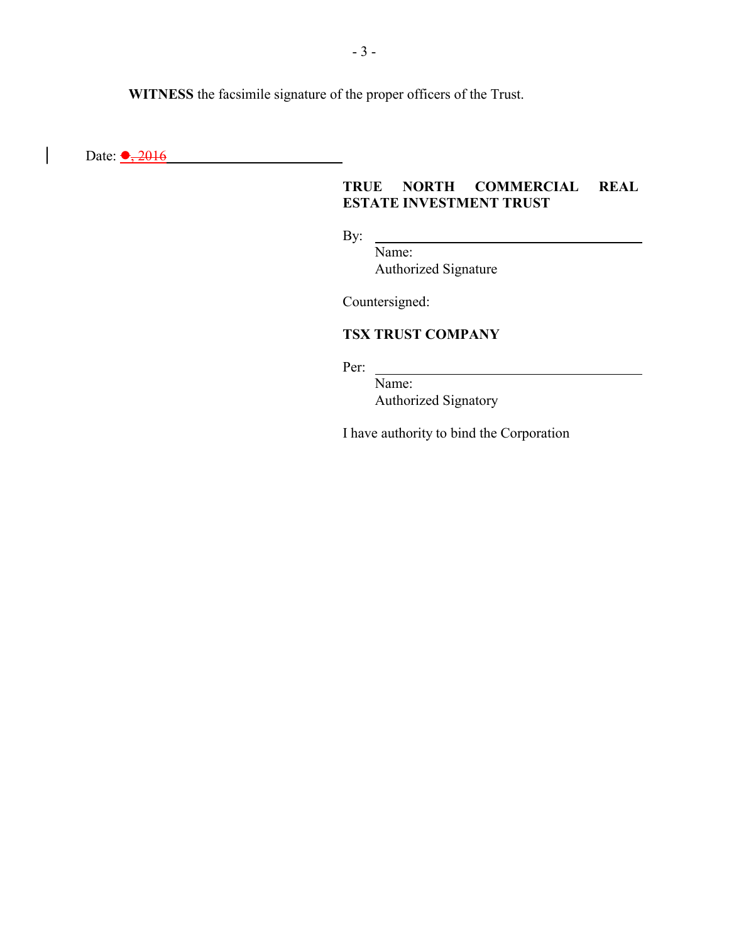**WITNESS** the facsimile signature of the proper officers of the Trust.

Date:  $\bullet$ , 2016

 $\overline{\phantom{a}}$ 

# **TRUE NORTH COMMERCIAL REAL ESTATE INVESTMENT TRUST**

By:

Name: Authorized Signature

Countersigned:

# **TSX TRUST COMPANY**

Per:

Name: Authorized Signatory

I have authority to bind the Corporation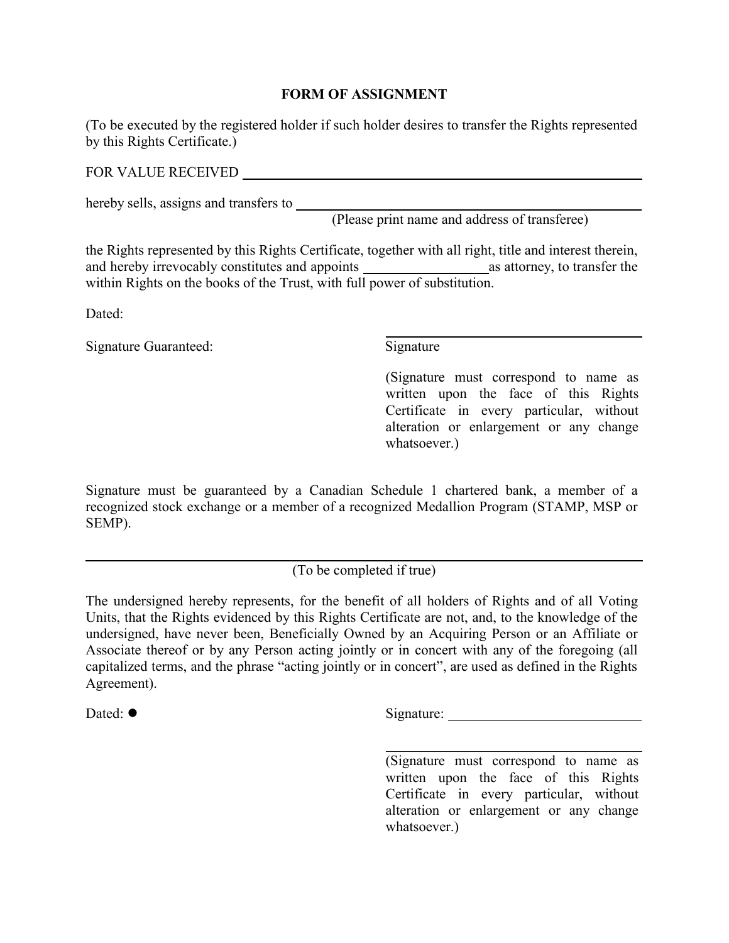## **FORM OF ASSIGNMENT**

(To be executed by the registered holder if such holder desires to transfer the Rights represented by this Rights Certificate.)

FOR VALUE RECEIVED **FOR VALUE RECEIVED** 

hereby sells, assigns and transfers to

(Please print name and address of transferee)

the Rights represented by this Rights Certificate, together with all right, title and interest therein, and hereby irrevocably constitutes and appoints as attorney, to transfer the within Rights on the books of the Trust, with full power of substitution.

Dated:

Signature Guaranteed: Signature Signature

(Signature must correspond to name as written upon the face of this Rights Certificate in every particular, without alteration or enlargement or any change whatsoever.)

Signature must be guaranteed by a Canadian Schedule 1 chartered bank, a member of a recognized stock exchange or a member of a recognized Medallion Program (STAMP, MSP or SEMP).

(To be completed if true)

The undersigned hereby represents, for the benefit of all holders of Rights and of all Voting Units, that the Rights evidenced by this Rights Certificate are not, and, to the knowledge of the undersigned, have never been, Beneficially Owned by an Acquiring Person or an Affiliate or Associate thereof or by any Person acting jointly or in concert with any of the foregoing (all capitalized terms, and the phrase "acting jointly or in concert", are used as defined in the Rights Agreement).

Dated:  $\bullet$  Signature: Signature:

(Signature must correspond to name as written upon the face of this Rights Certificate in every particular, without alteration or enlargement or any change whatsoever.)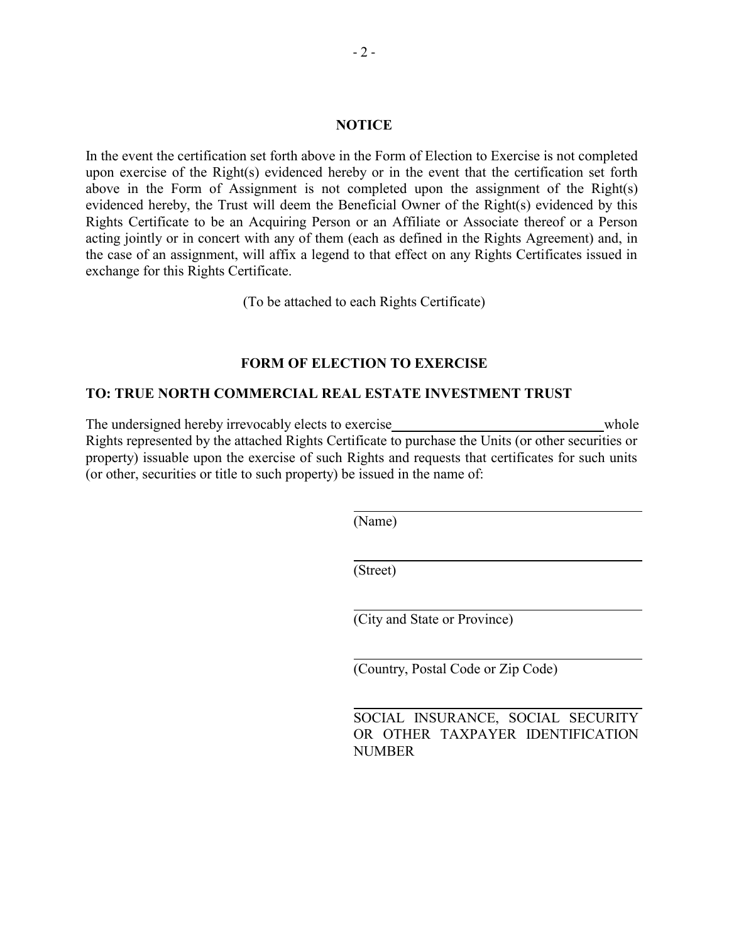In the event the certification set forth above in the Form of Election to Exercise is not completed upon exercise of the Right(s) evidenced hereby or in the event that the certification set forth above in the Form of Assignment is not completed upon the assignment of the Right(s) evidenced hereby, the Trust will deem the Beneficial Owner of the Right(s) evidenced by this Rights Certificate to be an Acquiring Person or an Affiliate or Associate thereof or a Person acting jointly or in concert with any of them (each as defined in the Rights Agreement) and, in the case of an assignment, will affix a legend to that effect on any Rights Certificates issued in exchange for this Rights Certificate.

(To be attached to each Rights Certificate)

## **FORM OF ELECTION TO EXERCISE**

#### **TO: TRUE NORTH COMMERCIAL REAL ESTATE INVESTMENT TRUST**

The undersigned hereby irrevocably elects to exercise whole whole Rights represented by the attached Rights Certificate to purchase the Units (or other securities or property) issuable upon the exercise of such Rights and requests that certificates for such units (or other, securities or title to such property) be issued in the name of:

(Name)

(Street)

(City and State or Province)

(Country, Postal Code or Zip Code)

SOCIAL INSURANCE, SOCIAL SECURITY OR OTHER TAXPAYER IDENTIFICATION NUMBER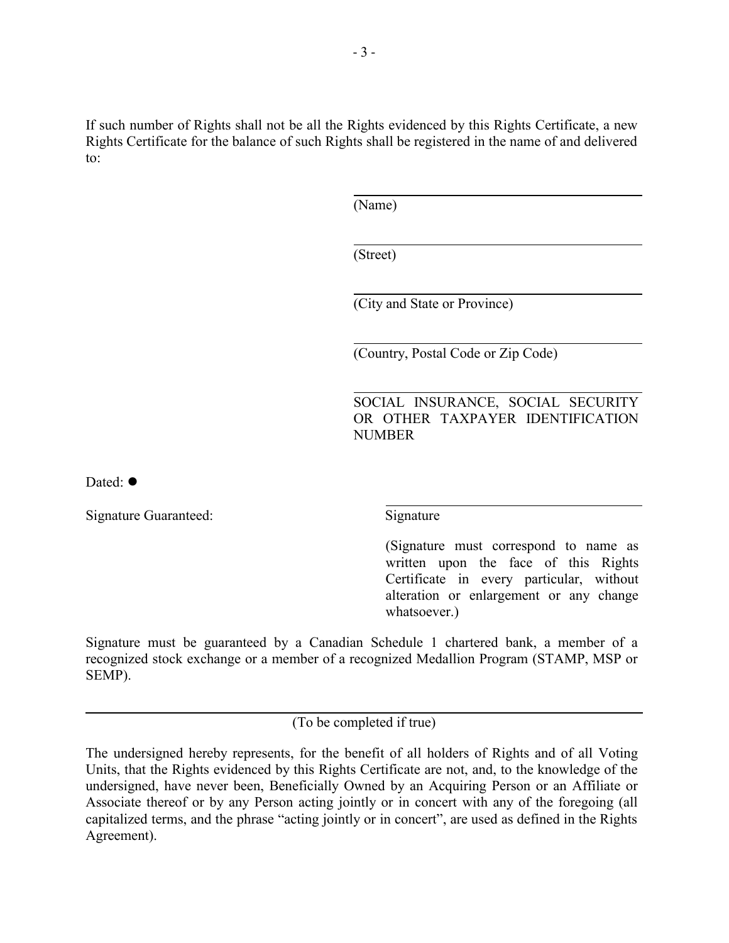If such number of Rights shall not be all the Rights evidenced by this Rights Certificate, a new Rights Certificate for the balance of such Rights shall be registered in the name of and delivered to:

(Name)

(Street)

(City and State or Province)

(Country, Postal Code or Zip Code)

SOCIAL INSURANCE, SOCIAL SECURITY OR OTHER TAXPAYER IDENTIFICATION NUMBER

Dated:  $\bullet$ 

Signature Guaranteed: Signature Signature

(Signature must correspond to name as written upon the face of this Rights Certificate in every particular, without alteration or enlargement or any change whatsoever.)

Signature must be guaranteed by a Canadian Schedule 1 chartered bank, a member of a recognized stock exchange or a member of a recognized Medallion Program (STAMP, MSP or SEMP).

(To be completed if true)

The undersigned hereby represents, for the benefit of all holders of Rights and of all Voting Units, that the Rights evidenced by this Rights Certificate are not, and, to the knowledge of the undersigned, have never been, Beneficially Owned by an Acquiring Person or an Affiliate or Associate thereof or by any Person acting jointly or in concert with any of the foregoing (all capitalized terms, and the phrase "acting jointly or in concert", are used as defined in the Rights Agreement).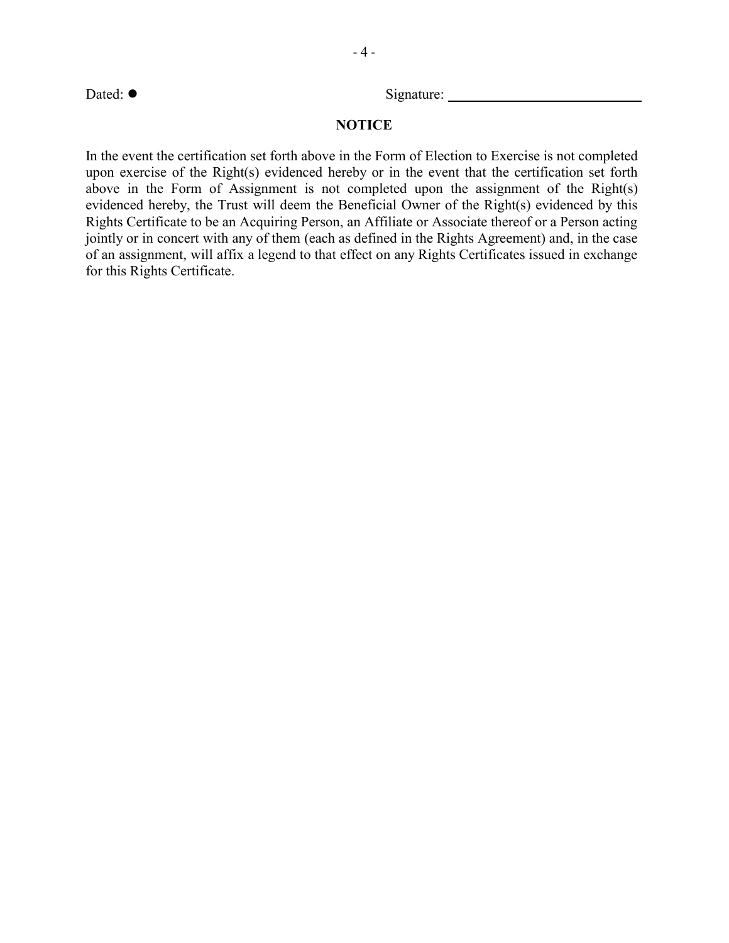Dated:  $\bullet$  Signature: Signature:

## **NOTICE**

In the event the certification set forth above in the Form of Election to Exercise is not completed upon exercise of the Right(s) evidenced hereby or in the event that the certification set forth above in the Form of Assignment is not completed upon the assignment of the Right(s) evidenced hereby, the Trust will deem the Beneficial Owner of the Right(s) evidenced by this Rights Certificate to be an Acquiring Person, an Affiliate or Associate thereof or a Person acting jointly or in concert with any of them (each as defined in the Rights Agreement) and, in the case of an assignment, will affix a legend to that effect on any Rights Certificates issued in exchange for this Rights Certificate.